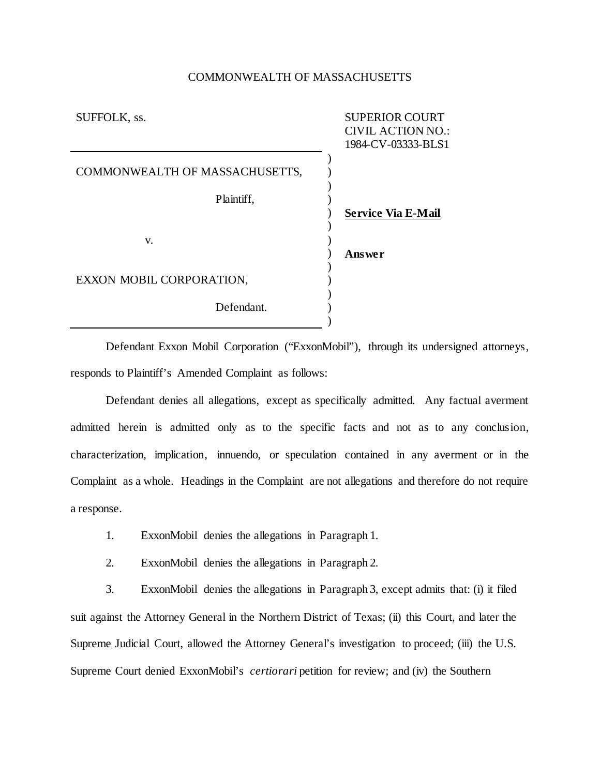## COMMONWEALTH OF MASSACHUSETTS

| SUFFOLK, ss.                   | <b>SUPERIOR COURT</b><br><b>CIVIL ACTION NO.:</b><br>1984-CV-03333-BLS1 |
|--------------------------------|-------------------------------------------------------------------------|
| COMMONWEALTH OF MASSACHUSETTS, |                                                                         |
| Plaintiff,                     |                                                                         |
|                                | <b>Service Via E-Mail</b>                                               |
| V.                             | Answer                                                                  |
| EXXON MOBIL CORPORATION,       |                                                                         |
| Defendant.                     |                                                                         |

Defendant Exxon Mobil Corporation ("ExxonMobil"), through its undersigned attorneys, responds to Plaintiff's Amended Complaint as follows:

Defendant denies all allegations, except as specifically admitted. Any factual averment admitted herein is admitted only as to the specific facts and not as to any conclusion, characterization, implication, innuendo, or speculation contained in any averment or in the Complaint as a whole. Headings in the Complaint are not allegations and therefore do not require a response.

- 1. ExxonMobil denies the allegations in Paragraph 1.
- 2. ExxonMobil denies the allegations in Paragraph 2.

3. ExxonMobil denies the allegations in Paragraph 3, except admits that: (i) it filed suit against the Attorney General in the Northern District of Texas; (ii) this Court, and later the Supreme Judicial Court, allowed the Attorney General's investigation to proceed; (iii) the U.S. Supreme Court denied ExxonMobil's *certiorari* petition for review; and (iv) the Southern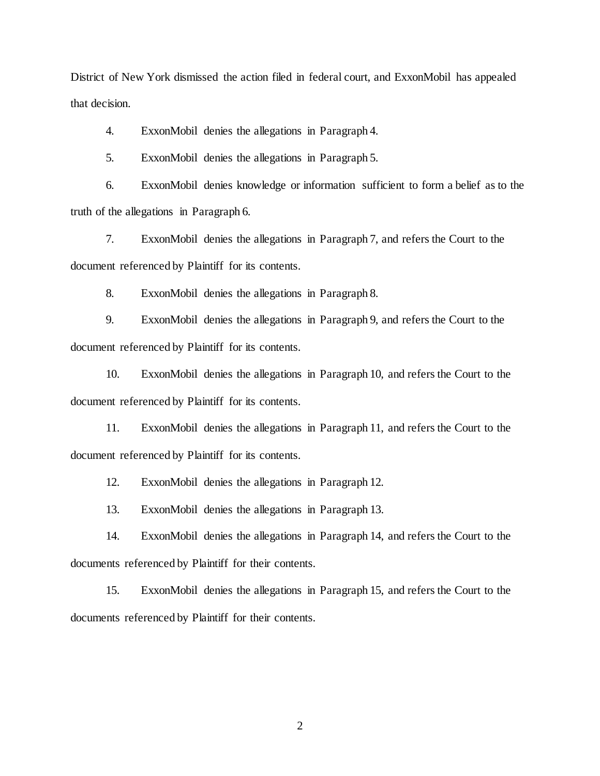District of New York dismissed the action filed in federal court, and ExxonMobil has appealed that decision.

4. ExxonMobil denies the allegations in Paragraph 4.

5. ExxonMobil denies the allegations in Paragraph 5.

6. ExxonMobil denies knowledge or information sufficient to form a belief as to the truth of the allegations in Paragraph 6.

7. ExxonMobil denies the allegations in Paragraph 7, and refers the Court to the document referenced by Plaintiff for its contents.

8. ExxonMobil denies the allegations in Paragraph 8.

9. ExxonMobil denies the allegations in Paragraph 9, and refers the Court to the document referenced by Plaintiff for its contents.

10. ExxonMobil denies the allegations in Paragraph 10, and refers the Court to the document referenced by Plaintiff for its contents.

11. ExxonMobil denies the allegations in Paragraph 11, and refers the Court to the document referenced by Plaintiff for its contents.

12. ExxonMobil denies the allegations in Paragraph 12.

13. ExxonMobil denies the allegations in Paragraph 13.

14. ExxonMobil denies the allegations in Paragraph 14, and refers the Court to the documents referenced by Plaintiff for their contents.

15. ExxonMobil denies the allegations in Paragraph 15, and refers the Court to the documents referenced by Plaintiff for their contents.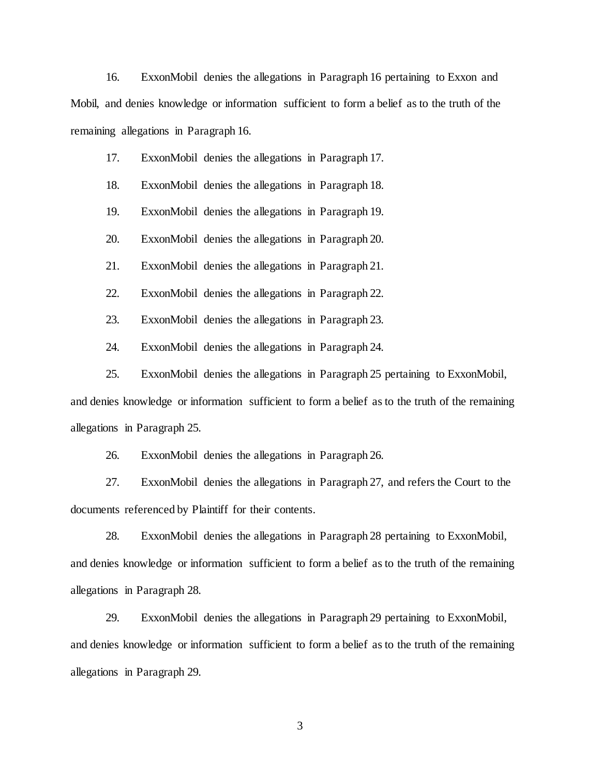16. ExxonMobil denies the allegations in Paragraph 16 pertaining to Exxon and Mobil, and denies knowledge or information sufficient to form a belief as to the truth of the remaining allegations in Paragraph 16.

- 17. ExxonMobil denies the allegations in Paragraph 17.
- 18. ExxonMobil denies the allegations in Paragraph 18.
- 19. ExxonMobil denies the allegations in Paragraph 19.
- 20. ExxonMobil denies the allegations in Paragraph 20.
- 21. ExxonMobil denies the allegations in Paragraph 21.
- 22. ExxonMobil denies the allegations in Paragraph 22.
- 23. ExxonMobil denies the allegations in Paragraph 23.
- 24. ExxonMobil denies the allegations in Paragraph 24.

25. ExxonMobil denies the allegations in Paragraph 25 pertaining to ExxonMobil, and denies knowledge or information sufficient to form a belief as to the truth of the remaining

allegations in Paragraph 25.

26. ExxonMobil denies the allegations in Paragraph 26.

27. ExxonMobil denies the allegations in Paragraph 27, and refers the Court to the documents referenced by Plaintiff for their contents.

28. ExxonMobil denies the allegations in Paragraph 28 pertaining to ExxonMobil, and denies knowledge or information sufficient to form a belief as to the truth of the remaining allegations in Paragraph 28.

29. ExxonMobil denies the allegations in Paragraph 29 pertaining to ExxonMobil, and denies knowledge or information sufficient to form a belief as to the truth of the remaining allegations in Paragraph 29.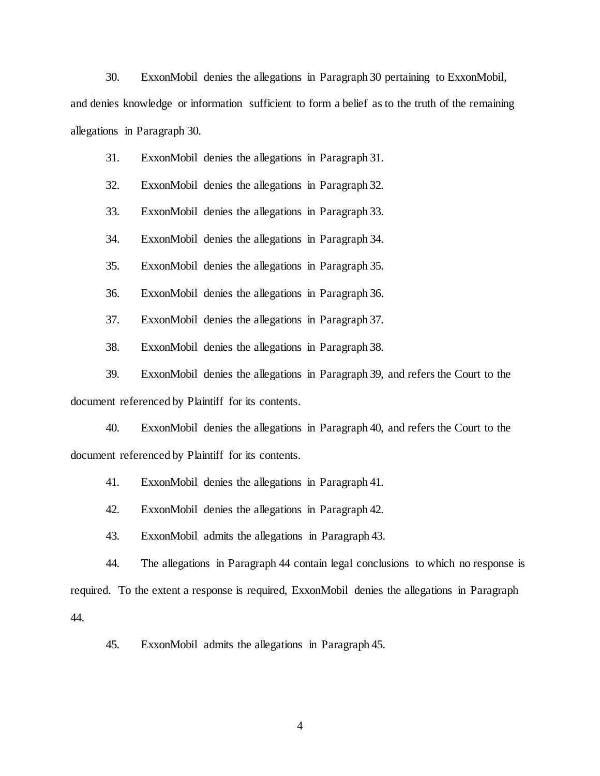30. ExxonMobil denies the allegations in Paragraph 30 pertaining to ExxonMobil,

and denies knowledge or information sufficient to form a belief as to the truth of the remaining allegations in Paragraph 30.

31. ExxonMobil denies the allegations in Paragraph 31.

32. ExxonMobil denies the allegations in Paragraph 32.

33. ExxonMobil denies the allegations in Paragraph 33.

34. ExxonMobil denies the allegations in Paragraph 34.

35. ExxonMobil denies the allegations in Paragraph 35.

36. ExxonMobil denies the allegations in Paragraph 36.

37. ExxonMobil denies the allegations in Paragraph 37.

38. ExxonMobil denies the allegations in Paragraph 38.

39. ExxonMobil denies the allegations in Paragraph 39, and refers the Court to the document referenced by Plaintiff for its contents.

40. ExxonMobil denies the allegations in Paragraph 40, and refers the Court to the document referenced by Plaintiff for its contents.

41. ExxonMobil denies the allegations in Paragraph 41.

42. ExxonMobil denies the allegations in Paragraph 42.

43. ExxonMobil admits the allegations in Paragraph 43.

44. The allegations in Paragraph 44 contain legal conclusions to which no response is required. To the extent a response is required, ExxonMobil denies the allegations in Paragraph 44.

45. ExxonMobil admits the allegations in Paragraph 45.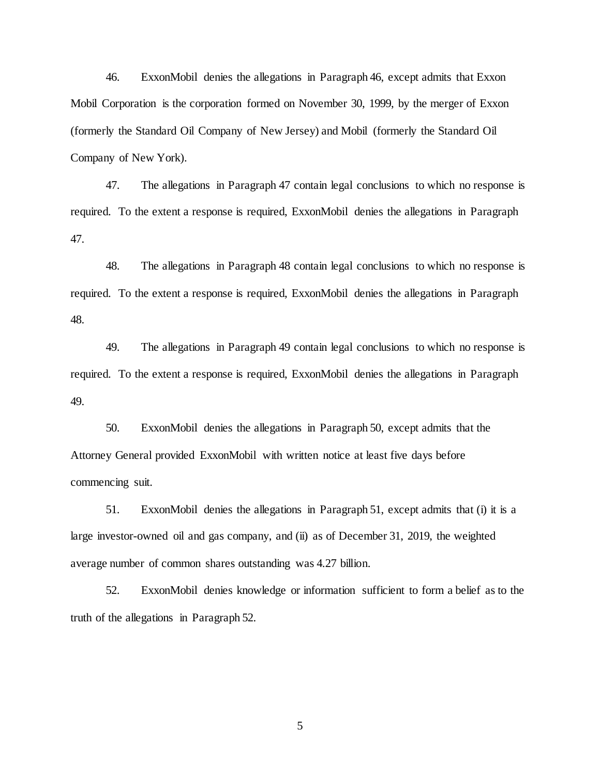46. ExxonMobil denies the allegations in Paragraph 46, except admits that Exxon Mobil Corporation is the corporation formed on November 30, 1999, by the merger of Exxon (formerly the Standard Oil Company of New Jersey) and Mobil (formerly the Standard Oil Company of New York).

47. The allegations in Paragraph 47 contain legal conclusions to which no response is required. To the extent a response is required, ExxonMobil denies the allegations in Paragraph 47.

48. The allegations in Paragraph 48 contain legal conclusions to which no response is required. To the extent a response is required, ExxonMobil denies the allegations in Paragraph 48.

49. The allegations in Paragraph 49 contain legal conclusions to which no response is required. To the extent a response is required, ExxonMobil denies the allegations in Paragraph 49.

50. ExxonMobil denies the allegations in Paragraph 50, except admits that the Attorney General provided ExxonMobil with written notice at least five days before commencing suit.

51. ExxonMobil denies the allegations in Paragraph 51, except admits that (i) it is a large investor-owned oil and gas company, and (ii) as of December 31, 2019, the weighted average number of common shares outstanding was 4.27 billion.

52. ExxonMobil denies knowledge or information sufficient to form a belief as to the truth of the allegations in Paragraph 52.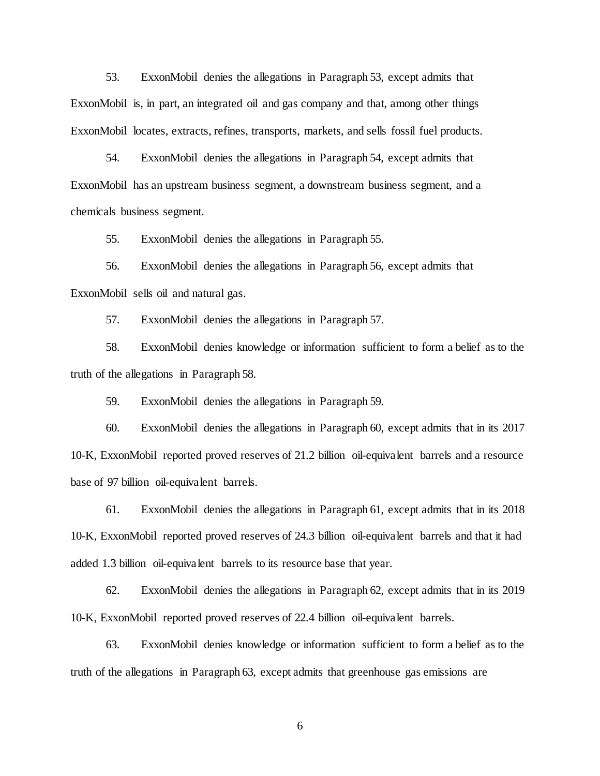53. ExxonMobil denies the allegations in Paragraph 53, except admits that ExxonMobil is, in part, an integrated oil and gas company and that, among other things ExxonMobil locates, extracts, refines, transports, markets, and sells fossil fuel products.

54. ExxonMobil denies the allegations in Paragraph 54, except admits that ExxonMobil has an upstream business segment, a downstream business segment, and a chemicals business segment.

55. ExxonMobil denies the allegations in Paragraph 55.

56. ExxonMobil denies the allegations in Paragraph 56, except admits that ExxonMobil sells oil and natural gas.

57. ExxonMobil denies the allegations in Paragraph 57.

58. ExxonMobil denies knowledge or information sufficient to form a belief as to the truth of the allegations in Paragraph 58.

59. ExxonMobil denies the allegations in Paragraph 59.

60. ExxonMobil denies the allegations in Paragraph 60, except admits that in its 2017 10-K, ExxonMobil reported proved reserves of 21.2 billion oil-equivalent barrels and a resource base of 97 billion oil-equivalent barrels.

61. ExxonMobil denies the allegations in Paragraph 61, except admits that in its 2018 10-K, ExxonMobil reported proved reserves of 24.3 billion oil-equivalent barrels and that it had added 1.3 billion oil-equivalent barrels to its resource base that year.

62. ExxonMobil denies the allegations in Paragraph 62, except admits that in its 2019 10-K, ExxonMobil reported proved reserves of 22.4 billion oil-equivalent barrels.

63. ExxonMobil denies knowledge or information sufficient to form a belief as to the truth of the allegations in Paragraph 63, except admits that greenhouse gas emissions are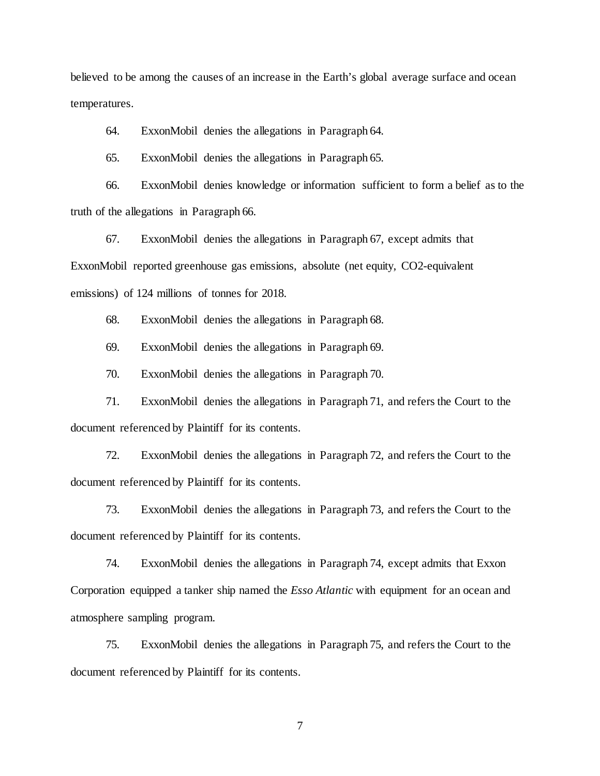believed to be among the causes of an increase in the Earth's global average surface and ocean temperatures.

64. ExxonMobil denies the allegations in Paragraph 64.

65. ExxonMobil denies the allegations in Paragraph 65.

66. ExxonMobil denies knowledge or information sufficient to form a belief as to the truth of the allegations in Paragraph 66.

67. ExxonMobil denies the allegations in Paragraph 67, except admits that ExxonMobil reported greenhouse gas emissions, absolute (net equity, CO2-equivalent emissions) of 124 millions of tonnes for 2018.

68. ExxonMobil denies the allegations in Paragraph 68.

69. ExxonMobil denies the allegations in Paragraph 69.

70. ExxonMobil denies the allegations in Paragraph 70.

71. ExxonMobil denies the allegations in Paragraph 71, and refers the Court to the document referenced by Plaintiff for its contents.

72. ExxonMobil denies the allegations in Paragraph 72, and refers the Court to the document referenced by Plaintiff for its contents.

73. ExxonMobil denies the allegations in Paragraph 73, and refers the Court to the document referenced by Plaintiff for its contents.

74. ExxonMobil denies the allegations in Paragraph 74, except admits that Exxon Corporation equipped a tanker ship named the *Esso Atlantic* with equipment for an ocean and atmosphere sampling program.

75. ExxonMobil denies the allegations in Paragraph 75, and refers the Court to the document referenced by Plaintiff for its contents.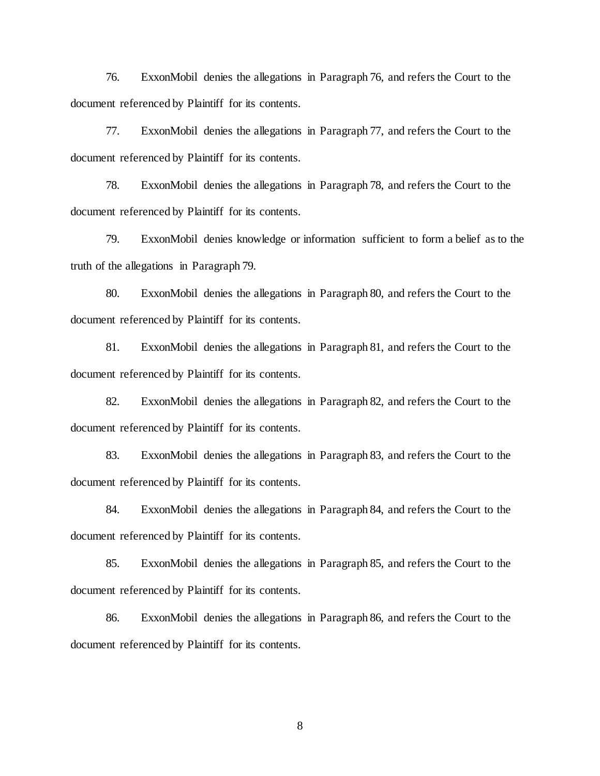76. ExxonMobil denies the allegations in Paragraph 76, and refers the Court to the document referenced by Plaintiff for its contents.

77. ExxonMobil denies the allegations in Paragraph 77, and refers the Court to the document referenced by Plaintiff for its contents.

78. ExxonMobil denies the allegations in Paragraph 78, and refers the Court to the document referenced by Plaintiff for its contents.

79. ExxonMobil denies knowledge or information sufficient to form a belief as to the truth of the allegations in Paragraph 79.

80. ExxonMobil denies the allegations in Paragraph 80, and refers the Court to the document referenced by Plaintiff for its contents.

81. ExxonMobil denies the allegations in Paragraph 81, and refers the Court to the document referenced by Plaintiff for its contents.

82. ExxonMobil denies the allegations in Paragraph 82, and refers the Court to the document referenced by Plaintiff for its contents.

83. ExxonMobil denies the allegations in Paragraph 83, and refers the Court to the document referenced by Plaintiff for its contents.

84. ExxonMobil denies the allegations in Paragraph 84, and refers the Court to the document referenced by Plaintiff for its contents.

85. ExxonMobil denies the allegations in Paragraph 85, and refers the Court to the document referenced by Plaintiff for its contents.

86. ExxonMobil denies the allegations in Paragraph 86, and refers the Court to the document referenced by Plaintiff for its contents.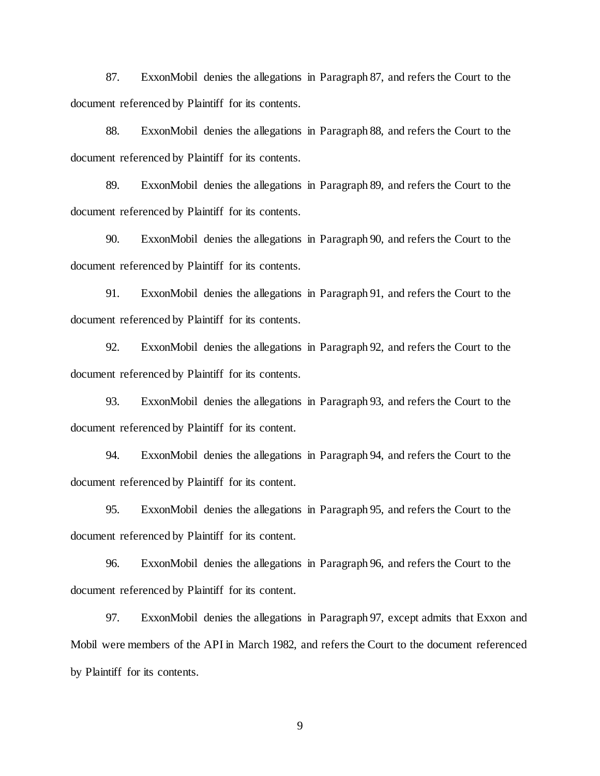87. ExxonMobil denies the allegations in Paragraph 87, and refers the Court to the document referenced by Plaintiff for its contents.

88. ExxonMobil denies the allegations in Paragraph 88, and refers the Court to the document referenced by Plaintiff for its contents.

89. ExxonMobil denies the allegations in Paragraph 89, and refers the Court to the document referenced by Plaintiff for its contents.

90. ExxonMobil denies the allegations in Paragraph 90, and refers the Court to the document referenced by Plaintiff for its contents.

91. ExxonMobil denies the allegations in Paragraph 91, and refers the Court to the document referenced by Plaintiff for its contents.

92. ExxonMobil denies the allegations in Paragraph 92, and refers the Court to the document referenced by Plaintiff for its contents.

93. ExxonMobil denies the allegations in Paragraph 93, and refers the Court to the document referenced by Plaintiff for its content.

94. ExxonMobil denies the allegations in Paragraph 94, and refers the Court to the document referenced by Plaintiff for its content.

95. ExxonMobil denies the allegations in Paragraph 95, and refers the Court to the document referenced by Plaintiff for its content.

96. ExxonMobil denies the allegations in Paragraph 96, and refers the Court to the document referenced by Plaintiff for its content.

97. ExxonMobil denies the allegations in Paragraph 97, except admits that Exxon and Mobil were members of the API in March 1982, and refers the Court to the document referenced by Plaintiff for its contents.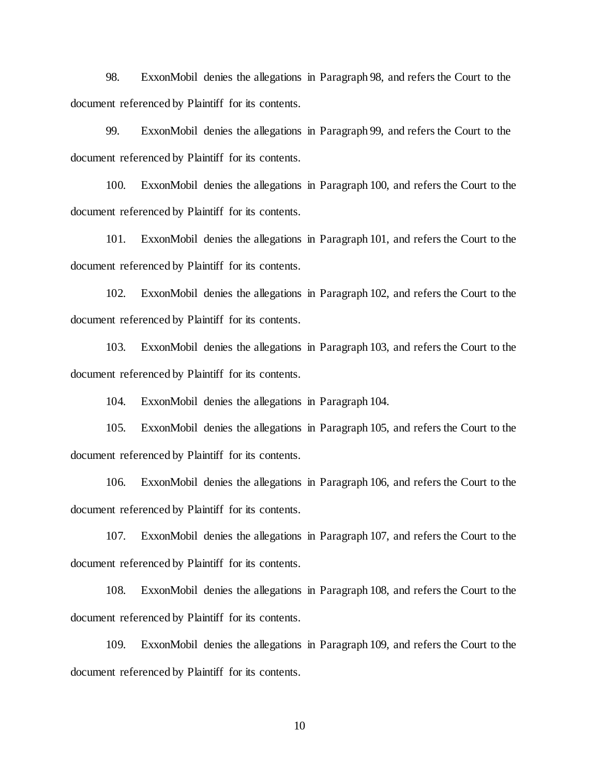98. ExxonMobil denies the allegations in Paragraph 98, and refers the Court to the document referenced by Plaintiff for its contents.

99. ExxonMobil denies the allegations in Paragraph 99, and refers the Court to the document referenced by Plaintiff for its contents.

100. ExxonMobil denies the allegations in Paragraph 100, and refers the Court to the document referenced by Plaintiff for its contents.

101. ExxonMobil denies the allegations in Paragraph 101, and refers the Court to the document referenced by Plaintiff for its contents.

102. ExxonMobil denies the allegations in Paragraph 102, and refers the Court to the document referenced by Plaintiff for its contents.

103. ExxonMobil denies the allegations in Paragraph 103, and refers the Court to the document referenced by Plaintiff for its contents.

104. ExxonMobil denies the allegations in Paragraph 104.

105. ExxonMobil denies the allegations in Paragraph 105, and refers the Court to the document referenced by Plaintiff for its contents.

106. ExxonMobil denies the allegations in Paragraph 106, and refers the Court to the document referenced by Plaintiff for its contents.

107. ExxonMobil denies the allegations in Paragraph 107, and refers the Court to the document referenced by Plaintiff for its contents.

108. ExxonMobil denies the allegations in Paragraph 108, and refers the Court to the document referenced by Plaintiff for its contents.

109. ExxonMobil denies the allegations in Paragraph 109, and refers the Court to the document referenced by Plaintiff for its contents.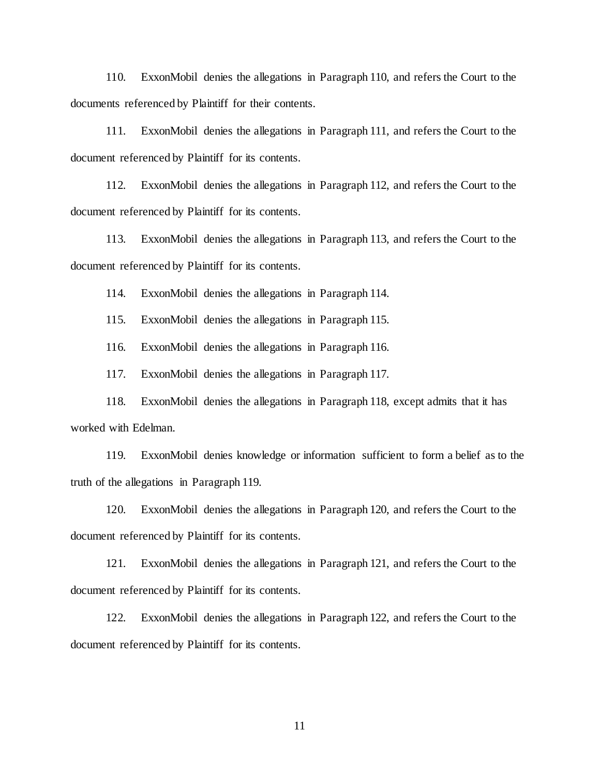110. ExxonMobil denies the allegations in Paragraph 110, and refers the Court to the documents referenced by Plaintiff for their contents.

111. ExxonMobil denies the allegations in Paragraph 111, and refers the Court to the document referenced by Plaintiff for its contents.

112. ExxonMobil denies the allegations in Paragraph 112, and refers the Court to the document referenced by Plaintiff for its contents.

113. ExxonMobil denies the allegations in Paragraph 113, and refers the Court to the document referenced by Plaintiff for its contents.

114. ExxonMobil denies the allegations in Paragraph 114.

115. ExxonMobil denies the allegations in Paragraph 115.

116. ExxonMobil denies the allegations in Paragraph 116.

117. ExxonMobil denies the allegations in Paragraph 117.

118. ExxonMobil denies the allegations in Paragraph 118, except admits that it has worked with Edelman.

119. ExxonMobil denies knowledge or information sufficient to form a belief as to the truth of the allegations in Paragraph 119.

120. ExxonMobil denies the allegations in Paragraph 120, and refers the Court to the document referenced by Plaintiff for its contents.

121. ExxonMobil denies the allegations in Paragraph 121, and refers the Court to the document referenced by Plaintiff for its contents.

122. ExxonMobil denies the allegations in Paragraph 122, and refers the Court to the document referenced by Plaintiff for its contents.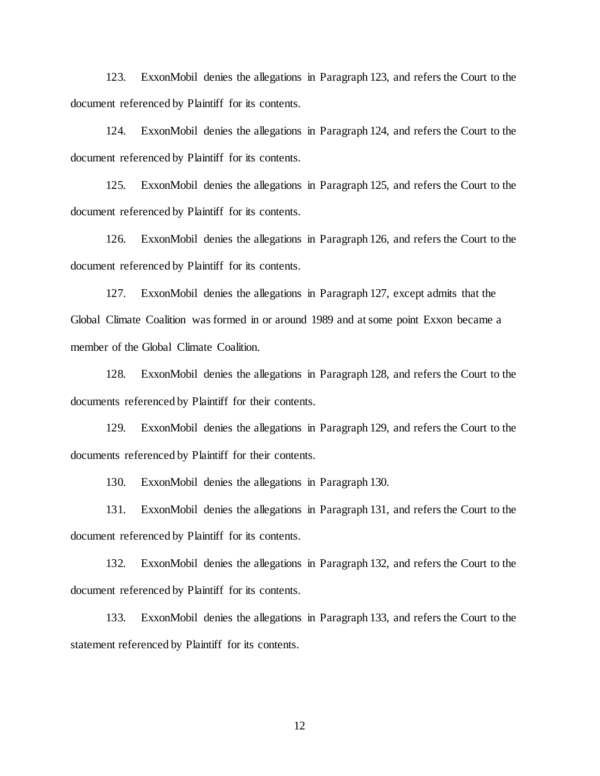123. ExxonMobil denies the allegations in Paragraph 123, and refers the Court to the document referenced by Plaintiff for its contents.

124. ExxonMobil denies the allegations in Paragraph 124, and refers the Court to the document referenced by Plaintiff for its contents.

125. ExxonMobil denies the allegations in Paragraph 125, and refers the Court to the document referenced by Plaintiff for its contents.

126. ExxonMobil denies the allegations in Paragraph 126, and refers the Court to the document referenced by Plaintiff for its contents.

127. ExxonMobil denies the allegations in Paragraph 127, except admits that the Global Climate Coalition was formed in or around 1989 and at some point Exxon became a member of the Global Climate Coalition.

128. ExxonMobil denies the allegations in Paragraph 128, and refers the Court to the documents referenced by Plaintiff for their contents.

129. ExxonMobil denies the allegations in Paragraph 129, and refers the Court to the documents referenced by Plaintiff for their contents.

130. ExxonMobil denies the allegations in Paragraph 130.

131. ExxonMobil denies the allegations in Paragraph 131, and refers the Court to the document referenced by Plaintiff for its contents.

132. ExxonMobil denies the allegations in Paragraph 132, and refers the Court to the document referenced by Plaintiff for its contents.

133. ExxonMobil denies the allegations in Paragraph 133, and refers the Court to the statement referenced by Plaintiff for its contents.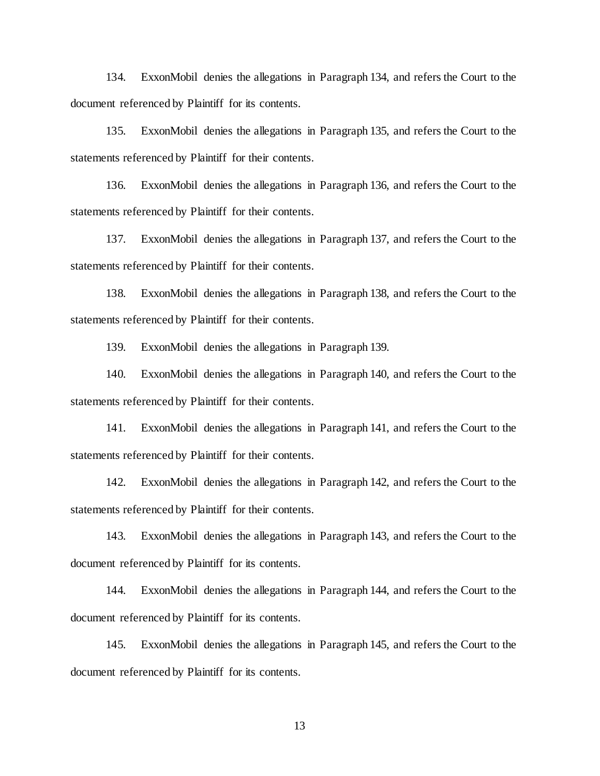134. ExxonMobil denies the allegations in Paragraph 134, and refers the Court to the document referenced by Plaintiff for its contents.

135. ExxonMobil denies the allegations in Paragraph 135, and refers the Court to the statements referenced by Plaintiff for their contents.

136. ExxonMobil denies the allegations in Paragraph 136, and refers the Court to the statements referenced by Plaintiff for their contents.

137. ExxonMobil denies the allegations in Paragraph 137, and refers the Court to the statements referenced by Plaintiff for their contents.

138. ExxonMobil denies the allegations in Paragraph 138, and refers the Court to the statements referenced by Plaintiff for their contents.

139. ExxonMobil denies the allegations in Paragraph 139.

140. ExxonMobil denies the allegations in Paragraph 140, and refers the Court to the statements referenced by Plaintiff for their contents.

141. ExxonMobil denies the allegations in Paragraph 141, and refers the Court to the statements referenced by Plaintiff for their contents.

142. ExxonMobil denies the allegations in Paragraph 142, and refers the Court to the statements referenced by Plaintiff for their contents.

143. ExxonMobil denies the allegations in Paragraph 143, and refers the Court to the document referenced by Plaintiff for its contents.

144. ExxonMobil denies the allegations in Paragraph 144, and refers the Court to the document referenced by Plaintiff for its contents.

145. ExxonMobil denies the allegations in Paragraph 145, and refers the Court to the document referenced by Plaintiff for its contents.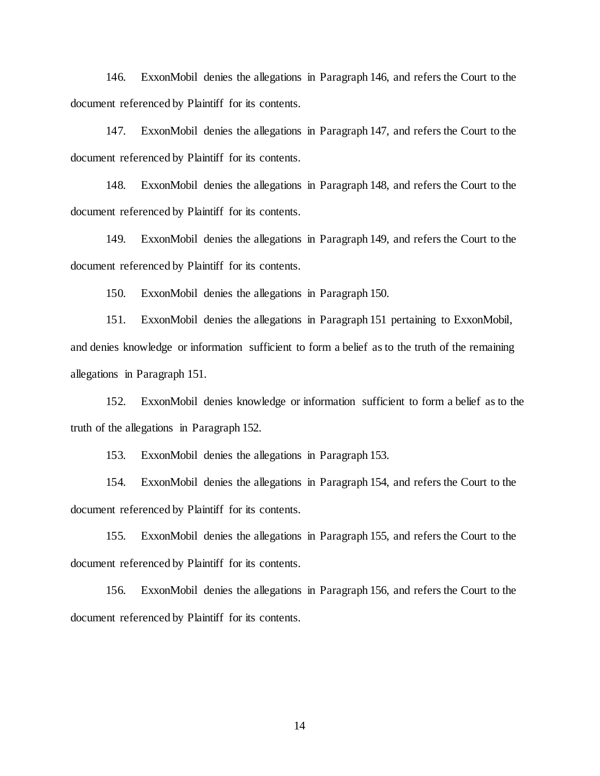146. ExxonMobil denies the allegations in Paragraph 146, and refers the Court to the document referenced by Plaintiff for its contents.

147. ExxonMobil denies the allegations in Paragraph 147, and refers the Court to the document referenced by Plaintiff for its contents.

148. ExxonMobil denies the allegations in Paragraph 148, and refers the Court to the document referenced by Plaintiff for its contents.

149. ExxonMobil denies the allegations in Paragraph 149, and refers the Court to the document referenced by Plaintiff for its contents.

150. ExxonMobil denies the allegations in Paragraph 150.

151. ExxonMobil denies the allegations in Paragraph 151 pertaining to ExxonMobil, and denies knowledge or information sufficient to form a belief as to the truth of the remaining allegations in Paragraph 151.

152. ExxonMobil denies knowledge or information sufficient to form a belief as to the truth of the allegations in Paragraph 152.

153. ExxonMobil denies the allegations in Paragraph 153.

154. ExxonMobil denies the allegations in Paragraph 154, and refers the Court to the document referenced by Plaintiff for its contents.

155. ExxonMobil denies the allegations in Paragraph 155, and refers the Court to the document referenced by Plaintiff for its contents.

156. ExxonMobil denies the allegations in Paragraph 156, and refers the Court to the document referenced by Plaintiff for its contents.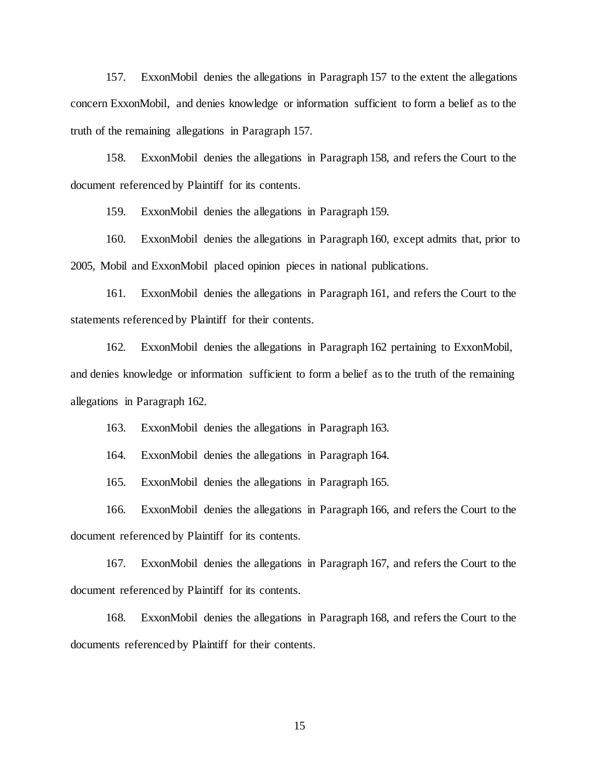157. ExxonMobil denies the allegations in Paragraph 157 to the extent the allegations concern ExxonMobil, and denies knowledge or information sufficient to form a belief as to the truth of the remaining allegations in Paragraph 157.

158. ExxonMobil denies the allegations in Paragraph 158, and refers the Court to the document referenced by Plaintiff for its contents.

159. ExxonMobil denies the allegations in Paragraph 159.

160. ExxonMobil denies the allegations in Paragraph 160, except admits that, prior to 2005, Mobil and ExxonMobil placed opinion pieces in national publications.

161. ExxonMobil denies the allegations in Paragraph 161, and refers the Court to the statements referenced by Plaintiff for their contents.

162. ExxonMobil denies the allegations in Paragraph 162 pertaining to ExxonMobil, and denies knowledge or information sufficient to form a belief as to the truth of the remaining allegations in Paragraph 162.

163. ExxonMobil denies the allegations in Paragraph 163.

164. ExxonMobil denies the allegations in Paragraph 164.

165. ExxonMobil denies the allegations in Paragraph 165.

166. ExxonMobil denies the allegations in Paragraph 166, and refers the Court to the document referenced by Plaintiff for its contents.

167. ExxonMobil denies the allegations in Paragraph 167, and refers the Court to the document referenced by Plaintiff for its contents.

168. ExxonMobil denies the allegations in Paragraph 168, and refers the Court to the documents referenced by Plaintiff for their contents.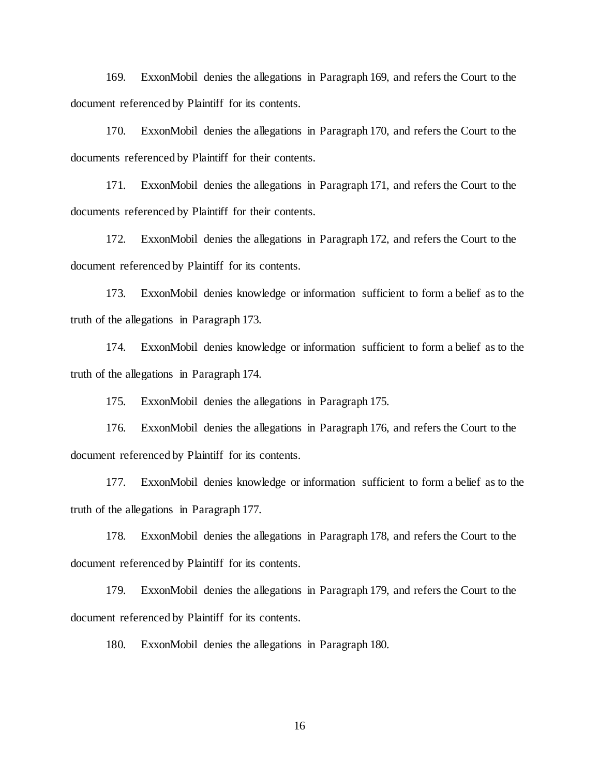169. ExxonMobil denies the allegations in Paragraph 169, and refers the Court to the document referenced by Plaintiff for its contents.

170. ExxonMobil denies the allegations in Paragraph 170, and refers the Court to the documents referenced by Plaintiff for their contents.

171. ExxonMobil denies the allegations in Paragraph 171, and refers the Court to the documents referenced by Plaintiff for their contents.

172. ExxonMobil denies the allegations in Paragraph 172, and refers the Court to the document referenced by Plaintiff for its contents.

173. ExxonMobil denies knowledge or information sufficient to form a belief as to the truth of the allegations in Paragraph 173.

174. ExxonMobil denies knowledge or information sufficient to form a belief as to the truth of the allegations in Paragraph 174.

175. ExxonMobil denies the allegations in Paragraph 175.

176. ExxonMobil denies the allegations in Paragraph 176, and refers the Court to the document referenced by Plaintiff for its contents.

177. ExxonMobil denies knowledge or information sufficient to form a belief as to the truth of the allegations in Paragraph 177.

178. ExxonMobil denies the allegations in Paragraph 178, and refers the Court to the document referenced by Plaintiff for its contents.

179. ExxonMobil denies the allegations in Paragraph 179, and refers the Court to the document referenced by Plaintiff for its contents.

180. ExxonMobil denies the allegations in Paragraph 180.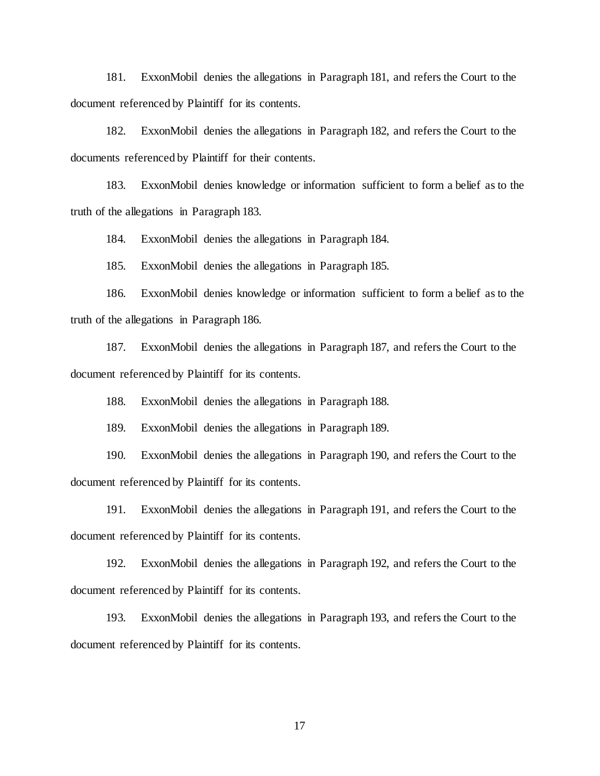181. ExxonMobil denies the allegations in Paragraph 181, and refers the Court to the document referenced by Plaintiff for its contents.

182. ExxonMobil denies the allegations in Paragraph 182, and refers the Court to the documents referenced by Plaintiff for their contents.

183. ExxonMobil denies knowledge or information sufficient to form a belief as to the truth of the allegations in Paragraph 183.

184. ExxonMobil denies the allegations in Paragraph 184.

185. ExxonMobil denies the allegations in Paragraph 185.

186. ExxonMobil denies knowledge or information sufficient to form a belief as to the truth of the allegations in Paragraph 186.

187. ExxonMobil denies the allegations in Paragraph 187, and refers the Court to the document referenced by Plaintiff for its contents.

188. ExxonMobil denies the allegations in Paragraph 188.

189. ExxonMobil denies the allegations in Paragraph 189.

190. ExxonMobil denies the allegations in Paragraph 190, and refers the Court to the document referenced by Plaintiff for its contents.

191. ExxonMobil denies the allegations in Paragraph 191, and refers the Court to the document referenced by Plaintiff for its contents.

192. ExxonMobil denies the allegations in Paragraph 192, and refers the Court to the document referenced by Plaintiff for its contents.

193. ExxonMobil denies the allegations in Paragraph 193, and refers the Court to the document referenced by Plaintiff for its contents.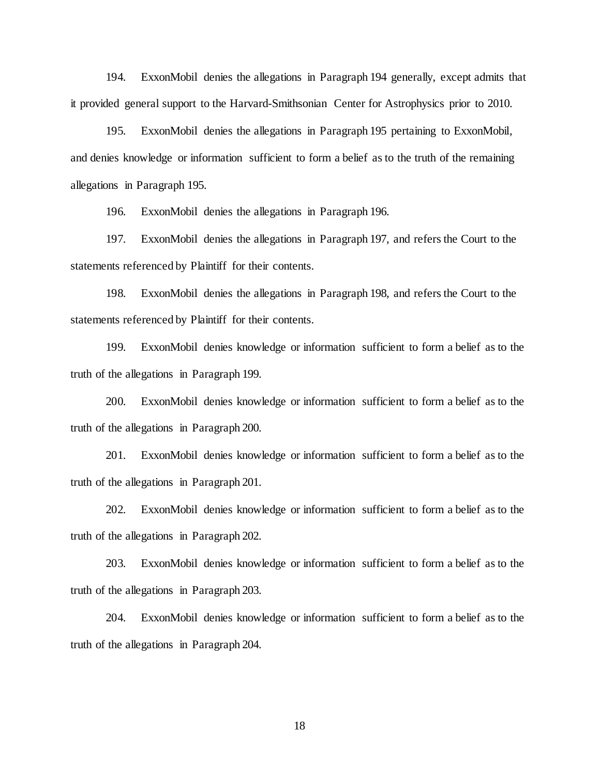194. ExxonMobil denies the allegations in Paragraph 194 generally, except admits that it provided general support to the Harvard-Smithsonian Center for Astrophysics prior to 2010.

195. ExxonMobil denies the allegations in Paragraph 195 pertaining to ExxonMobil, and denies knowledge or information sufficient to form a belief as to the truth of the remaining allegations in Paragraph 195.

196. ExxonMobil denies the allegations in Paragraph 196.

197. ExxonMobil denies the allegations in Paragraph 197, and refers the Court to the statements referenced by Plaintiff for their contents.

198. ExxonMobil denies the allegations in Paragraph 198, and refers the Court to the statements referenced by Plaintiff for their contents.

199. ExxonMobil denies knowledge or information sufficient to form a belief as to the truth of the allegations in Paragraph 199.

200. ExxonMobil denies knowledge or information sufficient to form a belief as to the truth of the allegations in Paragraph 200.

201. ExxonMobil denies knowledge or information sufficient to form a belief as to the truth of the allegations in Paragraph 201.

202. ExxonMobil denies knowledge or information sufficient to form a belief as to the truth of the allegations in Paragraph 202.

203. ExxonMobil denies knowledge or information sufficient to form a belief as to the truth of the allegations in Paragraph 203.

204. ExxonMobil denies knowledge or information sufficient to form a belief as to the truth of the allegations in Paragraph 204.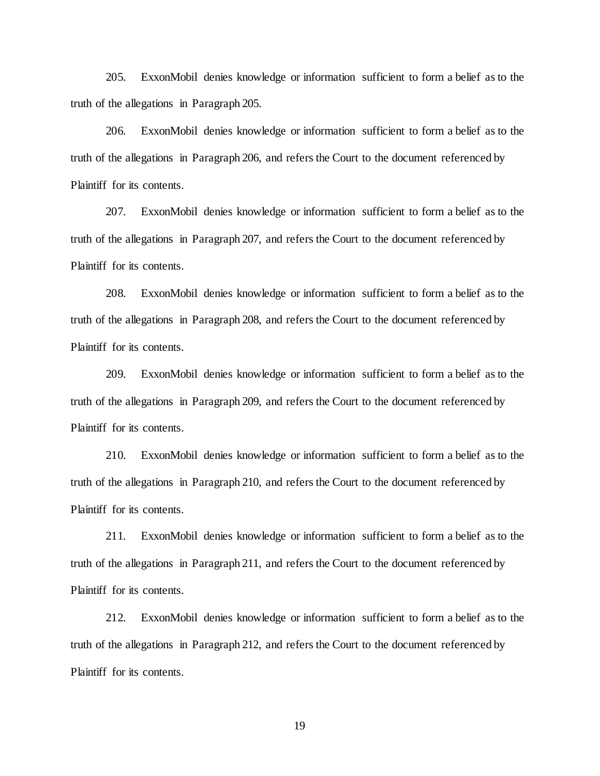205. ExxonMobil denies knowledge or information sufficient to form a belief as to the truth of the allegations in Paragraph 205.

206. ExxonMobil denies knowledge or information sufficient to form a belief as to the truth of the allegations in Paragraph 206, and refers the Court to the document referenced by Plaintiff for its contents.

207. ExxonMobil denies knowledge or information sufficient to form a belief as to the truth of the allegations in Paragraph 207, and refers the Court to the document referenced by Plaintiff for its contents.

208. ExxonMobil denies knowledge or information sufficient to form a belief as to the truth of the allegations in Paragraph 208, and refers the Court to the document referenced by Plaintiff for its contents.

209. ExxonMobil denies knowledge or information sufficient to form a belief as to the truth of the allegations in Paragraph 209, and refers the Court to the document referenced by Plaintiff for its contents.

210. ExxonMobil denies knowledge or information sufficient to form a belief as to the truth of the allegations in Paragraph 210, and refers the Court to the document referenced by Plaintiff for its contents.

211. ExxonMobil denies knowledge or information sufficient to form a belief as to the truth of the allegations in Paragraph 211, and refers the Court to the document referenced by Plaintiff for its contents.

212. ExxonMobil denies knowledge or information sufficient to form a belief as to the truth of the allegations in Paragraph 212, and refers the Court to the document referenced by Plaintiff for its contents.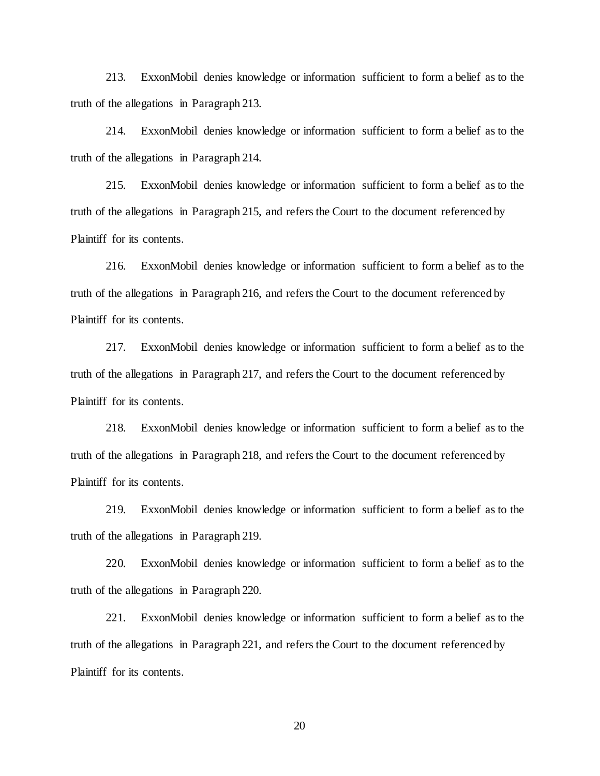213. ExxonMobil denies knowledge or information sufficient to form a belief as to the truth of the allegations in Paragraph 213.

214. ExxonMobil denies knowledge or information sufficient to form a belief as to the truth of the allegations in Paragraph 214.

215. ExxonMobil denies knowledge or information sufficient to form a belief as to the truth of the allegations in Paragraph 215, and refers the Court to the document referenced by Plaintiff for its contents.

216. ExxonMobil denies knowledge or information sufficient to form a belief as to the truth of the allegations in Paragraph 216, and refers the Court to the document referenced by Plaintiff for its contents.

217. ExxonMobil denies knowledge or information sufficient to form a belief as to the truth of the allegations in Paragraph 217, and refers the Court to the document referenced by Plaintiff for its contents.

218. ExxonMobil denies knowledge or information sufficient to form a belief as to the truth of the allegations in Paragraph 218, and refers the Court to the document referenced by Plaintiff for its contents.

219. ExxonMobil denies knowledge or information sufficient to form a belief as to the truth of the allegations in Paragraph 219.

220. ExxonMobil denies knowledge or information sufficient to form a belief as to the truth of the allegations in Paragraph 220.

221. ExxonMobil denies knowledge or information sufficient to form a belief as to the truth of the allegations in Paragraph 221, and refers the Court to the document referenced by Plaintiff for its contents.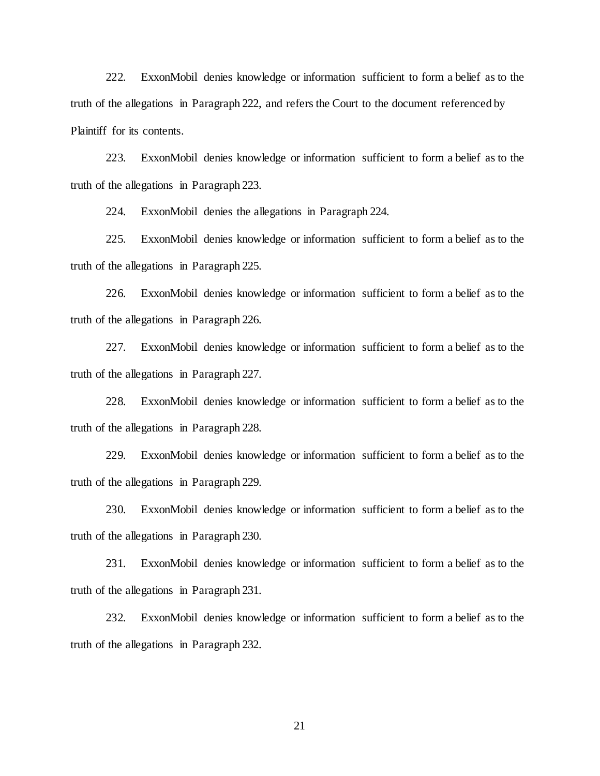222. ExxonMobil denies knowledge or information sufficient to form a belief as to the truth of the allegations in Paragraph 222, and refers the Court to the document referenced by Plaintiff for its contents.

223. ExxonMobil denies knowledge or information sufficient to form a belief as to the truth of the allegations in Paragraph 223.

224. ExxonMobil denies the allegations in Paragraph 224.

225. ExxonMobil denies knowledge or information sufficient to form a belief as to the truth of the allegations in Paragraph 225.

226. ExxonMobil denies knowledge or information sufficient to form a belief as to the truth of the allegations in Paragraph 226.

227. ExxonMobil denies knowledge or information sufficient to form a belief as to the truth of the allegations in Paragraph 227.

228. ExxonMobil denies knowledge or information sufficient to form a belief as to the truth of the allegations in Paragraph 228.

229. ExxonMobil denies knowledge or information sufficient to form a belief as to the truth of the allegations in Paragraph 229.

230. ExxonMobil denies knowledge or information sufficient to form a belief as to the truth of the allegations in Paragraph 230.

231. ExxonMobil denies knowledge or information sufficient to form a belief as to the truth of the allegations in Paragraph 231.

232. ExxonMobil denies knowledge or information sufficient to form a belief as to the truth of the allegations in Paragraph 232.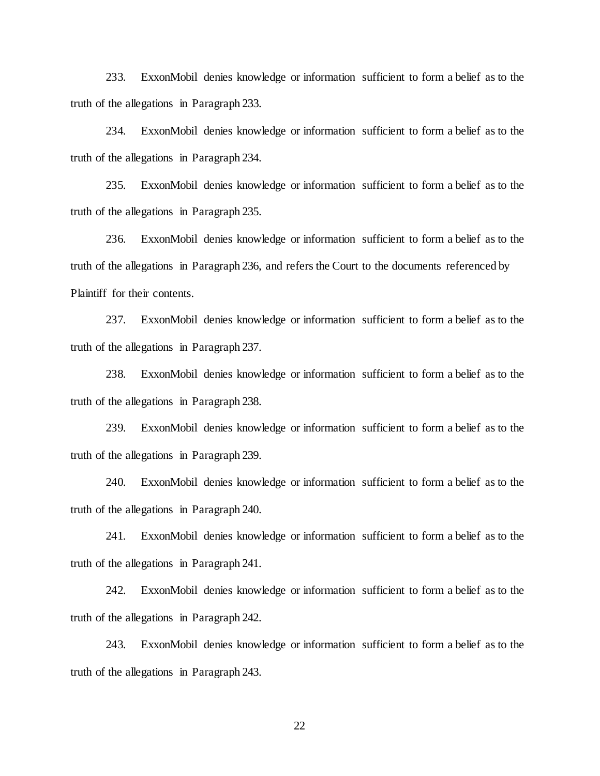233. ExxonMobil denies knowledge or information sufficient to form a belief as to the truth of the allegations in Paragraph 233.

234. ExxonMobil denies knowledge or information sufficient to form a belief as to the truth of the allegations in Paragraph 234.

235. ExxonMobil denies knowledge or information sufficient to form a belief as to the truth of the allegations in Paragraph 235.

236. ExxonMobil denies knowledge or information sufficient to form a belief as to the truth of the allegations in Paragraph 236, and refers the Court to the documents referenced by Plaintiff for their contents.

237. ExxonMobil denies knowledge or information sufficient to form a belief as to the truth of the allegations in Paragraph 237.

238. ExxonMobil denies knowledge or information sufficient to form a belief as to the truth of the allegations in Paragraph 238.

239. ExxonMobil denies knowledge or information sufficient to form a belief as to the truth of the allegations in Paragraph 239.

240. ExxonMobil denies knowledge or information sufficient to form a belief as to the truth of the allegations in Paragraph 240.

241. ExxonMobil denies knowledge or information sufficient to form a belief as to the truth of the allegations in Paragraph 241.

242. ExxonMobil denies knowledge or information sufficient to form a belief as to the truth of the allegations in Paragraph 242.

243. ExxonMobil denies knowledge or information sufficient to form a belief as to the truth of the allegations in Paragraph 243.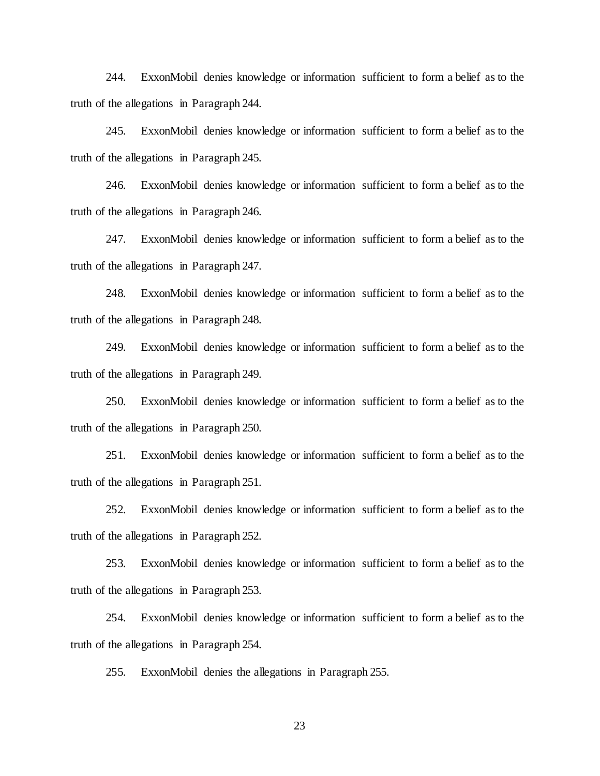244. ExxonMobil denies knowledge or information sufficient to form a belief as to the truth of the allegations in Paragraph 244.

245. ExxonMobil denies knowledge or information sufficient to form a belief as to the truth of the allegations in Paragraph 245.

246. ExxonMobil denies knowledge or information sufficient to form a belief as to the truth of the allegations in Paragraph 246.

247. ExxonMobil denies knowledge or information sufficient to form a belief as to the truth of the allegations in Paragraph 247.

248. ExxonMobil denies knowledge or information sufficient to form a belief as to the truth of the allegations in Paragraph 248.

249. ExxonMobil denies knowledge or information sufficient to form a belief as to the truth of the allegations in Paragraph 249.

250. ExxonMobil denies knowledge or information sufficient to form a belief as to the truth of the allegations in Paragraph 250.

251. ExxonMobil denies knowledge or information sufficient to form a belief as to the truth of the allegations in Paragraph 251.

252. ExxonMobil denies knowledge or information sufficient to form a belief as to the truth of the allegations in Paragraph 252.

253. ExxonMobil denies knowledge or information sufficient to form a belief as to the truth of the allegations in Paragraph 253.

254. ExxonMobil denies knowledge or information sufficient to form a belief as to the truth of the allegations in Paragraph 254.

255. ExxonMobil denies the allegations in Paragraph 255.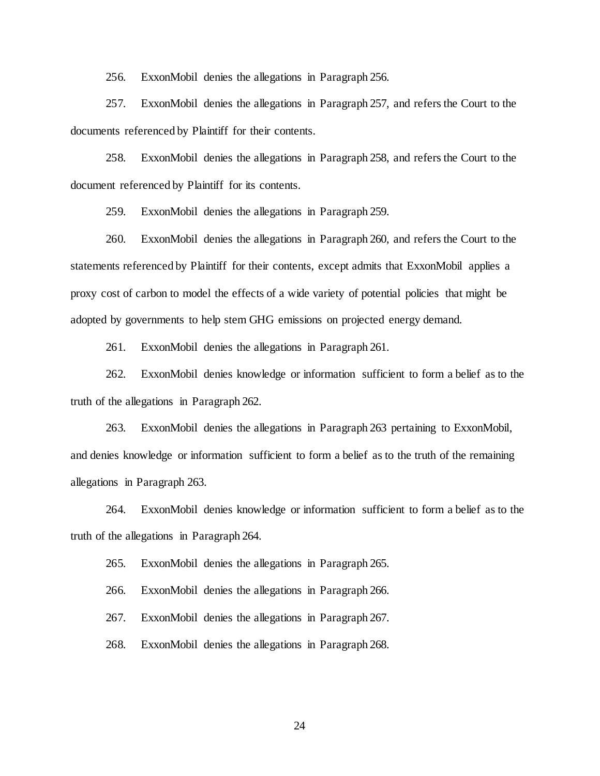256. ExxonMobil denies the allegations in Paragraph 256.

257. ExxonMobil denies the allegations in Paragraph 257, and refers the Court to the documents referenced by Plaintiff for their contents.

258. ExxonMobil denies the allegations in Paragraph 258, and refers the Court to the document referenced by Plaintiff for its contents.

259. ExxonMobil denies the allegations in Paragraph 259.

260. ExxonMobil denies the allegations in Paragraph 260, and refers the Court to the statements referenced by Plaintiff for their contents, except admits that ExxonMobil applies a proxy cost of carbon to model the effects of a wide variety of potential policies that might be adopted by governments to help stem GHG emissions on projected energy demand.

261. ExxonMobil denies the allegations in Paragraph 261.

262. ExxonMobil denies knowledge or information sufficient to form a belief as to the truth of the allegations in Paragraph 262.

263. ExxonMobil denies the allegations in Paragraph 263 pertaining to ExxonMobil, and denies knowledge or information sufficient to form a belief as to the truth of the remaining allegations in Paragraph 263.

264. ExxonMobil denies knowledge or information sufficient to form a belief as to the truth of the allegations in Paragraph 264.

265. ExxonMobil denies the allegations in Paragraph 265.

266. ExxonMobil denies the allegations in Paragraph 266.

267. ExxonMobil denies the allegations in Paragraph 267.

268. ExxonMobil denies the allegations in Paragraph 268.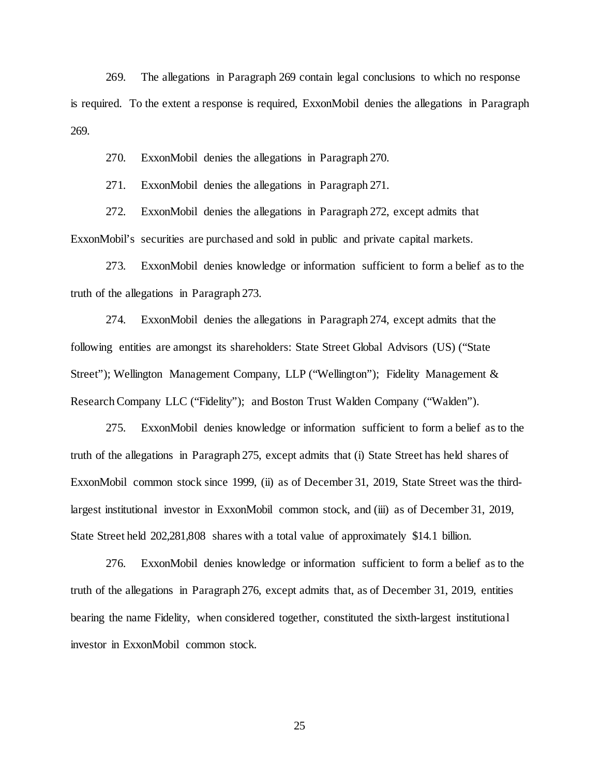269. The allegations in Paragraph 269 contain legal conclusions to which no response is required. To the extent a response is required, ExxonMobil denies the allegations in Paragraph 269.

270. ExxonMobil denies the allegations in Paragraph 270.

271. ExxonMobil denies the allegations in Paragraph 271.

272. ExxonMobil denies the allegations in Paragraph 272, except admits that ExxonMobil's securities are purchased and sold in public and private capital markets.

273. ExxonMobil denies knowledge or information sufficient to form a belief as to the truth of the allegations in Paragraph 273.

274. ExxonMobil denies the allegations in Paragraph 274, except admits that the following entities are amongst its shareholders: State Street Global Advisors (US) ("State Street"); Wellington Management Company, LLP ("Wellington"); Fidelity Management & Research Company LLC ("Fidelity"); and Boston Trust Walden Company ("Walden").

275. ExxonMobil denies knowledge or information sufficient to form a belief as to the truth of the allegations in Paragraph 275, except admits that (i) State Street has held shares of ExxonMobil common stock since 1999, (ii) as of December 31, 2019, State Street was the thirdlargest institutional investor in ExxonMobil common stock, and (iii) as of December 31, 2019, State Street held 202,281,808 shares with a total value of approximately \$14.1 billion.

276. ExxonMobil denies knowledge or information sufficient to form a belief as to the truth of the allegations in Paragraph 276, except admits that, as of December 31, 2019, entities bearing the name Fidelity, when considered together, constituted the sixth-largest institutional investor in ExxonMobil common stock.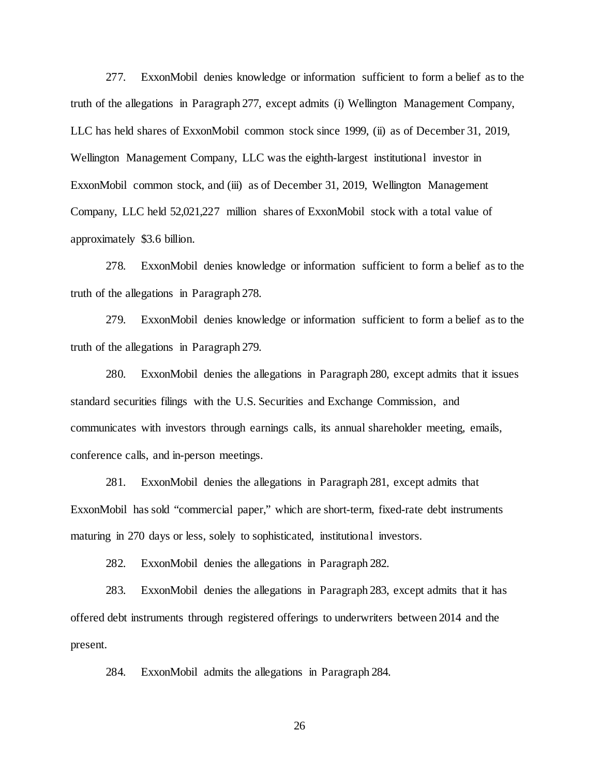277. ExxonMobil denies knowledge or information sufficient to form a belief as to the truth of the allegations in Paragraph 277, except admits (i) Wellington Management Company, LLC has held shares of ExxonMobil common stock since 1999, (ii) as of December 31, 2019, Wellington Management Company, LLC was the eighth-largest institutional investor in ExxonMobil common stock, and (iii) as of December 31, 2019, Wellington Management Company, LLC held 52,021,227 million shares of ExxonMobil stock with a total value of approximately \$3.6 billion.

278. ExxonMobil denies knowledge or information sufficient to form a belief as to the truth of the allegations in Paragraph 278.

279. ExxonMobil denies knowledge or information sufficient to form a belief as to the truth of the allegations in Paragraph 279.

280. ExxonMobil denies the allegations in Paragraph 280, except admits that it issues standard securities filings with the U.S. Securities and Exchange Commission, and communicates with investors through earnings calls, its annual shareholder meeting, emails, conference calls, and in-person meetings.

281. ExxonMobil denies the allegations in Paragraph 281, except admits that ExxonMobil has sold "commercial paper," which are short-term, fixed-rate debt instruments maturing in 270 days or less, solely to sophisticated, institutional investors.

282. ExxonMobil denies the allegations in Paragraph 282.

283. ExxonMobil denies the allegations in Paragraph 283, except admits that it has offered debt instruments through registered offerings to underwriters between 2014 and the present.

284. ExxonMobil admits the allegations in Paragraph 284.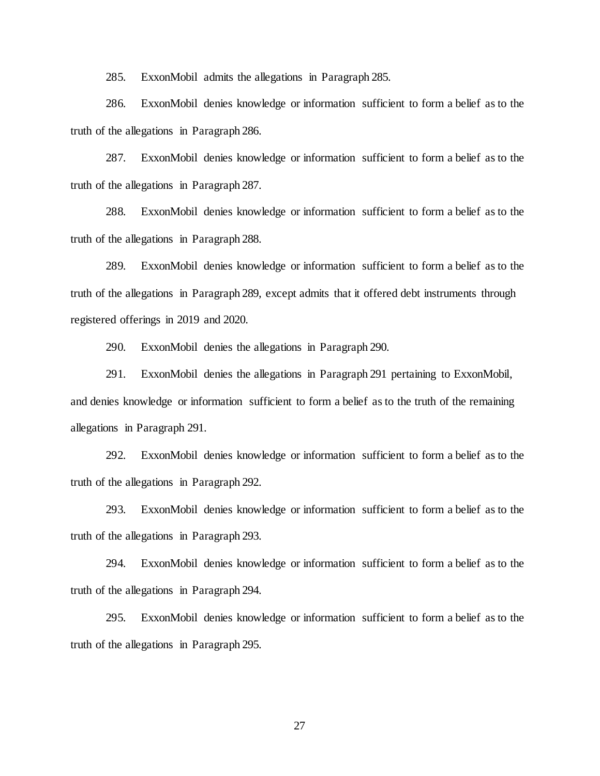285. ExxonMobil admits the allegations in Paragraph 285.

286. ExxonMobil denies knowledge or information sufficient to form a belief as to the truth of the allegations in Paragraph 286.

287. ExxonMobil denies knowledge or information sufficient to form a belief as to the truth of the allegations in Paragraph 287.

288. ExxonMobil denies knowledge or information sufficient to form a belief as to the truth of the allegations in Paragraph 288.

289. ExxonMobil denies knowledge or information sufficient to form a belief as to the truth of the allegations in Paragraph 289, except admits that it offered debt instruments through registered offerings in 2019 and 2020.

290. ExxonMobil denies the allegations in Paragraph 290.

291. ExxonMobil denies the allegations in Paragraph 291 pertaining to ExxonMobil, and denies knowledge or information sufficient to form a belief as to the truth of the remaining allegations in Paragraph 291.

292. ExxonMobil denies knowledge or information sufficient to form a belief as to the truth of the allegations in Paragraph 292.

293. ExxonMobil denies knowledge or information sufficient to form a belief as to the truth of the allegations in Paragraph 293.

294. ExxonMobil denies knowledge or information sufficient to form a belief as to the truth of the allegations in Paragraph 294.

295. ExxonMobil denies knowledge or information sufficient to form a belief as to the truth of the allegations in Paragraph 295.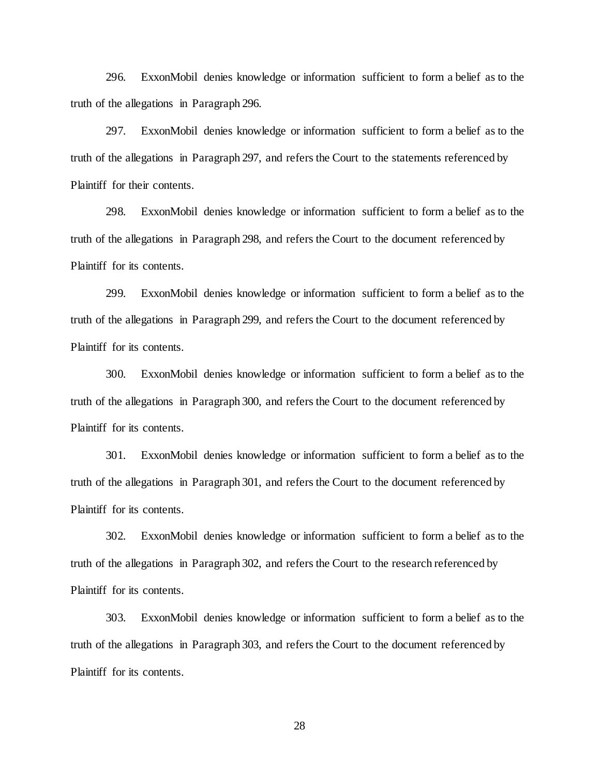296. ExxonMobil denies knowledge or information sufficient to form a belief as to the truth of the allegations in Paragraph 296.

297. ExxonMobil denies knowledge or information sufficient to form a belief as to the truth of the allegations in Paragraph 297, and refers the Court to the statements referenced by Plaintiff for their contents.

298. ExxonMobil denies knowledge or information sufficient to form a belief as to the truth of the allegations in Paragraph 298, and refers the Court to the document referenced by Plaintiff for its contents.

299. ExxonMobil denies knowledge or information sufficient to form a belief as to the truth of the allegations in Paragraph 299, and refers the Court to the document referenced by Plaintiff for its contents.

300. ExxonMobil denies knowledge or information sufficient to form a belief as to the truth of the allegations in Paragraph 300, and refers the Court to the document referenced by Plaintiff for its contents.

301. ExxonMobil denies knowledge or information sufficient to form a belief as to the truth of the allegations in Paragraph 301, and refers the Court to the document referenced by Plaintiff for its contents.

302. ExxonMobil denies knowledge or information sufficient to form a belief as to the truth of the allegations in Paragraph 302, and refers the Court to the research referenced by Plaintiff for its contents.

303. ExxonMobil denies knowledge or information sufficient to form a belief as to the truth of the allegations in Paragraph 303, and refers the Court to the document referenced by Plaintiff for its contents.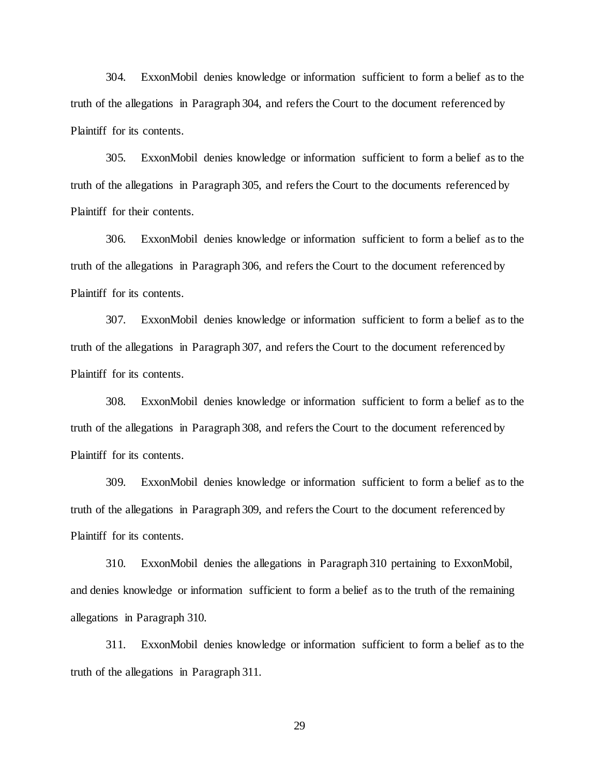304. ExxonMobil denies knowledge or information sufficient to form a belief as to the truth of the allegations in Paragraph 304, and refers the Court to the document referenced by Plaintiff for its contents.

305. ExxonMobil denies knowledge or information sufficient to form a belief as to the truth of the allegations in Paragraph 305, and refers the Court to the documents referenced by Plaintiff for their contents.

306. ExxonMobil denies knowledge or information sufficient to form a belief as to the truth of the allegations in Paragraph 306, and refers the Court to the document referenced by Plaintiff for its contents.

307. ExxonMobil denies knowledge or information sufficient to form a belief as to the truth of the allegations in Paragraph 307, and refers the Court to the document referenced by Plaintiff for its contents.

308. ExxonMobil denies knowledge or information sufficient to form a belief as to the truth of the allegations in Paragraph 308, and refers the Court to the document referenced by Plaintiff for its contents.

309. ExxonMobil denies knowledge or information sufficient to form a belief as to the truth of the allegations in Paragraph 309, and refers the Court to the document referenced by Plaintiff for its contents.

310. ExxonMobil denies the allegations in Paragraph 310 pertaining to ExxonMobil, and denies knowledge or information sufficient to form a belief as to the truth of the remaining allegations in Paragraph 310.

311. ExxonMobil denies knowledge or information sufficient to form a belief as to the truth of the allegations in Paragraph 311.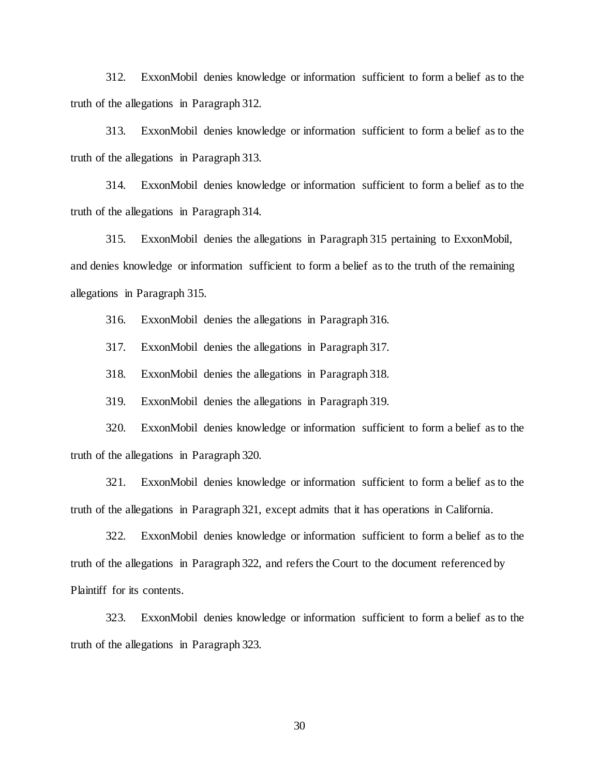312. ExxonMobil denies knowledge or information sufficient to form a belief as to the truth of the allegations in Paragraph 312.

313. ExxonMobil denies knowledge or information sufficient to form a belief as to the truth of the allegations in Paragraph 313.

314. ExxonMobil denies knowledge or information sufficient to form a belief as to the truth of the allegations in Paragraph 314.

315. ExxonMobil denies the allegations in Paragraph 315 pertaining to ExxonMobil, and denies knowledge or information sufficient to form a belief as to the truth of the remaining allegations in Paragraph 315.

316. ExxonMobil denies the allegations in Paragraph 316.

317. ExxonMobil denies the allegations in Paragraph 317.

318. ExxonMobil denies the allegations in Paragraph 318.

319. ExxonMobil denies the allegations in Paragraph 319.

320. ExxonMobil denies knowledge or information sufficient to form a belief as to the truth of the allegations in Paragraph 320.

321. ExxonMobil denies knowledge or information sufficient to form a belief as to the truth of the allegations in Paragraph 321, except admits that it has operations in California.

322. ExxonMobil denies knowledge or information sufficient to form a belief as to the truth of the allegations in Paragraph 322, and refers the Court to the document referenced by Plaintiff for its contents.

323. ExxonMobil denies knowledge or information sufficient to form a belief as to the truth of the allegations in Paragraph 323.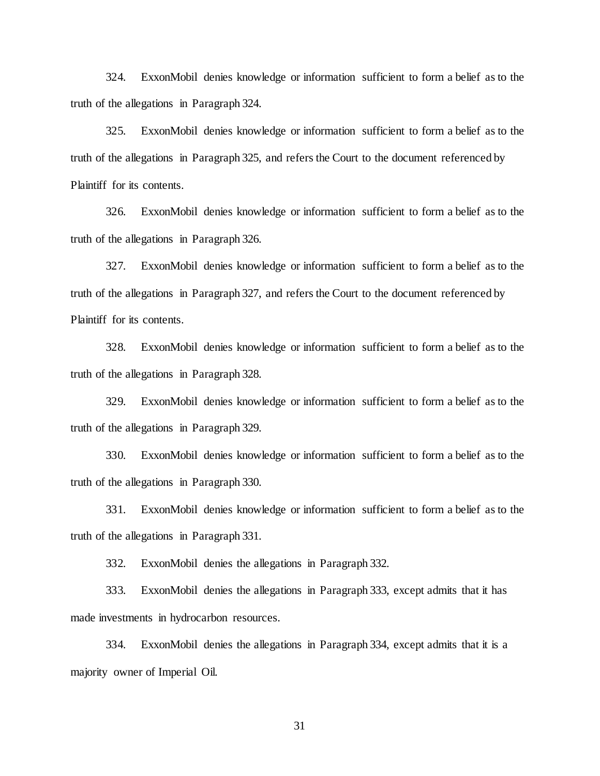324. ExxonMobil denies knowledge or information sufficient to form a belief as to the truth of the allegations in Paragraph 324.

325. ExxonMobil denies knowledge or information sufficient to form a belief as to the truth of the allegations in Paragraph 325, and refers the Court to the document referenced by Plaintiff for its contents.

326. ExxonMobil denies knowledge or information sufficient to form a belief as to the truth of the allegations in Paragraph 326.

327. ExxonMobil denies knowledge or information sufficient to form a belief as to the truth of the allegations in Paragraph 327, and refers the Court to the document referenced by Plaintiff for its contents.

328. ExxonMobil denies knowledge or information sufficient to form a belief as to the truth of the allegations in Paragraph 328.

329. ExxonMobil denies knowledge or information sufficient to form a belief as to the truth of the allegations in Paragraph 329.

330. ExxonMobil denies knowledge or information sufficient to form a belief as to the truth of the allegations in Paragraph 330.

331. ExxonMobil denies knowledge or information sufficient to form a belief as to the truth of the allegations in Paragraph 331.

332. ExxonMobil denies the allegations in Paragraph 332.

333. ExxonMobil denies the allegations in Paragraph 333, except admits that it has made investments in hydrocarbon resources.

334. ExxonMobil denies the allegations in Paragraph 334, except admits that it is a majority owner of Imperial Oil.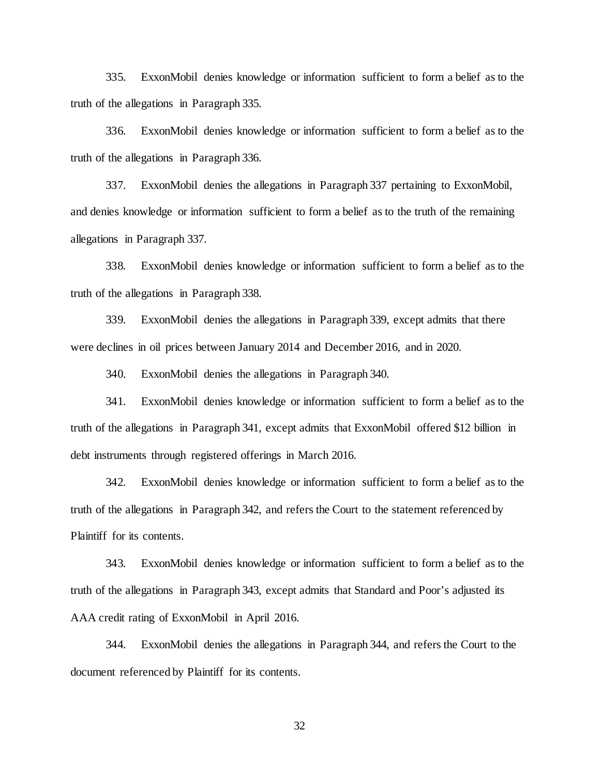335. ExxonMobil denies knowledge or information sufficient to form a belief as to the truth of the allegations in Paragraph 335.

336. ExxonMobil denies knowledge or information sufficient to form a belief as to the truth of the allegations in Paragraph 336.

337. ExxonMobil denies the allegations in Paragraph 337 pertaining to ExxonMobil, and denies knowledge or information sufficient to form a belief as to the truth of the remaining allegations in Paragraph 337.

338. ExxonMobil denies knowledge or information sufficient to form a belief as to the truth of the allegations in Paragraph 338.

339. ExxonMobil denies the allegations in Paragraph 339, except admits that there were declines in oil prices between January 2014 and December 2016, and in 2020.

340. ExxonMobil denies the allegations in Paragraph 340.

341. ExxonMobil denies knowledge or information sufficient to form a belief as to the truth of the allegations in Paragraph 341, except admits that ExxonMobil offered \$12 billion in debt instruments through registered offerings in March 2016.

342. ExxonMobil denies knowledge or information sufficient to form a belief as to the truth of the allegations in Paragraph 342, and refers the Court to the statement referenced by Plaintiff for its contents.

343. ExxonMobil denies knowledge or information sufficient to form a belief as to the truth of the allegations in Paragraph 343, except admits that Standard and Poor's adjusted its AAA credit rating of ExxonMobil in April 2016.

344. ExxonMobil denies the allegations in Paragraph 344, and refers the Court to the document referenced by Plaintiff for its contents.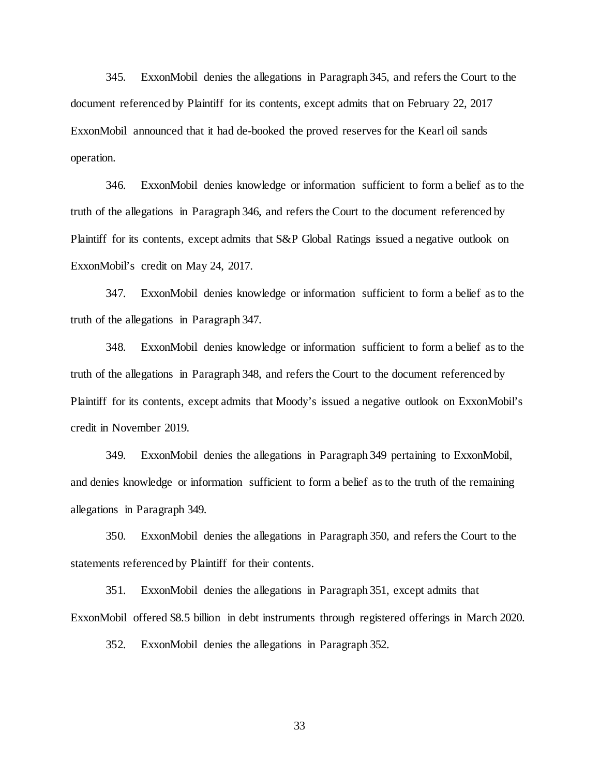345. ExxonMobil denies the allegations in Paragraph 345, and refers the Court to the document referenced by Plaintiff for its contents, except admits that on February 22, 2017 ExxonMobil announced that it had de-booked the proved reserves for the Kearl oil sands operation.

346. ExxonMobil denies knowledge or information sufficient to form a belief as to the truth of the allegations in Paragraph 346, and refers the Court to the document referenced by Plaintiff for its contents, except admits that S&P Global Ratings issued a negative outlook on ExxonMobil's credit on May 24, 2017.

347. ExxonMobil denies knowledge or information sufficient to form a belief as to the truth of the allegations in Paragraph 347.

348. ExxonMobil denies knowledge or information sufficient to form a belief as to the truth of the allegations in Paragraph 348, and refers the Court to the document referenced by Plaintiff for its contents, except admits that Moody's issued a negative outlook on ExxonMobil's credit in November 2019.

349. ExxonMobil denies the allegations in Paragraph 349 pertaining to ExxonMobil, and denies knowledge or information sufficient to form a belief as to the truth of the remaining allegations in Paragraph 349.

350. ExxonMobil denies the allegations in Paragraph 350, and refers the Court to the statements referenced by Plaintiff for their contents.

351. ExxonMobil denies the allegations in Paragraph 351, except admits that ExxonMobil offered \$8.5 billion in debt instruments through registered offerings in March 2020.

352. ExxonMobil denies the allegations in Paragraph 352.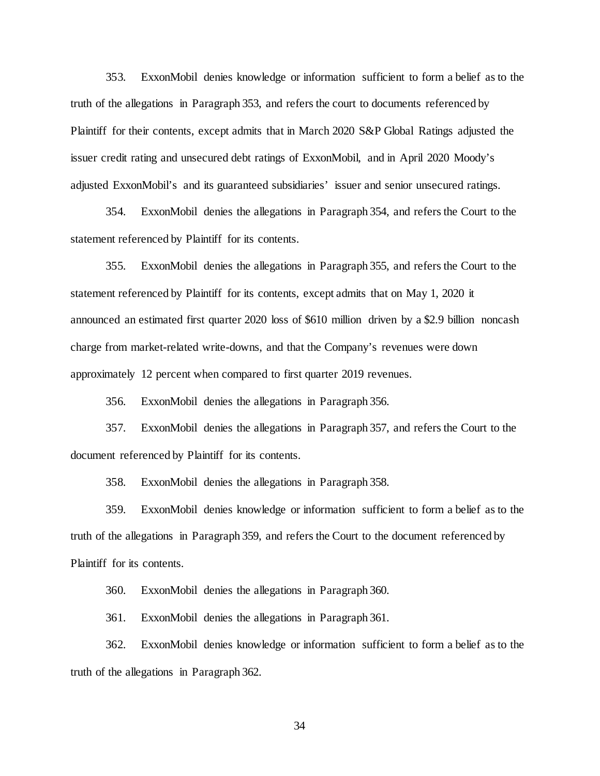353. ExxonMobil denies knowledge or information sufficient to form a belief as to the truth of the allegations in Paragraph 353, and refers the court to documents referenced by Plaintiff for their contents, except admits that in March 2020 S&P Global Ratings adjusted the issuer credit rating and unsecured debt ratings of ExxonMobil, and in April 2020 Moody's adjusted ExxonMobil's and its guaranteed subsidiaries' issuer and senior unsecured ratings.

354. ExxonMobil denies the allegations in Paragraph 354, and refers the Court to the statement referenced by Plaintiff for its contents.

355. ExxonMobil denies the allegations in Paragraph 355, and refers the Court to the statement referenced by Plaintiff for its contents, except admits that on May 1, 2020 it announced an estimated first quarter 2020 loss of \$610 million driven by a \$2.9 billion noncash charge from market-related write-downs, and that the Company's revenues were down approximately 12 percent when compared to first quarter 2019 revenues.

356. ExxonMobil denies the allegations in Paragraph 356.

357. ExxonMobil denies the allegations in Paragraph 357, and refers the Court to the document referenced by Plaintiff for its contents.

358. ExxonMobil denies the allegations in Paragraph 358.

359. ExxonMobil denies knowledge or information sufficient to form a belief as to the truth of the allegations in Paragraph 359, and refers the Court to the document referenced by Plaintiff for its contents.

360. ExxonMobil denies the allegations in Paragraph 360.

361. ExxonMobil denies the allegations in Paragraph 361.

362. ExxonMobil denies knowledge or information sufficient to form a belief as to the truth of the allegations in Paragraph 362.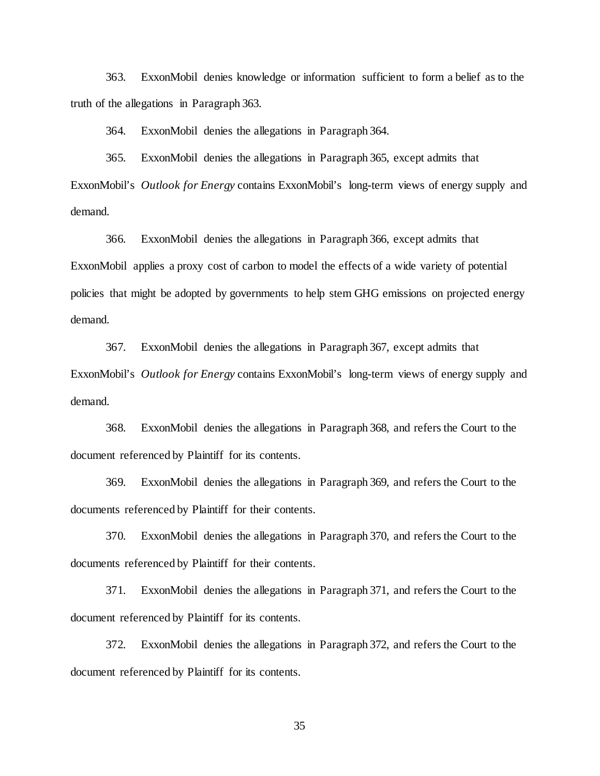363. ExxonMobil denies knowledge or information sufficient to form a belief as to the truth of the allegations in Paragraph 363.

364. ExxonMobil denies the allegations in Paragraph 364.

365. ExxonMobil denies the allegations in Paragraph 365, except admits that ExxonMobil's *Outlook for Energy* contains ExxonMobil's long-term views of energy supply and demand.

366. ExxonMobil denies the allegations in Paragraph 366, except admits that ExxonMobil applies a proxy cost of carbon to model the effects of a wide variety of potential policies that might be adopted by governments to help stem GHG emissions on projected energy demand.

367. ExxonMobil denies the allegations in Paragraph 367, except admits that ExxonMobil's *Outlook for Energy* contains ExxonMobil's long-term views of energy supply and demand.

368. ExxonMobil denies the allegations in Paragraph 368, and refers the Court to the document referenced by Plaintiff for its contents.

369. ExxonMobil denies the allegations in Paragraph 369, and refers the Court to the documents referenced by Plaintiff for their contents.

370. ExxonMobil denies the allegations in Paragraph 370, and refers the Court to the documents referenced by Plaintiff for their contents.

371. ExxonMobil denies the allegations in Paragraph 371, and refers the Court to the document referenced by Plaintiff for its contents.

372. ExxonMobil denies the allegations in Paragraph 372, and refers the Court to the document referenced by Plaintiff for its contents.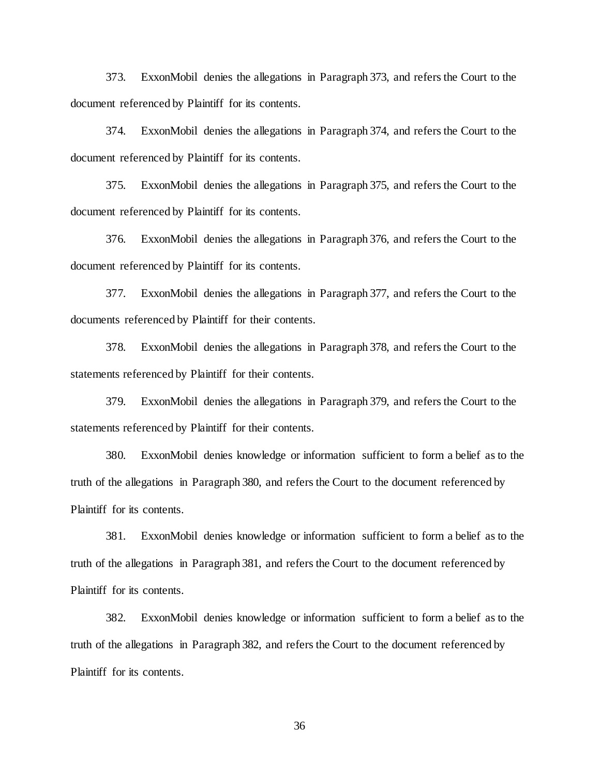373. ExxonMobil denies the allegations in Paragraph 373, and refers the Court to the document referenced by Plaintiff for its contents.

374. ExxonMobil denies the allegations in Paragraph 374, and refers the Court to the document referenced by Plaintiff for its contents.

375. ExxonMobil denies the allegations in Paragraph 375, and refers the Court to the document referenced by Plaintiff for its contents.

376. ExxonMobil denies the allegations in Paragraph 376, and refers the Court to the document referenced by Plaintiff for its contents.

377. ExxonMobil denies the allegations in Paragraph 377, and refers the Court to the documents referenced by Plaintiff for their contents.

378. ExxonMobil denies the allegations in Paragraph 378, and refers the Court to the statements referenced by Plaintiff for their contents.

379. ExxonMobil denies the allegations in Paragraph 379, and refers the Court to the statements referenced by Plaintiff for their contents.

380. ExxonMobil denies knowledge or information sufficient to form a belief as to the truth of the allegations in Paragraph 380, and refers the Court to the document referenced by Plaintiff for its contents.

381. ExxonMobil denies knowledge or information sufficient to form a belief as to the truth of the allegations in Paragraph 381, and refers the Court to the document referenced by Plaintiff for its contents.

382. ExxonMobil denies knowledge or information sufficient to form a belief as to the truth of the allegations in Paragraph 382, and refers the Court to the document referenced by Plaintiff for its contents.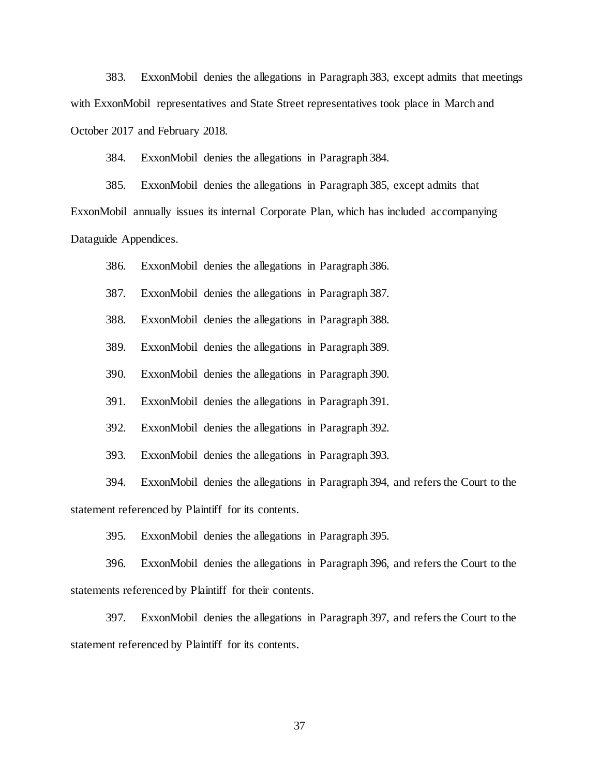383. ExxonMobil denies the allegations in Paragraph 383, except admits that meetings with ExxonMobil representatives and State Street representatives took place in March and October 2017 and February 2018.

384. ExxonMobil denies the allegations in Paragraph 384.

385. ExxonMobil denies the allegations in Paragraph 385, except admits that ExxonMobil annually issues its internal Corporate Plan, which has included accompanying Dataguide Appendices.

386. ExxonMobil denies the allegations in Paragraph 386.

387. ExxonMobil denies the allegations in Paragraph 387.

388. ExxonMobil denies the allegations in Paragraph 388.

389. ExxonMobil denies the allegations in Paragraph 389.

390. ExxonMobil denies the allegations in Paragraph 390.

391. ExxonMobil denies the allegations in Paragraph 391.

392. ExxonMobil denies the allegations in Paragraph 392.

393. ExxonMobil denies the allegations in Paragraph 393.

394. ExxonMobil denies the allegations in Paragraph 394, and refers the Court to the statement referenced by Plaintiff for its contents.

395. ExxonMobil denies the allegations in Paragraph 395.

396. ExxonMobil denies the allegations in Paragraph 396, and refers the Court to the statements referenced by Plaintiff for their contents.

397. ExxonMobil denies the allegations in Paragraph 397, and refers the Court to the statement referenced by Plaintiff for its contents.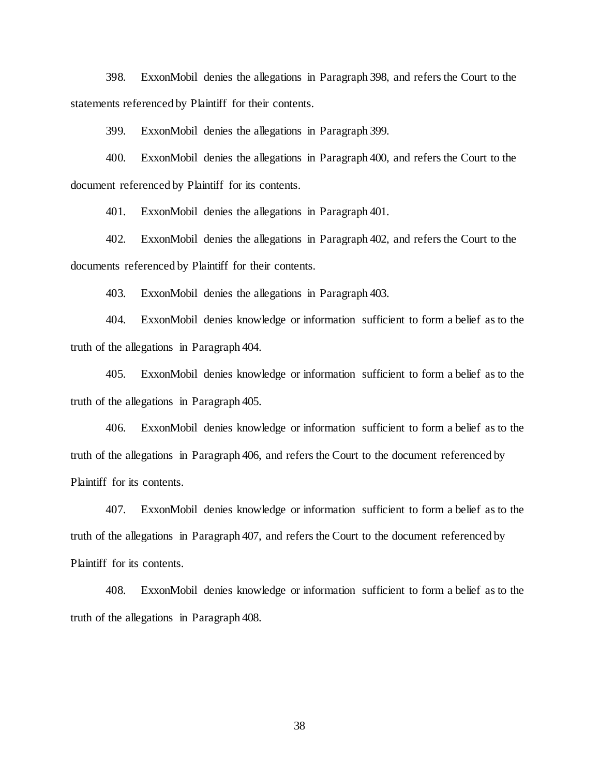398. ExxonMobil denies the allegations in Paragraph 398, and refers the Court to the statements referenced by Plaintiff for their contents.

399. ExxonMobil denies the allegations in Paragraph 399.

400. ExxonMobil denies the allegations in Paragraph 400, and refers the Court to the document referenced by Plaintiff for its contents.

401. ExxonMobil denies the allegations in Paragraph 401.

402. ExxonMobil denies the allegations in Paragraph 402, and refers the Court to the documents referenced by Plaintiff for their contents.

403. ExxonMobil denies the allegations in Paragraph 403.

404. ExxonMobil denies knowledge or information sufficient to form a belief as to the truth of the allegations in Paragraph 404.

405. ExxonMobil denies knowledge or information sufficient to form a belief as to the truth of the allegations in Paragraph 405.

406. ExxonMobil denies knowledge or information sufficient to form a belief as to the truth of the allegations in Paragraph 406, and refers the Court to the document referenced by Plaintiff for its contents.

407. ExxonMobil denies knowledge or information sufficient to form a belief as to the truth of the allegations in Paragraph 407, and refers the Court to the document referenced by Plaintiff for its contents.

408. ExxonMobil denies knowledge or information sufficient to form a belief as to the truth of the allegations in Paragraph 408.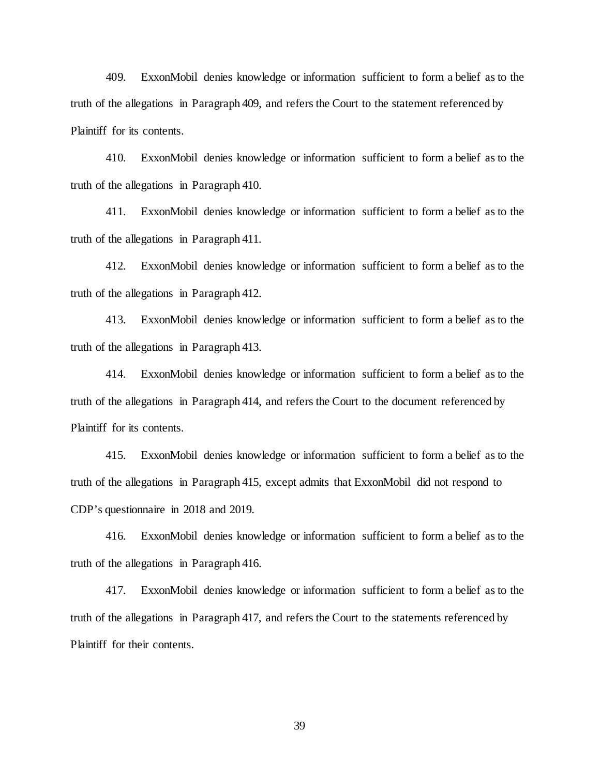409. ExxonMobil denies knowledge or information sufficient to form a belief as to the truth of the allegations in Paragraph 409, and refers the Court to the statement referenced by Plaintiff for its contents.

410. ExxonMobil denies knowledge or information sufficient to form a belief as to the truth of the allegations in Paragraph 410.

411. ExxonMobil denies knowledge or information sufficient to form a belief as to the truth of the allegations in Paragraph 411.

412. ExxonMobil denies knowledge or information sufficient to form a belief as to the truth of the allegations in Paragraph 412.

413. ExxonMobil denies knowledge or information sufficient to form a belief as to the truth of the allegations in Paragraph 413.

414. ExxonMobil denies knowledge or information sufficient to form a belief as to the truth of the allegations in Paragraph 414, and refers the Court to the document referenced by Plaintiff for its contents.

415. ExxonMobil denies knowledge or information sufficient to form a belief as to the truth of the allegations in Paragraph 415, except admits that ExxonMobil did not respond to CDP's questionnaire in 2018 and 2019.

416. ExxonMobil denies knowledge or information sufficient to form a belief as to the truth of the allegations in Paragraph 416.

417. ExxonMobil denies knowledge or information sufficient to form a belief as to the truth of the allegations in Paragraph 417, and refers the Court to the statements referenced by Plaintiff for their contents.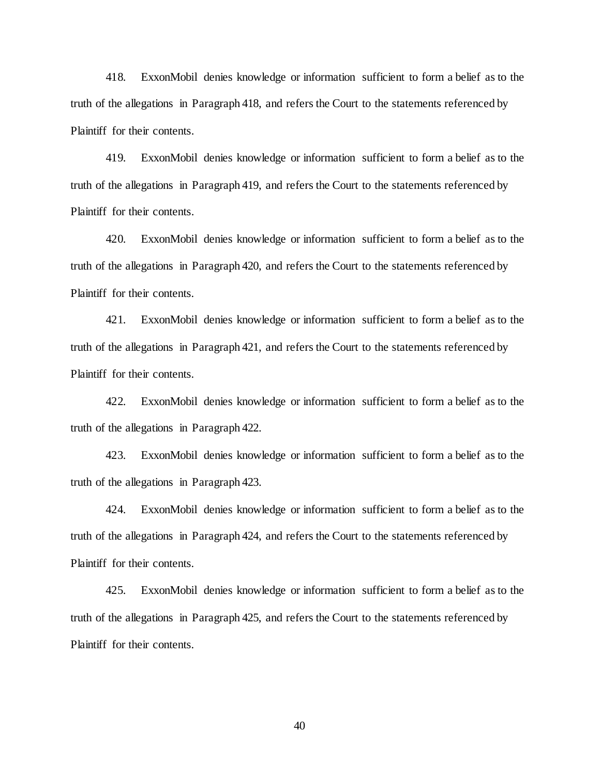418. ExxonMobil denies knowledge or information sufficient to form a belief as to the truth of the allegations in Paragraph 418, and refers the Court to the statements referenced by Plaintiff for their contents.

419. ExxonMobil denies knowledge or information sufficient to form a belief as to the truth of the allegations in Paragraph 419, and refers the Court to the statements referenced by Plaintiff for their contents.

420. ExxonMobil denies knowledge or information sufficient to form a belief as to the truth of the allegations in Paragraph 420, and refers the Court to the statements referenced by Plaintiff for their contents.

421. ExxonMobil denies knowledge or information sufficient to form a belief as to the truth of the allegations in Paragraph 421, and refers the Court to the statements referenced by Plaintiff for their contents.

422. ExxonMobil denies knowledge or information sufficient to form a belief as to the truth of the allegations in Paragraph 422.

423. ExxonMobil denies knowledge or information sufficient to form a belief as to the truth of the allegations in Paragraph 423.

424. ExxonMobil denies knowledge or information sufficient to form a belief as to the truth of the allegations in Paragraph 424, and refers the Court to the statements referenced by Plaintiff for their contents.

425. ExxonMobil denies knowledge or information sufficient to form a belief as to the truth of the allegations in Paragraph 425, and refers the Court to the statements referenced by Plaintiff for their contents.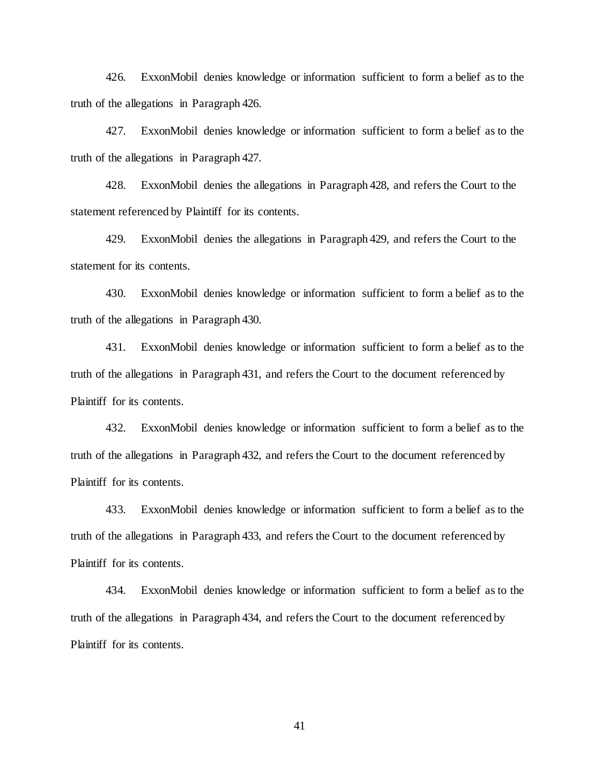426. ExxonMobil denies knowledge or information sufficient to form a belief as to the truth of the allegations in Paragraph 426.

427. ExxonMobil denies knowledge or information sufficient to form a belief as to the truth of the allegations in Paragraph 427.

428. ExxonMobil denies the allegations in Paragraph 428, and refers the Court to the statement referenced by Plaintiff for its contents.

429. ExxonMobil denies the allegations in Paragraph 429, and refers the Court to the statement for its contents.

430. ExxonMobil denies knowledge or information sufficient to form a belief as to the truth of the allegations in Paragraph 430.

431. ExxonMobil denies knowledge or information sufficient to form a belief as to the truth of the allegations in Paragraph 431, and refers the Court to the document referenced by Plaintiff for its contents.

432. ExxonMobil denies knowledge or information sufficient to form a belief as to the truth of the allegations in Paragraph 432, and refers the Court to the document referenced by Plaintiff for its contents.

433. ExxonMobil denies knowledge or information sufficient to form a belief as to the truth of the allegations in Paragraph 433, and refers the Court to the document referenced by Plaintiff for its contents.

434. ExxonMobil denies knowledge or information sufficient to form a belief as to the truth of the allegations in Paragraph 434, and refers the Court to the document referenced by Plaintiff for its contents.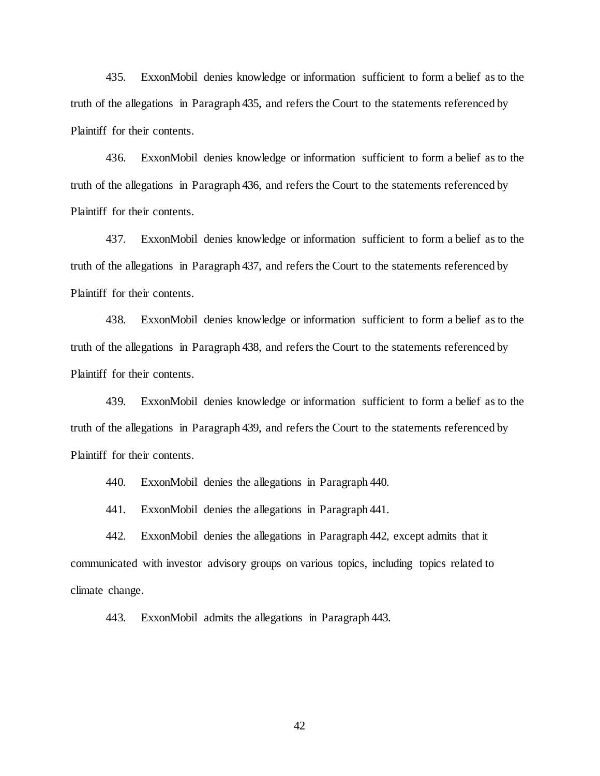435. ExxonMobil denies knowledge or information sufficient to form a belief as to the truth of the allegations in Paragraph 435, and refers the Court to the statements referenced by Plaintiff for their contents.

436. ExxonMobil denies knowledge or information sufficient to form a belief as to the truth of the allegations in Paragraph 436, and refers the Court to the statements referenced by Plaintiff for their contents.

437. ExxonMobil denies knowledge or information sufficient to form a belief as to the truth of the allegations in Paragraph 437, and refers the Court to the statements referenced by Plaintiff for their contents.

438. ExxonMobil denies knowledge or information sufficient to form a belief as to the truth of the allegations in Paragraph 438, and refers the Court to the statements referenced by Plaintiff for their contents.

439. ExxonMobil denies knowledge or information sufficient to form a belief as to the truth of the allegations in Paragraph 439, and refers the Court to the statements referenced by Plaintiff for their contents.

440. ExxonMobil denies the allegations in Paragraph 440.

441. ExxonMobil denies the allegations in Paragraph 441.

442. ExxonMobil denies the allegations in Paragraph 442, except admits that it communicated with investor advisory groups on various topics, including topics related to climate change.

443. ExxonMobil admits the allegations in Paragraph 443.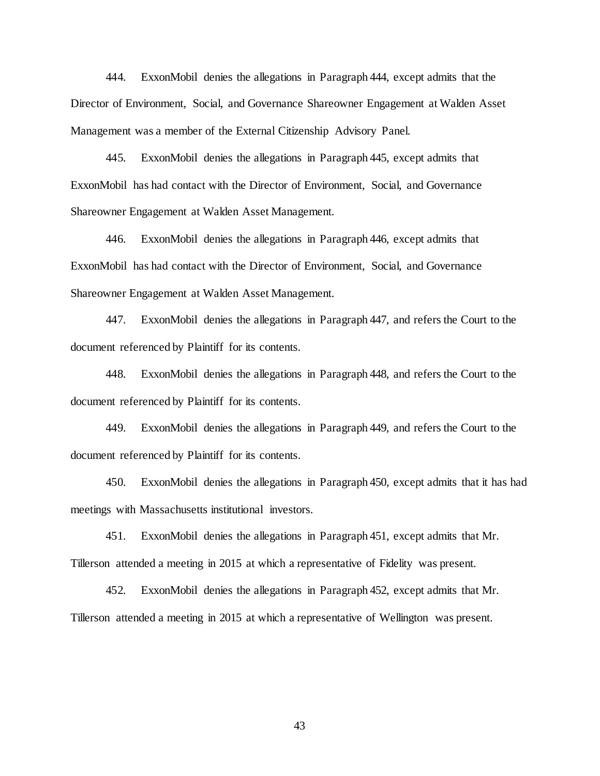444. ExxonMobil denies the allegations in Paragraph 444, except admits that the Director of Environment, Social, and Governance Shareowner Engagement at Walden Asset Management was a member of the External Citizenship Advisory Panel.

445. ExxonMobil denies the allegations in Paragraph 445, except admits that ExxonMobil has had contact with the Director of Environment, Social, and Governance Shareowner Engagement at Walden Asset Management.

446. ExxonMobil denies the allegations in Paragraph 446, except admits that ExxonMobil has had contact with the Director of Environment, Social, and Governance Shareowner Engagement at Walden Asset Management.

447. ExxonMobil denies the allegations in Paragraph 447, and refers the Court to the document referenced by Plaintiff for its contents.

448. ExxonMobil denies the allegations in Paragraph 448, and refers the Court to the document referenced by Plaintiff for its contents.

449. ExxonMobil denies the allegations in Paragraph 449, and refers the Court to the document referenced by Plaintiff for its contents.

450. ExxonMobil denies the allegations in Paragraph 450, except admits that it has had meetings with Massachusetts institutional investors.

451. ExxonMobil denies the allegations in Paragraph 451, except admits that Mr. Tillerson attended a meeting in 2015 at which a representative of Fidelity was present.

452. ExxonMobil denies the allegations in Paragraph 452, except admits that Mr. Tillerson attended a meeting in 2015 at which a representative of Wellington was present.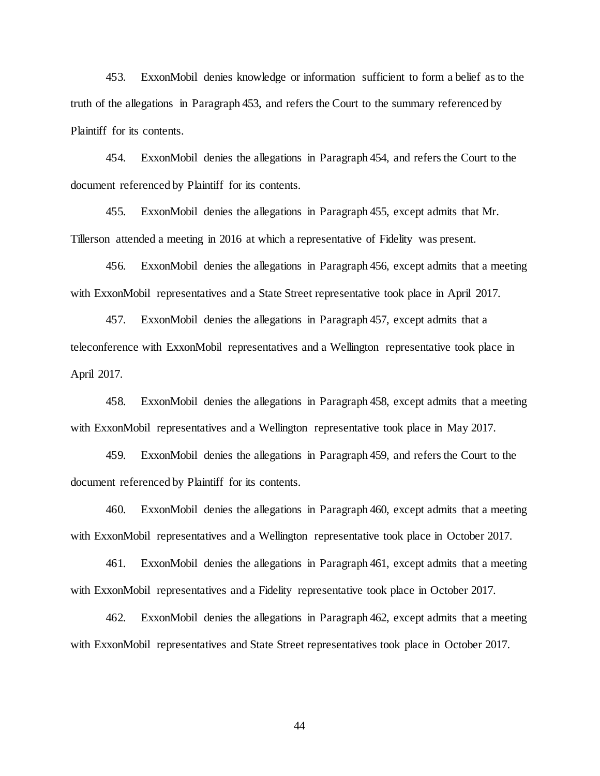453. ExxonMobil denies knowledge or information sufficient to form a belief as to the truth of the allegations in Paragraph 453, and refers the Court to the summary referenced by Plaintiff for its contents.

454. ExxonMobil denies the allegations in Paragraph 454, and refers the Court to the document referenced by Plaintiff for its contents.

455. ExxonMobil denies the allegations in Paragraph 455, except admits that Mr. Tillerson attended a meeting in 2016 at which a representative of Fidelity was present.

456. ExxonMobil denies the allegations in Paragraph 456, except admits that a meeting with ExxonMobil representatives and a State Street representative took place in April 2017.

457. ExxonMobil denies the allegations in Paragraph 457, except admits that a teleconference with ExxonMobil representatives and a Wellington representative took place in April 2017.

458. ExxonMobil denies the allegations in Paragraph 458, except admits that a meeting with ExxonMobil representatives and a Wellington representative took place in May 2017.

459. ExxonMobil denies the allegations in Paragraph 459, and refers the Court to the document referenced by Plaintiff for its contents.

460. ExxonMobil denies the allegations in Paragraph 460, except admits that a meeting with ExxonMobil representatives and a Wellington representative took place in October 2017.

461. ExxonMobil denies the allegations in Paragraph 461, except admits that a meeting with ExxonMobil representatives and a Fidelity representative took place in October 2017.

462. ExxonMobil denies the allegations in Paragraph 462, except admits that a meeting with ExxonMobil representatives and State Street representatives took place in October 2017.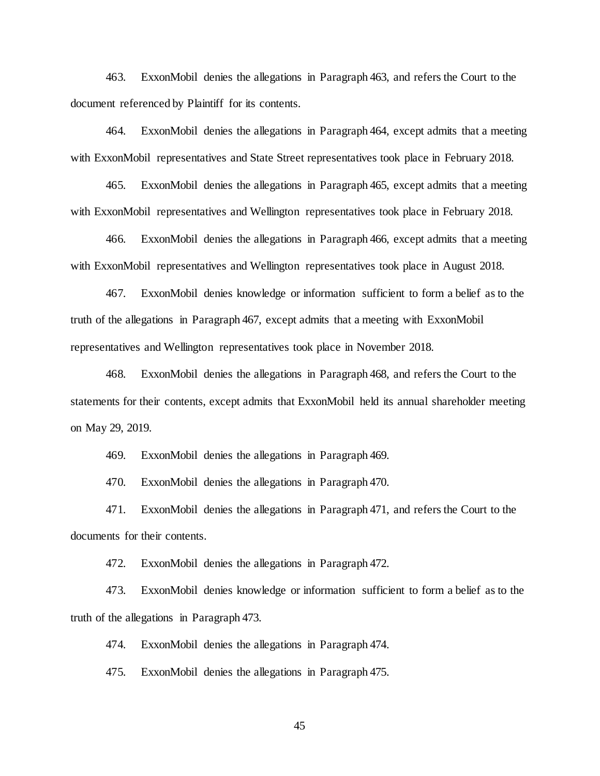463. ExxonMobil denies the allegations in Paragraph 463, and refers the Court to the document referenced by Plaintiff for its contents.

464. ExxonMobil denies the allegations in Paragraph 464, except admits that a meeting with ExxonMobil representatives and State Street representatives took place in February 2018.

465. ExxonMobil denies the allegations in Paragraph 465, except admits that a meeting with ExxonMobil representatives and Wellington representatives took place in February 2018.

466. ExxonMobil denies the allegations in Paragraph 466, except admits that a meeting with ExxonMobil representatives and Wellington representatives took place in August 2018.

467. ExxonMobil denies knowledge or information sufficient to form a belief as to the truth of the allegations in Paragraph 467, except admits that a meeting with ExxonMobil representatives and Wellington representatives took place in November 2018.

468. ExxonMobil denies the allegations in Paragraph 468, and refers the Court to the statements for their contents, except admits that ExxonMobil held its annual shareholder meeting on May 29, 2019.

469. ExxonMobil denies the allegations in Paragraph 469.

470. ExxonMobil denies the allegations in Paragraph 470.

471. ExxonMobil denies the allegations in Paragraph 471, and refers the Court to the documents for their contents.

472. ExxonMobil denies the allegations in Paragraph 472.

473. ExxonMobil denies knowledge or information sufficient to form a belief as to the truth of the allegations in Paragraph 473.

474. ExxonMobil denies the allegations in Paragraph 474.

475. ExxonMobil denies the allegations in Paragraph 475.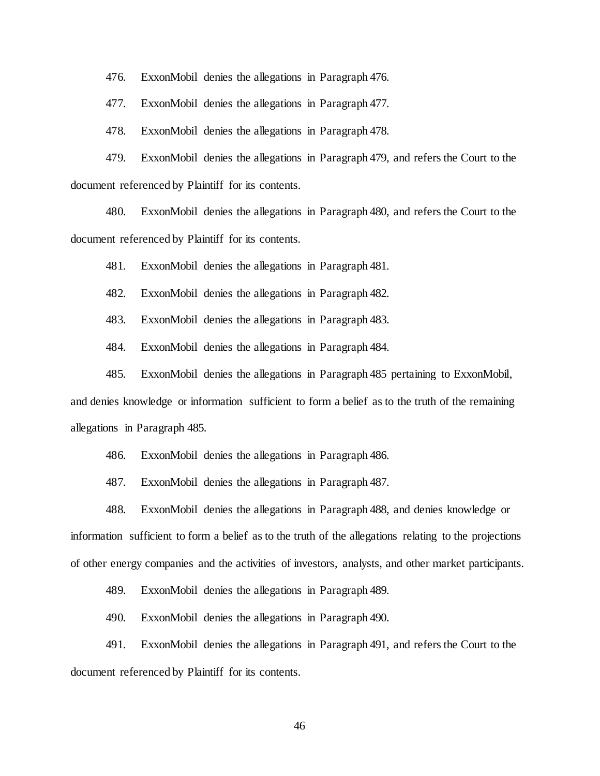476. ExxonMobil denies the allegations in Paragraph 476.

477. ExxonMobil denies the allegations in Paragraph 477.

478. ExxonMobil denies the allegations in Paragraph 478.

479. ExxonMobil denies the allegations in Paragraph 479, and refers the Court to the document referenced by Plaintiff for its contents.

480. ExxonMobil denies the allegations in Paragraph 480, and refers the Court to the document referenced by Plaintiff for its contents.

481. ExxonMobil denies the allegations in Paragraph 481.

482. ExxonMobil denies the allegations in Paragraph 482.

483. ExxonMobil denies the allegations in Paragraph 483.

484. ExxonMobil denies the allegations in Paragraph 484.

485. ExxonMobil denies the allegations in Paragraph 485 pertaining to ExxonMobil, and denies knowledge or information sufficient to form a belief as to the truth of the remaining

allegations in Paragraph 485.

486. ExxonMobil denies the allegations in Paragraph 486.

487. ExxonMobil denies the allegations in Paragraph 487.

488. ExxonMobil denies the allegations in Paragraph 488, and denies knowledge or information sufficient to form a belief as to the truth of the allegations relating to the projections of other energy companies and the activities of investors, analysts, and other market participants.

489. ExxonMobil denies the allegations in Paragraph 489.

490. ExxonMobil denies the allegations in Paragraph 490.

491. ExxonMobil denies the allegations in Paragraph 491, and refers the Court to the document referenced by Plaintiff for its contents.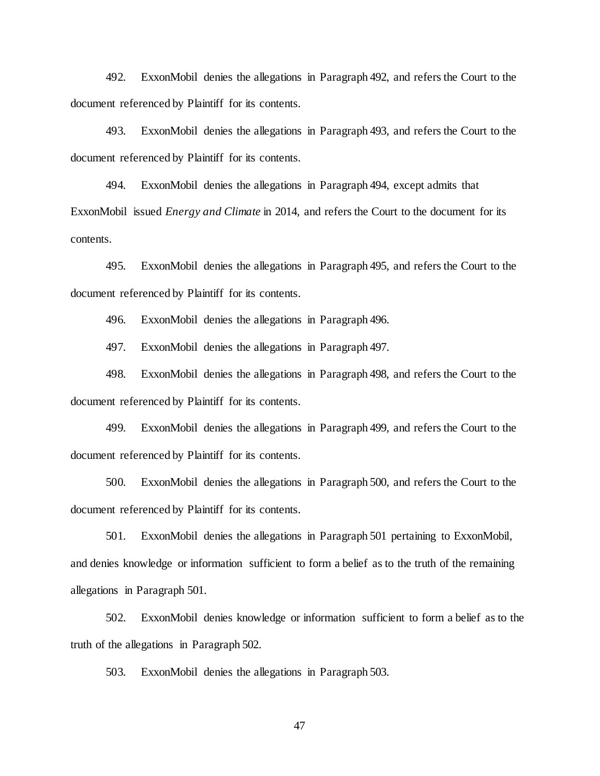492. ExxonMobil denies the allegations in Paragraph 492, and refers the Court to the document referenced by Plaintiff for its contents.

493. ExxonMobil denies the allegations in Paragraph 493, and refers the Court to the document referenced by Plaintiff for its contents.

494. ExxonMobil denies the allegations in Paragraph 494, except admits that ExxonMobil issued *Energy and Climate* in 2014, and refers the Court to the document for its contents.

495. ExxonMobil denies the allegations in Paragraph 495, and refers the Court to the document referenced by Plaintiff for its contents.

496. ExxonMobil denies the allegations in Paragraph 496.

497. ExxonMobil denies the allegations in Paragraph 497.

498. ExxonMobil denies the allegations in Paragraph 498, and refers the Court to the document referenced by Plaintiff for its contents.

499. ExxonMobil denies the allegations in Paragraph 499, and refers the Court to the document referenced by Plaintiff for its contents.

500. ExxonMobil denies the allegations in Paragraph 500, and refers the Court to the document referenced by Plaintiff for its contents.

501. ExxonMobil denies the allegations in Paragraph 501 pertaining to ExxonMobil, and denies knowledge or information sufficient to form a belief as to the truth of the remaining allegations in Paragraph 501.

502. ExxonMobil denies knowledge or information sufficient to form a belief as to the truth of the allegations in Paragraph 502.

503. ExxonMobil denies the allegations in Paragraph 503.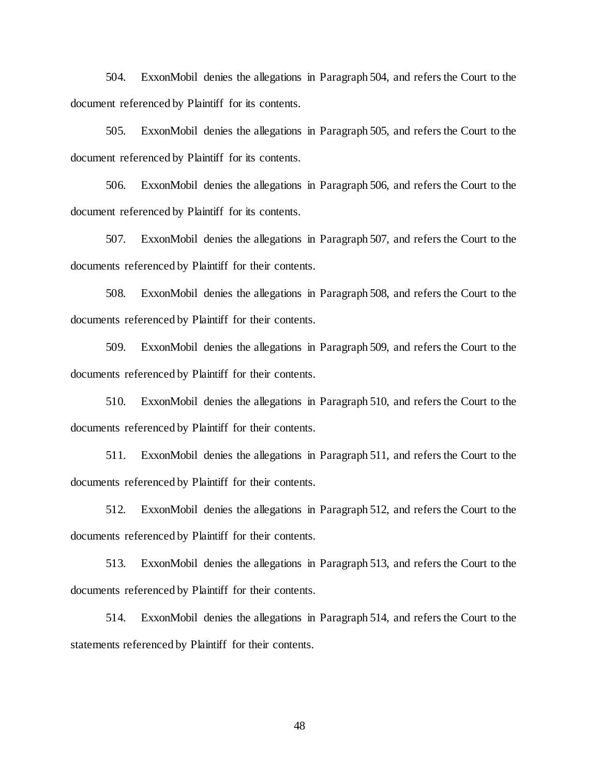504. ExxonMobil denies the allegations in Paragraph 504, and refers the Court to the document referenced by Plaintiff for its contents.

505. ExxonMobil denies the allegations in Paragraph 505, and refers the Court to the document referenced by Plaintiff for its contents.

506. ExxonMobil denies the allegations in Paragraph 506, and refers the Court to the document referenced by Plaintiff for its contents.

507. ExxonMobil denies the allegations in Paragraph 507, and refers the Court to the documents referenced by Plaintiff for their contents.

508. ExxonMobil denies the allegations in Paragraph 508, and refers the Court to the documents referenced by Plaintiff for their contents.

509. ExxonMobil denies the allegations in Paragraph 509, and refers the Court to the documents referenced by Plaintiff for their contents.

510. ExxonMobil denies the allegations in Paragraph 510, and refers the Court to the documents referenced by Plaintiff for their contents.

511. ExxonMobil denies the allegations in Paragraph 511, and refers the Court to the documents referenced by Plaintiff for their contents.

512. ExxonMobil denies the allegations in Paragraph 512, and refers the Court to the documents referenced by Plaintiff for their contents.

513. ExxonMobil denies the allegations in Paragraph 513, and refers the Court to the documents referenced by Plaintiff for their contents.

514. ExxonMobil denies the allegations in Paragraph 514, and refers the Court to the statements referenced by Plaintiff for their contents.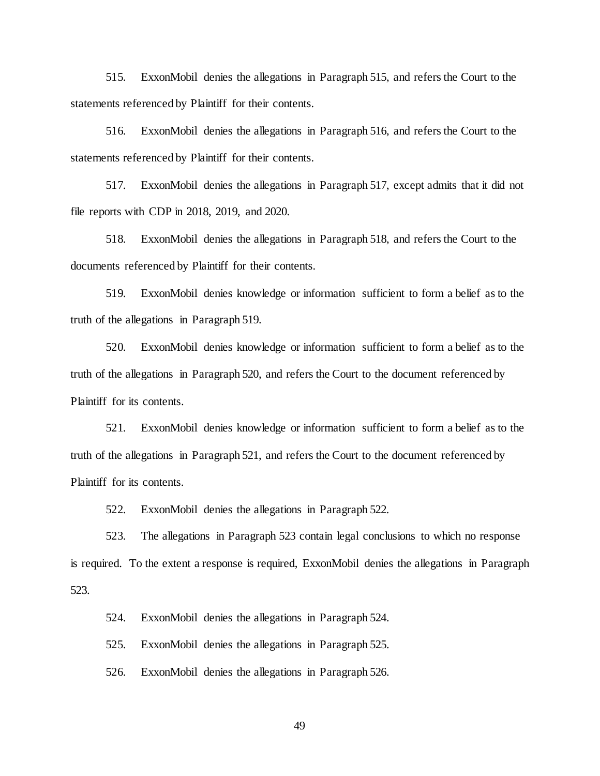515. ExxonMobil denies the allegations in Paragraph 515, and refers the Court to the statements referenced by Plaintiff for their contents.

516. ExxonMobil denies the allegations in Paragraph 516, and refers the Court to the statements referenced by Plaintiff for their contents.

517. ExxonMobil denies the allegations in Paragraph 517, except admits that it did not file reports with CDP in 2018, 2019, and 2020.

518. ExxonMobil denies the allegations in Paragraph 518, and refers the Court to the documents referenced by Plaintiff for their contents.

519. ExxonMobil denies knowledge or information sufficient to form a belief as to the truth of the allegations in Paragraph 519.

520. ExxonMobil denies knowledge or information sufficient to form a belief as to the truth of the allegations in Paragraph 520, and refers the Court to the document referenced by Plaintiff for its contents.

521. ExxonMobil denies knowledge or information sufficient to form a belief as to the truth of the allegations in Paragraph 521, and refers the Court to the document referenced by Plaintiff for its contents.

522. ExxonMobil denies the allegations in Paragraph 522.

523. The allegations in Paragraph 523 contain legal conclusions to which no response is required. To the extent a response is required, ExxonMobil denies the allegations in Paragraph 523.

524. ExxonMobil denies the allegations in Paragraph 524.

525. ExxonMobil denies the allegations in Paragraph 525.

526. ExxonMobil denies the allegations in Paragraph 526.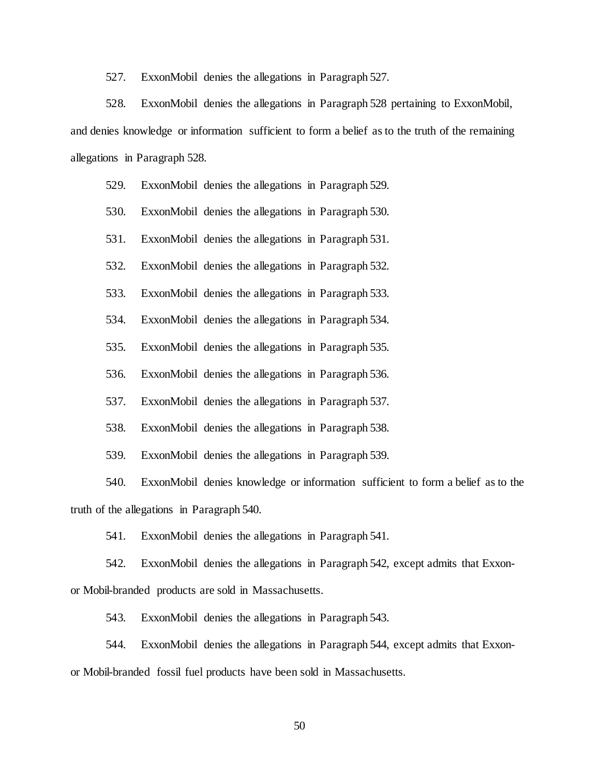527. ExxonMobil denies the allegations in Paragraph 527.

528. ExxonMobil denies the allegations in Paragraph 528 pertaining to ExxonMobil, and denies knowledge or information sufficient to form a belief as to the truth of the remaining allegations in Paragraph 528.

- 529. ExxonMobil denies the allegations in Paragraph 529.
- 530. ExxonMobil denies the allegations in Paragraph 530.
- 531. ExxonMobil denies the allegations in Paragraph 531.
- 532. ExxonMobil denies the allegations in Paragraph 532.
- 533. ExxonMobil denies the allegations in Paragraph 533.

534. ExxonMobil denies the allegations in Paragraph 534.

535. ExxonMobil denies the allegations in Paragraph 535.

536. ExxonMobil denies the allegations in Paragraph 536.

537. ExxonMobil denies the allegations in Paragraph 537.

- 538. ExxonMobil denies the allegations in Paragraph 538.
- 539. ExxonMobil denies the allegations in Paragraph 539.

540. ExxonMobil denies knowledge or information sufficient to form a belief as to the truth of the allegations in Paragraph 540.

541. ExxonMobil denies the allegations in Paragraph 541.

542. ExxonMobil denies the allegations in Paragraph 542, except admits that Exxonor Mobil-branded products are sold in Massachusetts.

543. ExxonMobil denies the allegations in Paragraph 543.

544. ExxonMobil denies the allegations in Paragraph 544, except admits that Exxonor Mobil-branded fossil fuel products have been sold in Massachusetts.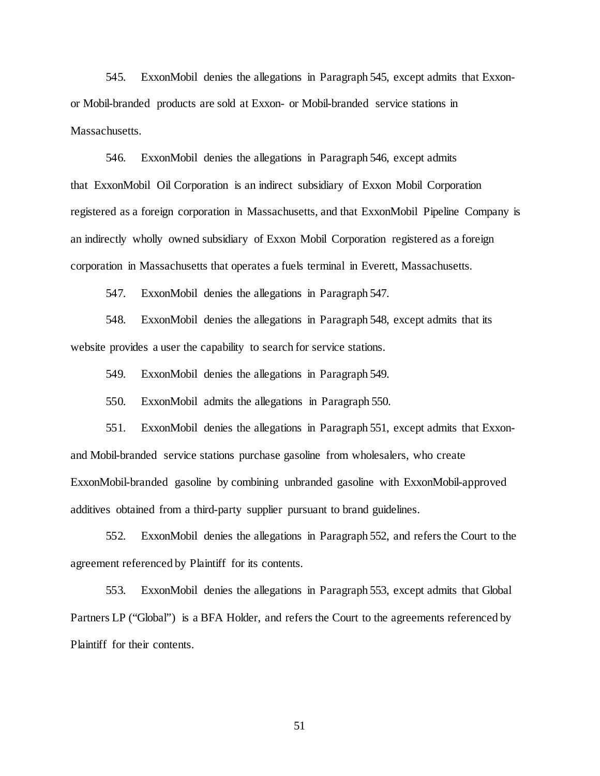545. ExxonMobil denies the allegations in Paragraph 545, except admits that Exxonor Mobil-branded products are sold at Exxon- or Mobil-branded service stations in Massachusetts.

546. ExxonMobil denies the allegations in Paragraph 546, except admits that ExxonMobil Oil Corporation is an indirect subsidiary of Exxon Mobil Corporation registered as a foreign corporation in Massachusetts, and that ExxonMobil Pipeline Company is an indirectly wholly owned subsidiary of Exxon Mobil Corporation registered as a foreign corporation in Massachusetts that operates a fuels terminal in Everett, Massachusetts.

547. ExxonMobil denies the allegations in Paragraph 547.

548. ExxonMobil denies the allegations in Paragraph 548, except admits that its website provides a user the capability to search for service stations.

549. ExxonMobil denies the allegations in Paragraph 549.

550. ExxonMobil admits the allegations in Paragraph 550.

551. ExxonMobil denies the allegations in Paragraph 551, except admits that Exxonand Mobil-branded service stations purchase gasoline from wholesalers, who create ExxonMobil-branded gasoline by combining unbranded gasoline with ExxonMobil-approved additives obtained from a third-party supplier pursuant to brand guidelines.

552. ExxonMobil denies the allegations in Paragraph 552, and refers the Court to the agreement referenced by Plaintiff for its contents.

553. ExxonMobil denies the allegations in Paragraph 553, except admits that Global Partners LP ("Global") is a BFA Holder, and refers the Court to the agreements referenced by Plaintiff for their contents.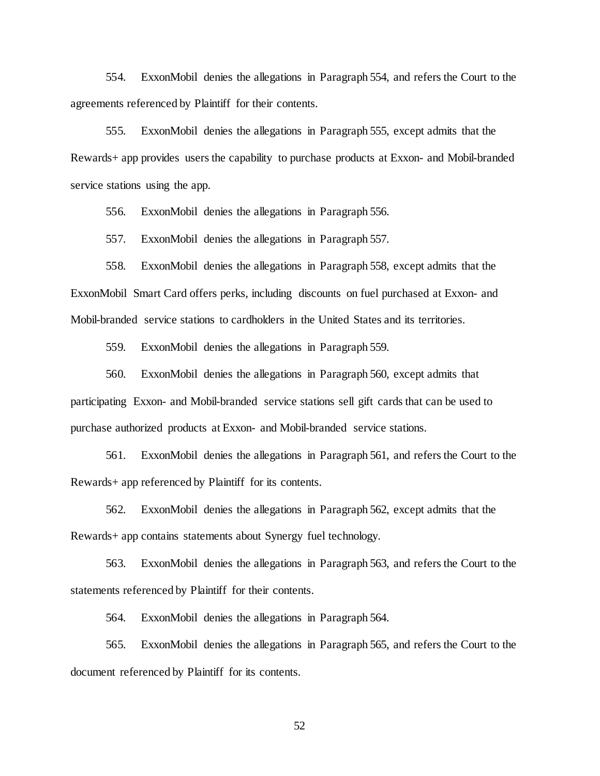554. ExxonMobil denies the allegations in Paragraph 554, and refers the Court to the agreements referenced by Plaintiff for their contents.

555. ExxonMobil denies the allegations in Paragraph 555, except admits that the Rewards+ app provides users the capability to purchase products at Exxon- and Mobil-branded service stations using the app.

556. ExxonMobil denies the allegations in Paragraph 556.

557. ExxonMobil denies the allegations in Paragraph 557.

558. ExxonMobil denies the allegations in Paragraph 558, except admits that the ExxonMobil Smart Card offers perks, including discounts on fuel purchased at Exxon- and Mobil-branded service stations to cardholders in the United States and its territories.

559. ExxonMobil denies the allegations in Paragraph 559.

560. ExxonMobil denies the allegations in Paragraph 560, except admits that participating Exxon- and Mobil-branded service stations sell gift cards that can be used to purchase authorized products at Exxon- and Mobil-branded service stations.

561. ExxonMobil denies the allegations in Paragraph 561, and refers the Court to the Rewards+ app referenced by Plaintiff for its contents.

562. ExxonMobil denies the allegations in Paragraph 562, except admits that the Rewards+ app contains statements about Synergy fuel technology.

563. ExxonMobil denies the allegations in Paragraph 563, and refers the Court to the statements referenced by Plaintiff for their contents.

564. ExxonMobil denies the allegations in Paragraph 564.

565. ExxonMobil denies the allegations in Paragraph 565, and refers the Court to the document referenced by Plaintiff for its contents.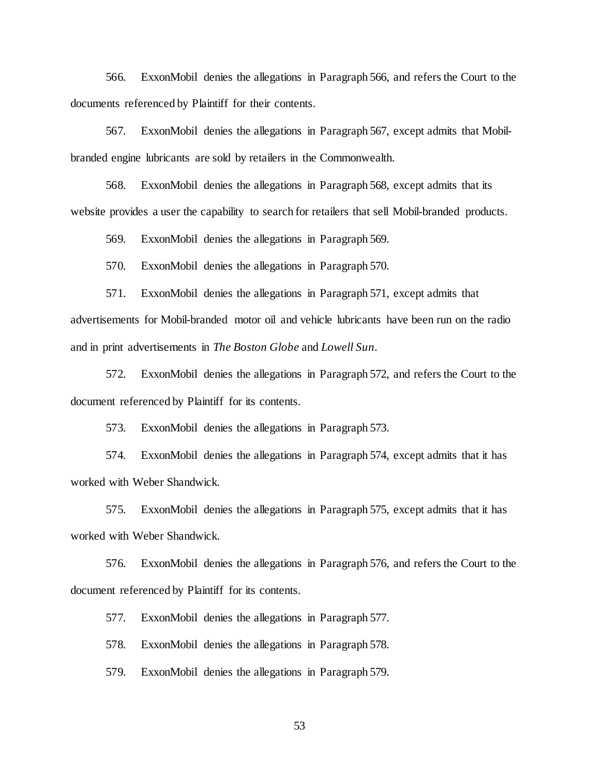566. ExxonMobil denies the allegations in Paragraph 566, and refers the Court to the documents referenced by Plaintiff for their contents.

567. ExxonMobil denies the allegations in Paragraph 567, except admits that Mobilbranded engine lubricants are sold by retailers in the Commonwealth.

568. ExxonMobil denies the allegations in Paragraph 568, except admits that its website provides a user the capability to search for retailers that sell Mobil-branded products.

569. ExxonMobil denies the allegations in Paragraph 569.

570. ExxonMobil denies the allegations in Paragraph 570.

571. ExxonMobil denies the allegations in Paragraph 571, except admits that advertisements for Mobil-branded motor oil and vehicle lubricants have been run on the radio and in print advertisements in *The Boston Globe* and *Lowell Sun*.

572. ExxonMobil denies the allegations in Paragraph 572, and refers the Court to the document referenced by Plaintiff for its contents.

573. ExxonMobil denies the allegations in Paragraph 573.

574. ExxonMobil denies the allegations in Paragraph 574, except admits that it has worked with Weber Shandwick.

575. ExxonMobil denies the allegations in Paragraph 575, except admits that it has worked with Weber Shandwick.

576. ExxonMobil denies the allegations in Paragraph 576, and refers the Court to the document referenced by Plaintiff for its contents.

577. ExxonMobil denies the allegations in Paragraph 577.

578. ExxonMobil denies the allegations in Paragraph 578.

579. ExxonMobil denies the allegations in Paragraph 579.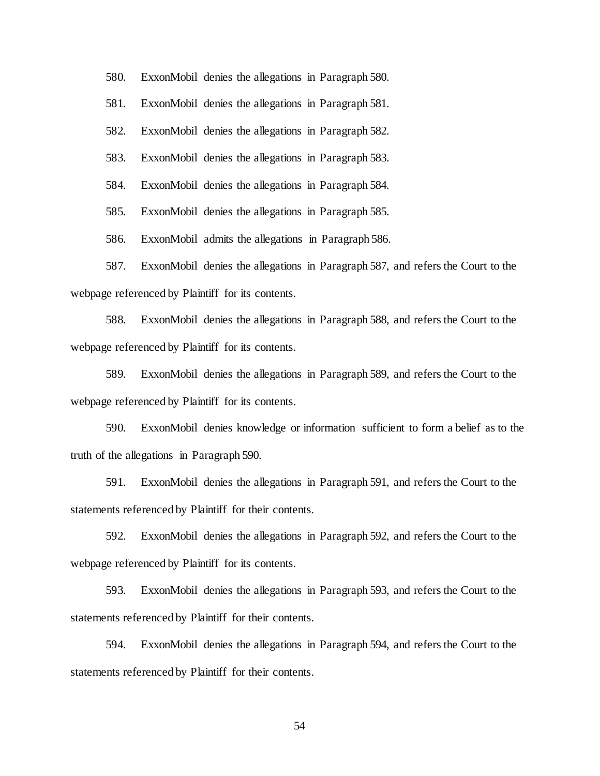580. ExxonMobil denies the allegations in Paragraph 580.

581. ExxonMobil denies the allegations in Paragraph 581.

582. ExxonMobil denies the allegations in Paragraph 582.

583. ExxonMobil denies the allegations in Paragraph 583.

584. ExxonMobil denies the allegations in Paragraph 584.

585. ExxonMobil denies the allegations in Paragraph 585.

586. ExxonMobil admits the allegations in Paragraph 586.

587. ExxonMobil denies the allegations in Paragraph 587, and refers the Court to the webpage referenced by Plaintiff for its contents.

588. ExxonMobil denies the allegations in Paragraph 588, and refers the Court to the webpage referenced by Plaintiff for its contents.

589. ExxonMobil denies the allegations in Paragraph 589, and refers the Court to the webpage referenced by Plaintiff for its contents.

590. ExxonMobil denies knowledge or information sufficient to form a belief as to the truth of the allegations in Paragraph 590.

591. ExxonMobil denies the allegations in Paragraph 591, and refers the Court to the statements referenced by Plaintiff for their contents.

592. ExxonMobil denies the allegations in Paragraph 592, and refers the Court to the webpage referenced by Plaintiff for its contents.

593. ExxonMobil denies the allegations in Paragraph 593, and refers the Court to the statements referenced by Plaintiff for their contents.

594. ExxonMobil denies the allegations in Paragraph 594, and refers the Court to the statements referenced by Plaintiff for their contents.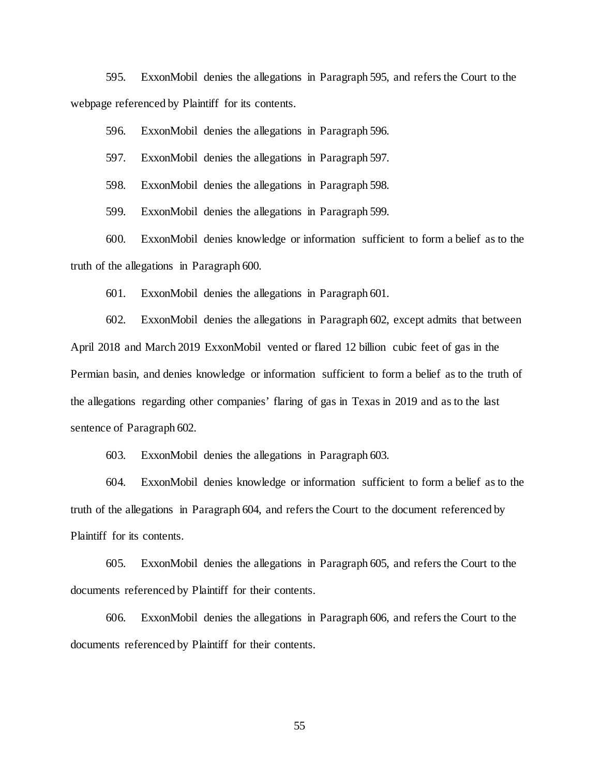595. ExxonMobil denies the allegations in Paragraph 595, and refers the Court to the webpage referenced by Plaintiff for its contents.

596. ExxonMobil denies the allegations in Paragraph 596.

597. ExxonMobil denies the allegations in Paragraph 597.

598. ExxonMobil denies the allegations in Paragraph 598.

599. ExxonMobil denies the allegations in Paragraph 599.

600. ExxonMobil denies knowledge or information sufficient to form a belief as to the truth of the allegations in Paragraph 600.

601. ExxonMobil denies the allegations in Paragraph 601.

602. ExxonMobil denies the allegations in Paragraph 602, except admits that between April 2018 and March 2019 ExxonMobil vented or flared 12 billion cubic feet of gas in the Permian basin, and denies knowledge or information sufficient to form a belief as to the truth of the allegations regarding other companies' flaring of gas in Texas in 2019 and as to the last sentence of Paragraph 602.

603. ExxonMobil denies the allegations in Paragraph 603.

604. ExxonMobil denies knowledge or information sufficient to form a belief as to the truth of the allegations in Paragraph 604, and refers the Court to the document referenced by Plaintiff for its contents.

605. ExxonMobil denies the allegations in Paragraph 605, and refers the Court to the documents referenced by Plaintiff for their contents.

606. ExxonMobil denies the allegations in Paragraph 606, and refers the Court to the documents referenced by Plaintiff for their contents.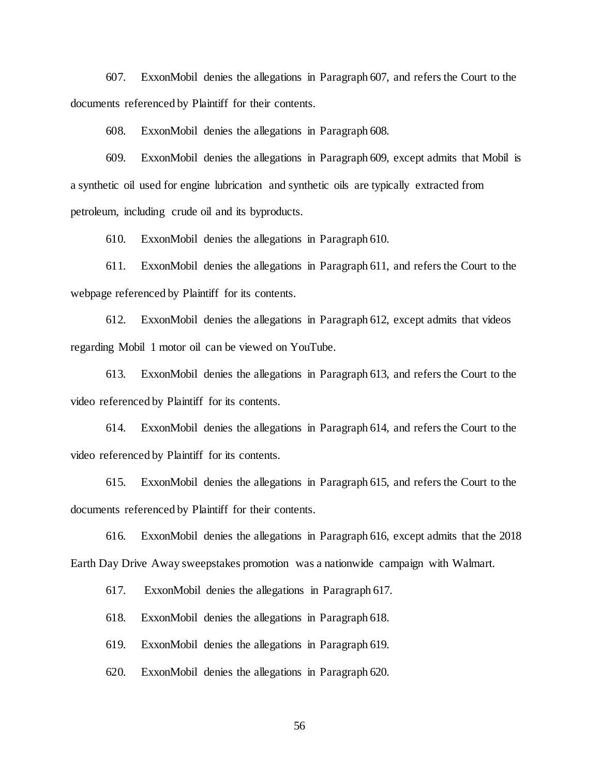607. ExxonMobil denies the allegations in Paragraph 607, and refers the Court to the documents referenced by Plaintiff for their contents.

608. ExxonMobil denies the allegations in Paragraph 608.

609. ExxonMobil denies the allegations in Paragraph 609, except admits that Mobil is a synthetic oil used for engine lubrication and synthetic oils are typically extracted from petroleum, including crude oil and its byproducts.

610. ExxonMobil denies the allegations in Paragraph 610.

611. ExxonMobil denies the allegations in Paragraph 611, and refers the Court to the webpage referenced by Plaintiff for its contents.

612. ExxonMobil denies the allegations in Paragraph 612, except admits that videos regarding Mobil 1 motor oil can be viewed on YouTube.

613. ExxonMobil denies the allegations in Paragraph 613, and refers the Court to the video referenced by Plaintiff for its contents.

614. ExxonMobil denies the allegations in Paragraph 614, and refers the Court to the video referenced by Plaintiff for its contents.

615. ExxonMobil denies the allegations in Paragraph 615, and refers the Court to the documents referenced by Plaintiff for their contents.

616. ExxonMobil denies the allegations in Paragraph 616, except admits that the 2018 Earth Day Drive Away sweepstakes promotion was a nationwide campaign with Walmart.

617. ExxonMobil denies the allegations in Paragraph 617.

618. ExxonMobil denies the allegations in Paragraph 618.

619. ExxonMobil denies the allegations in Paragraph 619.

620. ExxonMobil denies the allegations in Paragraph 620.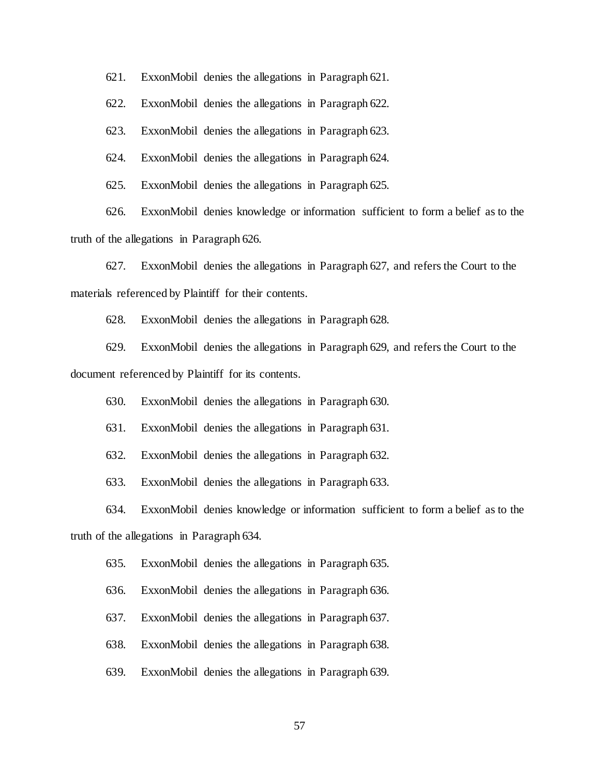621. ExxonMobil denies the allegations in Paragraph 621.

622. ExxonMobil denies the allegations in Paragraph 622.

623. ExxonMobil denies the allegations in Paragraph 623.

624. ExxonMobil denies the allegations in Paragraph 624.

625. ExxonMobil denies the allegations in Paragraph 625.

626. ExxonMobil denies knowledge or information sufficient to form a belief as to the truth of the allegations in Paragraph 626.

627. ExxonMobil denies the allegations in Paragraph 627, and refers the Court to the materials referenced by Plaintiff for their contents.

628. ExxonMobil denies the allegations in Paragraph 628.

629. ExxonMobil denies the allegations in Paragraph 629, and refers the Court to the document referenced by Plaintiff for its contents.

630. ExxonMobil denies the allegations in Paragraph 630.

631. ExxonMobil denies the allegations in Paragraph 631.

632. ExxonMobil denies the allegations in Paragraph 632.

633. ExxonMobil denies the allegations in Paragraph 633.

634. ExxonMobil denies knowledge or information sufficient to form a belief as to the truth of the allegations in Paragraph 634.

635. ExxonMobil denies the allegations in Paragraph 635.

636. ExxonMobil denies the allegations in Paragraph 636.

637. ExxonMobil denies the allegations in Paragraph 637.

638. ExxonMobil denies the allegations in Paragraph 638.

639. ExxonMobil denies the allegations in Paragraph 639.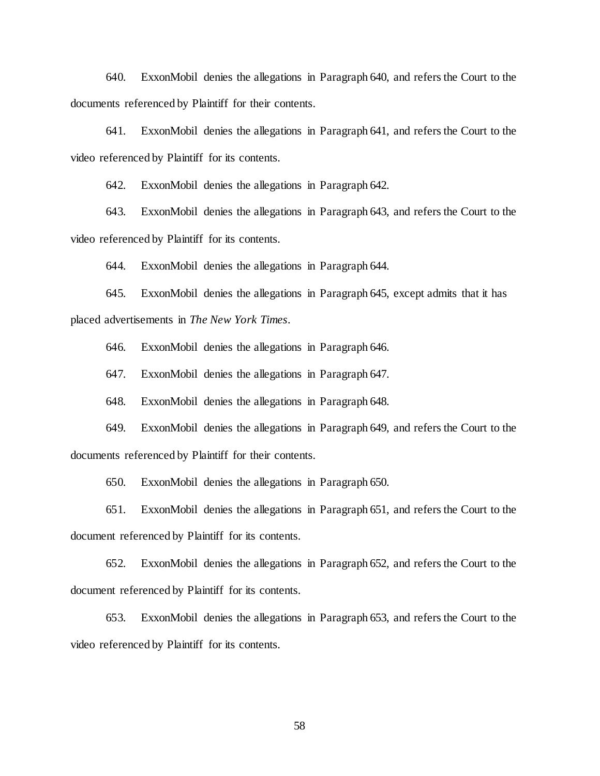640. ExxonMobil denies the allegations in Paragraph 640, and refers the Court to the documents referenced by Plaintiff for their contents.

641. ExxonMobil denies the allegations in Paragraph 641, and refers the Court to the video referenced by Plaintiff for its contents.

642. ExxonMobil denies the allegations in Paragraph 642.

643. ExxonMobil denies the allegations in Paragraph 643, and refers the Court to the video referenced by Plaintiff for its contents.

644. ExxonMobil denies the allegations in Paragraph 644.

645. ExxonMobil denies the allegations in Paragraph 645, except admits that it has placed advertisements in *The New York Times*.

646. ExxonMobil denies the allegations in Paragraph 646.

647. ExxonMobil denies the allegations in Paragraph 647.

648. ExxonMobil denies the allegations in Paragraph 648.

649. ExxonMobil denies the allegations in Paragraph 649, and refers the Court to the documents referenced by Plaintiff for their contents.

650. ExxonMobil denies the allegations in Paragraph 650.

651. ExxonMobil denies the allegations in Paragraph 651, and refers the Court to the document referenced by Plaintiff for its contents.

652. ExxonMobil denies the allegations in Paragraph 652, and refers the Court to the document referenced by Plaintiff for its contents.

653. ExxonMobil denies the allegations in Paragraph 653, and refers the Court to the video referenced by Plaintiff for its contents.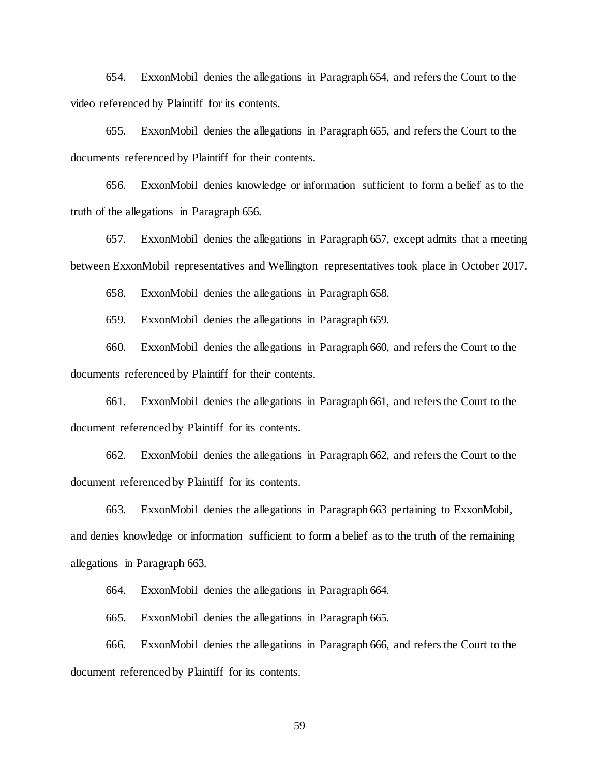654. ExxonMobil denies the allegations in Paragraph 654, and refers the Court to the video referenced by Plaintiff for its contents.

655. ExxonMobil denies the allegations in Paragraph 655, and refers the Court to the documents referenced by Plaintiff for their contents.

656. ExxonMobil denies knowledge or information sufficient to form a belief as to the truth of the allegations in Paragraph 656.

657. ExxonMobil denies the allegations in Paragraph 657, except admits that a meeting between ExxonMobil representatives and Wellington representatives took place in October 2017.

658. ExxonMobil denies the allegations in Paragraph 658.

659. ExxonMobil denies the allegations in Paragraph 659.

660. ExxonMobil denies the allegations in Paragraph 660, and refers the Court to the documents referenced by Plaintiff for their contents.

661. ExxonMobil denies the allegations in Paragraph 661, and refers the Court to the document referenced by Plaintiff for its contents.

662. ExxonMobil denies the allegations in Paragraph 662, and refers the Court to the document referenced by Plaintiff for its contents.

663. ExxonMobil denies the allegations in Paragraph 663 pertaining to ExxonMobil, and denies knowledge or information sufficient to form a belief as to the truth of the remaining allegations in Paragraph 663.

664. ExxonMobil denies the allegations in Paragraph 664.

665. ExxonMobil denies the allegations in Paragraph 665.

666. ExxonMobil denies the allegations in Paragraph 666, and refers the Court to the document referenced by Plaintiff for its contents.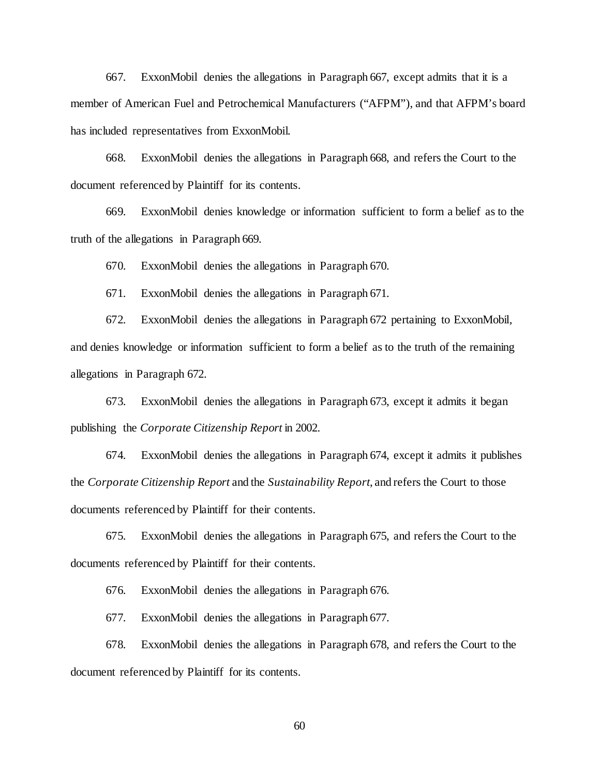667. ExxonMobil denies the allegations in Paragraph 667, except admits that it is a member of American Fuel and Petrochemical Manufacturers ("AFPM"), and that AFPM's board has included representatives from ExxonMobil.

668. ExxonMobil denies the allegations in Paragraph 668, and refers the Court to the document referenced by Plaintiff for its contents.

669. ExxonMobil denies knowledge or information sufficient to form a belief as to the truth of the allegations in Paragraph 669.

670. ExxonMobil denies the allegations in Paragraph 670.

671. ExxonMobil denies the allegations in Paragraph 671.

672. ExxonMobil denies the allegations in Paragraph 672 pertaining to ExxonMobil, and denies knowledge or information sufficient to form a belief as to the truth of the remaining allegations in Paragraph 672.

673. ExxonMobil denies the allegations in Paragraph 673, except it admits it began publishing the *Corporate Citizenship Report* in 2002.

674. ExxonMobil denies the allegations in Paragraph 674, except it admits it publishes the *Corporate Citizenship Report* and the *Sustainability Report*, and refers the Court to those documents referenced by Plaintiff for their contents.

675. ExxonMobil denies the allegations in Paragraph 675, and refers the Court to the documents referenced by Plaintiff for their contents.

676. ExxonMobil denies the allegations in Paragraph 676.

677. ExxonMobil denies the allegations in Paragraph 677.

678. ExxonMobil denies the allegations in Paragraph 678, and refers the Court to the document referenced by Plaintiff for its contents.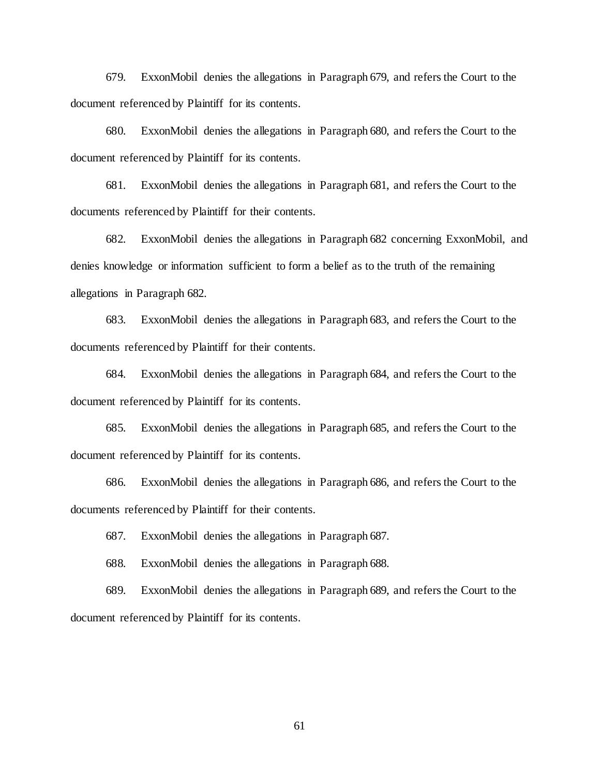679. ExxonMobil denies the allegations in Paragraph 679, and refers the Court to the document referenced by Plaintiff for its contents.

680. ExxonMobil denies the allegations in Paragraph 680, and refers the Court to the document referenced by Plaintiff for its contents.

681. ExxonMobil denies the allegations in Paragraph 681, and refers the Court to the documents referenced by Plaintiff for their contents.

682. ExxonMobil denies the allegations in Paragraph 682 concerning ExxonMobil, and denies knowledge or information sufficient to form a belief as to the truth of the remaining allegations in Paragraph 682.

683. ExxonMobil denies the allegations in Paragraph 683, and refers the Court to the documents referenced by Plaintiff for their contents.

684. ExxonMobil denies the allegations in Paragraph 684, and refers the Court to the document referenced by Plaintiff for its contents.

685. ExxonMobil denies the allegations in Paragraph 685, and refers the Court to the document referenced by Plaintiff for its contents.

686. ExxonMobil denies the allegations in Paragraph 686, and refers the Court to the documents referenced by Plaintiff for their contents.

687. ExxonMobil denies the allegations in Paragraph 687.

688. ExxonMobil denies the allegations in Paragraph 688.

689. ExxonMobil denies the allegations in Paragraph 689, and refers the Court to the document referenced by Plaintiff for its contents.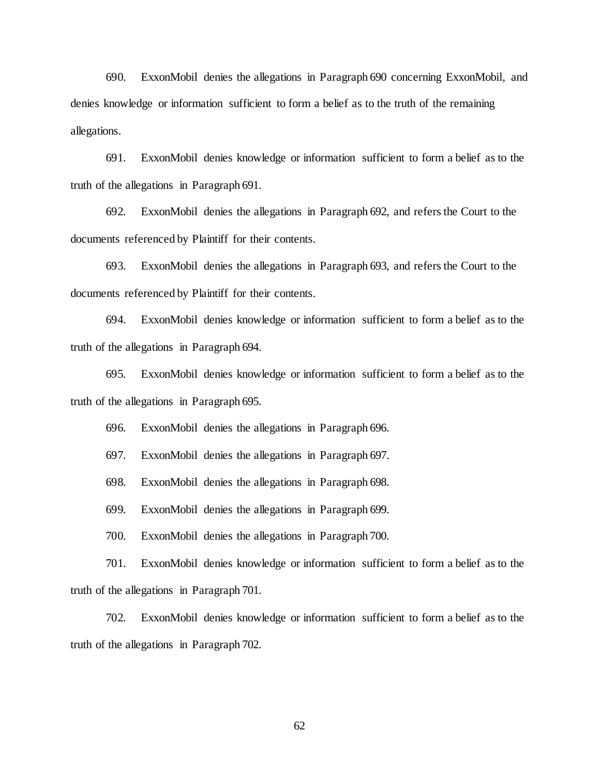690. ExxonMobil denies the allegations in Paragraph 690 concerning ExxonMobil, and denies knowledge or information sufficient to form a belief as to the truth of the remaining allegations.

691. ExxonMobil denies knowledge or information sufficient to form a belief as to the truth of the allegations in Paragraph 691.

692. ExxonMobil denies the allegations in Paragraph 692, and refers the Court to the documents referenced by Plaintiff for their contents.

693. ExxonMobil denies the allegations in Paragraph 693, and refers the Court to the documents referenced by Plaintiff for their contents.

694. ExxonMobil denies knowledge or information sufficient to form a belief as to the truth of the allegations in Paragraph 694.

695. ExxonMobil denies knowledge or information sufficient to form a belief as to the truth of the allegations in Paragraph 695.

696. ExxonMobil denies the allegations in Paragraph 696.

697. ExxonMobil denies the allegations in Paragraph 697.

698. ExxonMobil denies the allegations in Paragraph 698.

699. ExxonMobil denies the allegations in Paragraph 699.

700. ExxonMobil denies the allegations in Paragraph 700.

701. ExxonMobil denies knowledge or information sufficient to form a belief as to the truth of the allegations in Paragraph 701.

702. ExxonMobil denies knowledge or information sufficient to form a belief as to the truth of the allegations in Paragraph 702.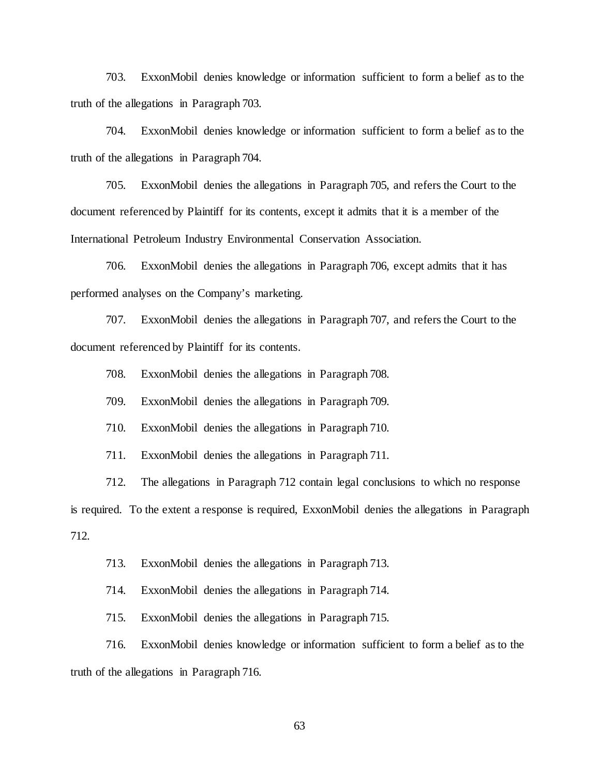703. ExxonMobil denies knowledge or information sufficient to form a belief as to the truth of the allegations in Paragraph 703.

704. ExxonMobil denies knowledge or information sufficient to form a belief as to the truth of the allegations in Paragraph 704.

705. ExxonMobil denies the allegations in Paragraph 705, and refers the Court to the document referenced by Plaintiff for its contents, except it admits that it is a member of the International Petroleum Industry Environmental Conservation Association.

706. ExxonMobil denies the allegations in Paragraph 706, except admits that it has performed analyses on the Company's marketing.

707. ExxonMobil denies the allegations in Paragraph 707, and refers the Court to the document referenced by Plaintiff for its contents.

708. ExxonMobil denies the allegations in Paragraph 708.

709. ExxonMobil denies the allegations in Paragraph 709.

710. ExxonMobil denies the allegations in Paragraph 710.

711. ExxonMobil denies the allegations in Paragraph 711.

712. The allegations in Paragraph 712 contain legal conclusions to which no response

is required. To the extent a response is required, ExxonMobil denies the allegations in Paragraph 712.

713. ExxonMobil denies the allegations in Paragraph 713.

714. ExxonMobil denies the allegations in Paragraph 714.

715. ExxonMobil denies the allegations in Paragraph 715.

716. ExxonMobil denies knowledge or information sufficient to form a belief as to the truth of the allegations in Paragraph 716.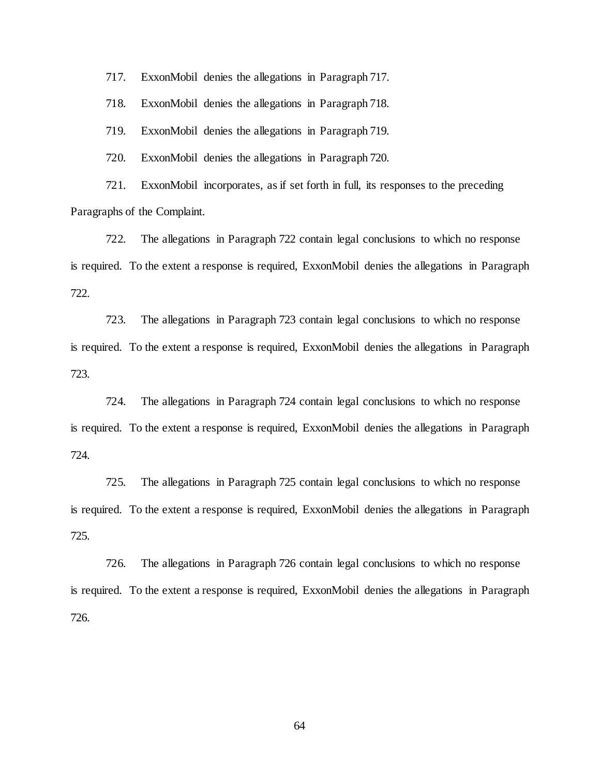717. ExxonMobil denies the allegations in Paragraph 717.

718. ExxonMobil denies the allegations in Paragraph 718.

719. ExxonMobil denies the allegations in Paragraph 719.

720. ExxonMobil denies the allegations in Paragraph 720.

721. ExxonMobil incorporates, as if set forth in full, its responses to the preceding Paragraphs of the Complaint.

722. The allegations in Paragraph 722 contain legal conclusions to which no response is required. To the extent a response is required, ExxonMobil denies the allegations in Paragraph 722.

723. The allegations in Paragraph 723 contain legal conclusions to which no response is required. To the extent a response is required, ExxonMobil denies the allegations in Paragraph 723.

724. The allegations in Paragraph 724 contain legal conclusions to which no response is required. To the extent a response is required, ExxonMobil denies the allegations in Paragraph 724.

725. The allegations in Paragraph 725 contain legal conclusions to which no response is required. To the extent a response is required, ExxonMobil denies the allegations in Paragraph 725.

726. The allegations in Paragraph 726 contain legal conclusions to which no response is required. To the extent a response is required, ExxonMobil denies the allegations in Paragraph 726.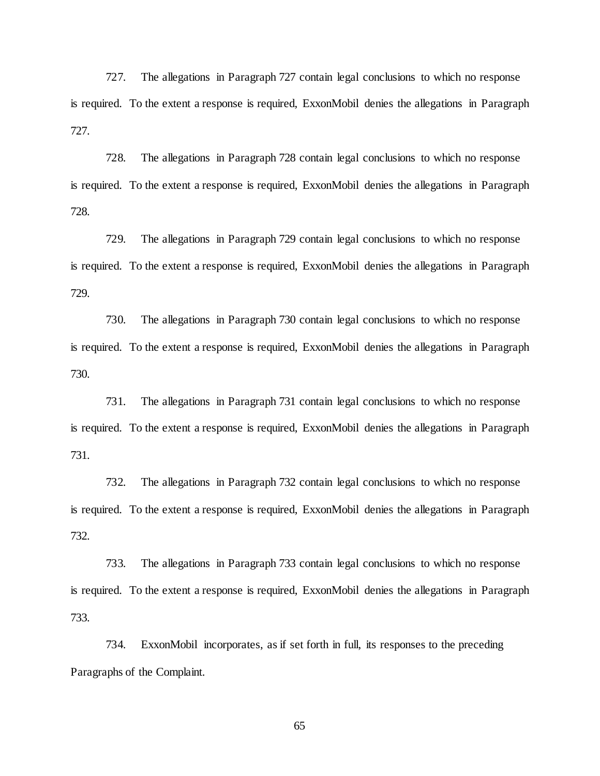727. The allegations in Paragraph 727 contain legal conclusions to which no response is required. To the extent a response is required, ExxonMobil denies the allegations in Paragraph 727.

728. The allegations in Paragraph 728 contain legal conclusions to which no response is required. To the extent a response is required, ExxonMobil denies the allegations in Paragraph 728.

729. The allegations in Paragraph 729 contain legal conclusions to which no response is required. To the extent a response is required, ExxonMobil denies the allegations in Paragraph 729.

730. The allegations in Paragraph 730 contain legal conclusions to which no response is required. To the extent a response is required, ExxonMobil denies the allegations in Paragraph 730.

731. The allegations in Paragraph 731 contain legal conclusions to which no response is required. To the extent a response is required, ExxonMobil denies the allegations in Paragraph 731.

732. The allegations in Paragraph 732 contain legal conclusions to which no response is required. To the extent a response is required, ExxonMobil denies the allegations in Paragraph 732.

733. The allegations in Paragraph 733 contain legal conclusions to which no response is required. To the extent a response is required, ExxonMobil denies the allegations in Paragraph 733.

734. ExxonMobil incorporates, as if set forth in full, its responses to the preceding Paragraphs of the Complaint.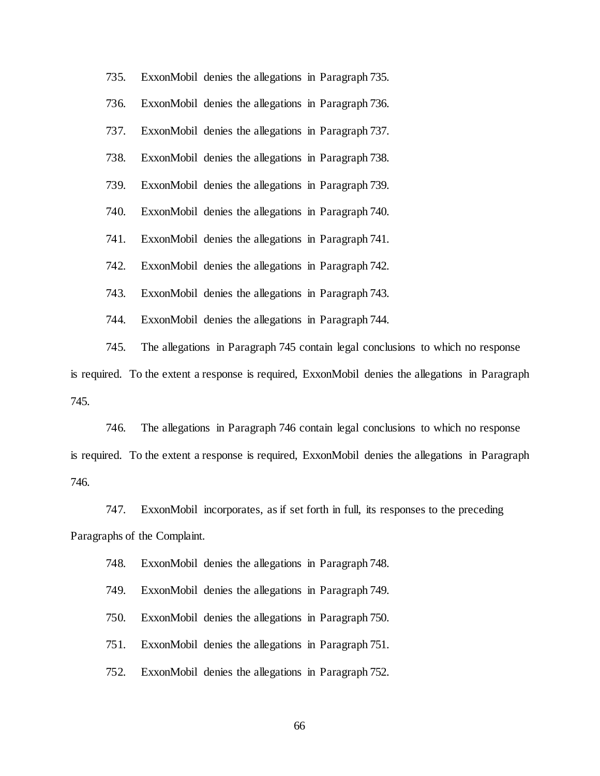735. ExxonMobil denies the allegations in Paragraph 735. 736. ExxonMobil denies the allegations in Paragraph 736. 737. ExxonMobil denies the allegations in Paragraph 737. 738. ExxonMobil denies the allegations in Paragraph 738. 739. ExxonMobil denies the allegations in Paragraph 739. 740. ExxonMobil denies the allegations in Paragraph 740. 741. ExxonMobil denies the allegations in Paragraph 741. 742. ExxonMobil denies the allegations in Paragraph 742. 743. ExxonMobil denies the allegations in Paragraph 743. 744. ExxonMobil denies the allegations in Paragraph 744.

745. The allegations in Paragraph 745 contain legal conclusions to which no response is required. To the extent a response is required, ExxonMobil denies the allegations in Paragraph 745.

746. The allegations in Paragraph 746 contain legal conclusions to which no response is required. To the extent a response is required, ExxonMobil denies the allegations in Paragraph 746.

747. ExxonMobil incorporates, as if set forth in full, its responses to the preceding Paragraphs of the Complaint.

748. ExxonMobil denies the allegations in Paragraph 748.

749. ExxonMobil denies the allegations in Paragraph 749.

750. ExxonMobil denies the allegations in Paragraph 750.

751. ExxonMobil denies the allegations in Paragraph 751.

752. ExxonMobil denies the allegations in Paragraph 752.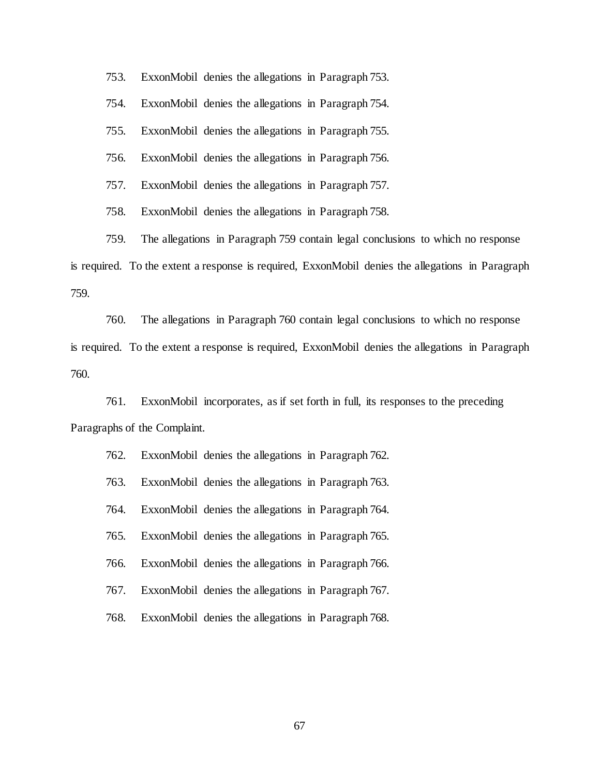753. ExxonMobil denies the allegations in Paragraph 753.

754. ExxonMobil denies the allegations in Paragraph 754.

755. ExxonMobil denies the allegations in Paragraph 755.

756. ExxonMobil denies the allegations in Paragraph 756.

757. ExxonMobil denies the allegations in Paragraph 757.

758. ExxonMobil denies the allegations in Paragraph 758.

759. The allegations in Paragraph 759 contain legal conclusions to which no response is required. To the extent a response is required, ExxonMobil denies the allegations in Paragraph 759.

760. The allegations in Paragraph 760 contain legal conclusions to which no response is required. To the extent a response is required, ExxonMobil denies the allegations in Paragraph 760.

761. ExxonMobil incorporates, as if set forth in full, its responses to the preceding Paragraphs of the Complaint.

| 762. |  | ExxonMobil denies the allegations in Paragraph 762. |
|------|--|-----------------------------------------------------|
| 763. |  | ExxonMobil denies the allegations in Paragraph 763. |
| 764. |  | ExxonMobil denies the allegations in Paragraph 764. |
| 765. |  | ExxonMobil denies the allegations in Paragraph 765. |
| 766. |  | ExxonMobil denies the allegations in Paragraph 766. |
| 767. |  | ExxonMobil denies the allegations in Paragraph 767. |
| 768. |  | ExxonMobil denies the allegations in Paragraph 768. |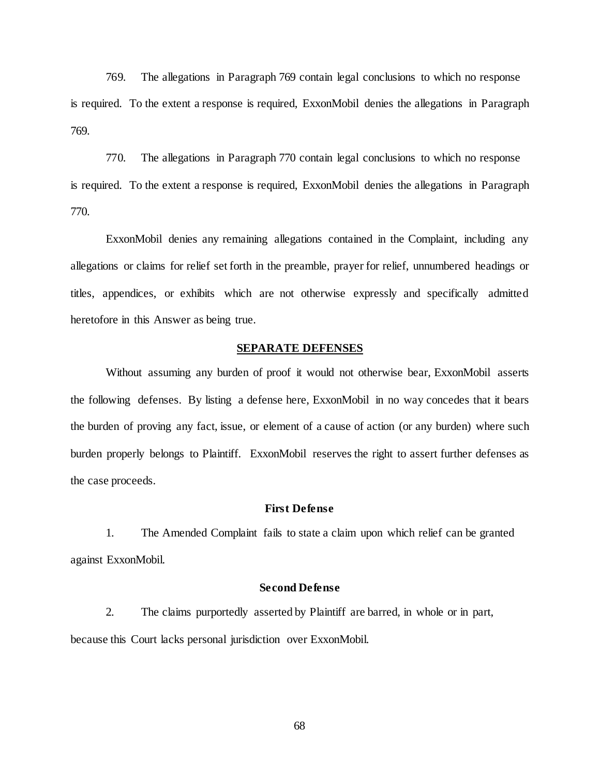769. The allegations in Paragraph 769 contain legal conclusions to which no response is required. To the extent a response is required, ExxonMobil denies the allegations in Paragraph 769.

770. The allegations in Paragraph 770 contain legal conclusions to which no response is required. To the extent a response is required, ExxonMobil denies the allegations in Paragraph 770.

ExxonMobil denies any remaining allegations contained in the Complaint, including any allegations or claims for relief set forth in the preamble, prayer for relief, unnumbered headings or titles, appendices, or exhibits which are not otherwise expressly and specifically admitted heretofore in this Answer as being true.

# **SEPARATE DEFENSES**

Without assuming any burden of proof it would not otherwise bear, ExxonMobil asserts the following defenses. By listing a defense here, ExxonMobil in no way concedes that it bears the burden of proving any fact, issue, or element of a cause of action (or any burden) where such burden properly belongs to Plaintiff. ExxonMobil reserves the right to assert further defenses as the case proceeds.

# **First Defense**

1. The Amended Complaint fails to state a claim upon which relief can be granted against ExxonMobil.

# **Second Defense**

2. The claims purportedly asserted by Plaintiff are barred, in whole or in part, because this Court lacks personal jurisdiction over ExxonMobil.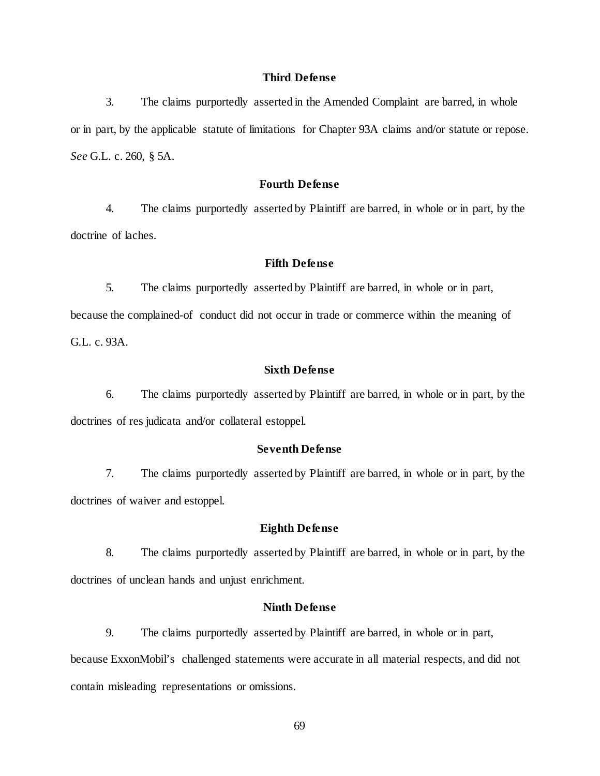# **Third Defense**

3. The claims purportedly asserted in the Amended Complaint are barred, in whole or in part, by the applicable statute of limitations for Chapter 93A claims and/or statute or repose. *See* G.L. c. 260, § 5A.

# **Fourth Defense**

4. The claims purportedly asserted by Plaintiff are barred, in whole or in part, by the doctrine of laches.

## **Fifth Defense**

5. The claims purportedly asserted by Plaintiff are barred, in whole or in part, because the complained-of conduct did not occur in trade or commerce within the meaning of

G.L. c. 93A.

## **Sixth Defense**

6. The claims purportedly asserted by Plaintiff are barred, in whole or in part, by the doctrines of res judicata and/or collateral estoppel.

# **Seventh Defense**

7. The claims purportedly asserted by Plaintiff are barred, in whole or in part, by the doctrines of waiver and estoppel.

# **Eighth Defense**

8. The claims purportedly asserted by Plaintiff are barred, in whole or in part, by the doctrines of unclean hands and unjust enrichment.

# **Ninth Defense**

9. The claims purportedly asserted by Plaintiff are barred, in whole or in part, because ExxonMobil's challenged statements were accurate in all material respects, and did not contain misleading representations or omissions.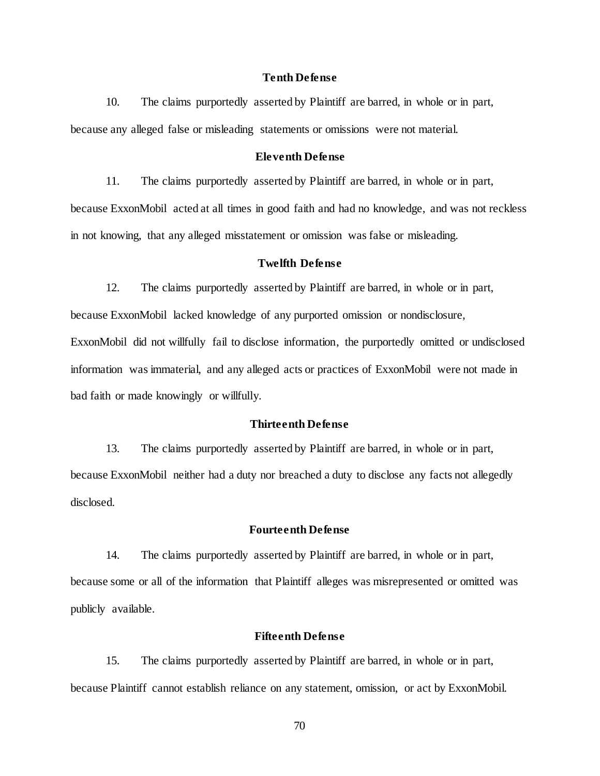#### **Tenth Defense**

10. The claims purportedly asserted by Plaintiff are barred, in whole or in part, because any alleged false or misleading statements or omissions were not material.

# **Eleventh Defense**

11. The claims purportedly asserted by Plaintiff are barred, in whole or in part,

because ExxonMobil acted at all times in good faith and had no knowledge, and was not reckless in not knowing, that any alleged misstatement or omission was false or misleading.

#### **Twelfth Defense**

12. The claims purportedly asserted by Plaintiff are barred, in whole or in part, because ExxonMobil lacked knowledge of any purported omission or nondisclosure, ExxonMobil did not willfully fail to disclose information, the purportedly omitted or undisclosed information was immaterial, and any alleged acts or practices of ExxonMobil were not made in bad faith or made knowingly or willfully.

# **Thirteenth Defense**

13. The claims purportedly asserted by Plaintiff are barred, in whole or in part, because ExxonMobil neither had a duty nor breached a duty to disclose any facts not allegedly disclosed.

# **Fourteenth Defense**

14. The claims purportedly asserted by Plaintiff are barred, in whole or in part, because some or all of the information that Plaintiff alleges was misrepresented or omitted was publicly available.

# **Fifteenth Defense**

15. The claims purportedly asserted by Plaintiff are barred, in whole or in part, because Plaintiff cannot establish reliance on any statement, omission, or act by ExxonMobil.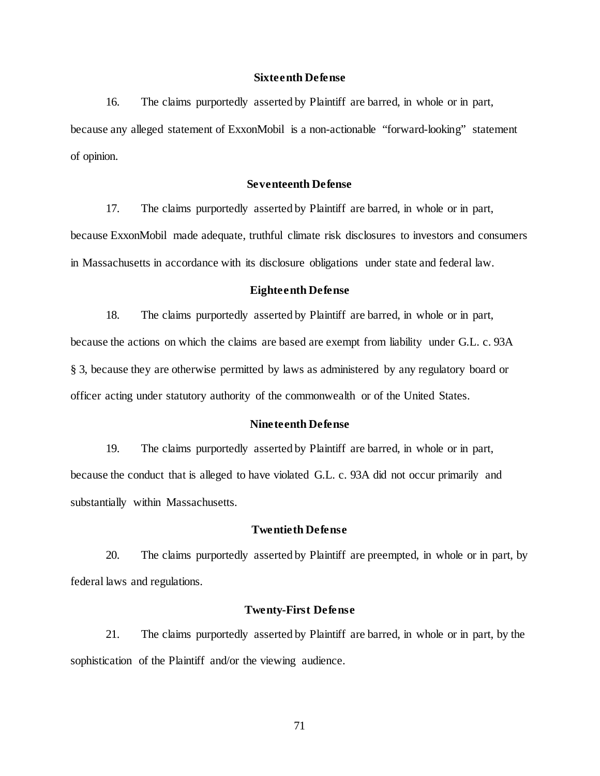## **Sixteenth Defense**

16. The claims purportedly asserted by Plaintiff are barred, in whole or in part, because any alleged statement of ExxonMobil is a non-actionable "forward-looking" statement of opinion.

## **Seventeenth Defense**

17. The claims purportedly asserted by Plaintiff are barred, in whole or in part, because ExxonMobil made adequate, truthful climate risk disclosures to investors and consumers in Massachusetts in accordance with its disclosure obligations under state and federal law.

### **Eighteenth Defense**

18. The claims purportedly asserted by Plaintiff are barred, in whole or in part, because the actions on which the claims are based are exempt from liability under G.L. c. 93A § 3, because they are otherwise permitted by laws as administered by any regulatory board or officer acting under statutory authority of the commonwealth or of the United States.

#### **Nineteenth Defense**

19. The claims purportedly asserted by Plaintiff are barred, in whole or in part, because the conduct that is alleged to have violated G.L. c. 93A did not occur primarily and substantially within Massachusetts.

# **Twentieth Defense**

20. The claims purportedly asserted by Plaintiff are preempted, in whole or in part, by federal laws and regulations.

# **Twenty-First Defense**

21. The claims purportedly asserted by Plaintiff are barred, in whole or in part, by the sophistication of the Plaintiff and/or the viewing audience.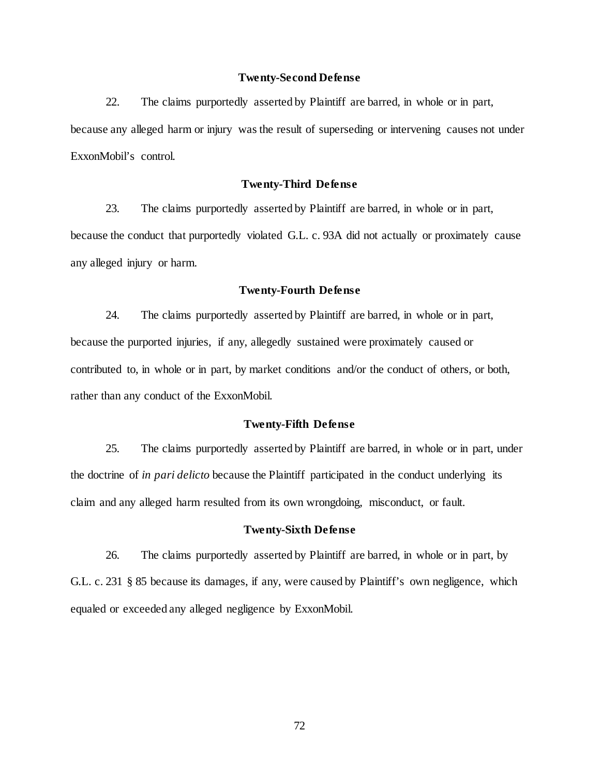## **Twenty-Second Defense**

22. The claims purportedly asserted by Plaintiff are barred, in whole or in part, because any alleged harm or injury was the result of superseding or intervening causes not under ExxonMobil's control.

# **Twenty-Third Defense**

23. The claims purportedly asserted by Plaintiff are barred, in whole or in part, because the conduct that purportedly violated G.L. c. 93A did not actually or proximately cause any alleged injury or harm.

# **Twenty-Fourth Defense**

24. The claims purportedly asserted by Plaintiff are barred, in whole or in part, because the purported injuries, if any, allegedly sustained were proximately caused or contributed to, in whole or in part, by market conditions and/or the conduct of others, or both, rather than any conduct of the ExxonMobil.

## **Twenty-Fifth Defense**

25. The claims purportedly asserted by Plaintiff are barred, in whole or in part, under the doctrine of *in pari delicto* because the Plaintiff participated in the conduct underlying its claim and any alleged harm resulted from its own wrongdoing, misconduct, or fault.

# **Twenty-Sixth Defense**

26. The claims purportedly asserted by Plaintiff are barred, in whole or in part, by G.L. c. 231 § 85 because its damages, if any, were caused by Plaintiff's own negligence, which equaled or exceeded any alleged negligence by ExxonMobil.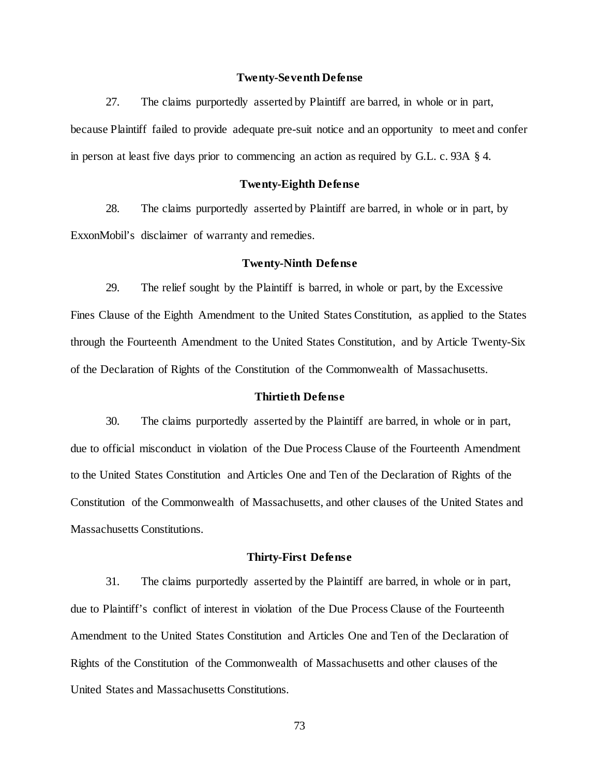#### **Twenty-Seventh Defense**

27. The claims purportedly asserted by Plaintiff are barred, in whole or in part, because Plaintiff failed to provide adequate pre-suit notice and an opportunity to meet and confer in person at least five days prior to commencing an action as required by G.L. c. 93A § 4.

#### **Twenty-Eighth Defense**

28. The claims purportedly asserted by Plaintiff are barred, in whole or in part, by ExxonMobil's disclaimer of warranty and remedies.

#### **Twenty-Ninth Defense**

29. The relief sought by the Plaintiff is barred, in whole or part, by the Excessive Fines Clause of the Eighth Amendment to the United States Constitution, as applied to the States through the Fourteenth Amendment to the United States Constitution, and by Article Twenty-Six of the Declaration of Rights of the Constitution of the Commonwealth of Massachusetts.

#### **Thirtieth Defense**

30. The claims purportedly asserted by the Plaintiff are barred, in whole or in part, due to official misconduct in violation of the Due Process Clause of the Fourteenth Amendment to the United States Constitution and Articles One and Ten of the Declaration of Rights of the Constitution of the Commonwealth of Massachusetts, and other clauses of the United States and Massachusetts Constitutions.

#### **Thirty-First Defense**

31. The claims purportedly asserted by the Plaintiff are barred, in whole or in part, due to Plaintiff's conflict of interest in violation of the Due Process Clause of the Fourteenth Amendment to the United States Constitution and Articles One and Ten of the Declaration of Rights of the Constitution of the Commonwealth of Massachusetts and other clauses of the United States and Massachusetts Constitutions.

73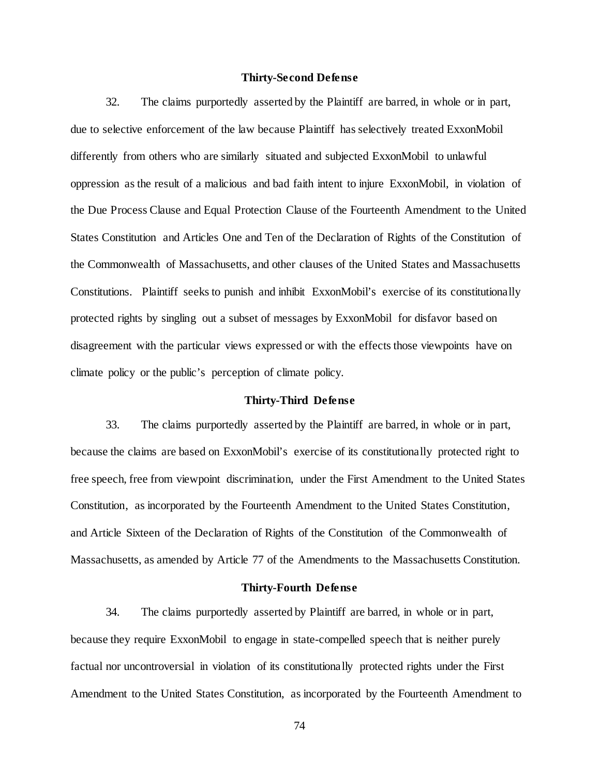#### **Thirty-Second Defense**

32. The claims purportedly asserted by the Plaintiff are barred, in whole or in part, due to selective enforcement of the law because Plaintiff has selectively treated ExxonMobil differently from others who are similarly situated and subjected ExxonMobil to unlawful oppression as the result of a malicious and bad faith intent to injure ExxonMobil, in violation of the Due Process Clause and Equal Protection Clause of the Fourteenth Amendment to the United States Constitution and Articles One and Ten of the Declaration of Rights of the Constitution of the Commonwealth of Massachusetts, and other clauses of the United States and Massachusetts Constitutions. Plaintiff seeks to punish and inhibit ExxonMobil's exercise of its constitutionally protected rights by singling out a subset of messages by ExxonMobil for disfavor based on disagreement with the particular views expressed or with the effects those viewpoints have on climate policy or the public's perception of climate policy.

### **Thirty-Third Defense**

33. The claims purportedly asserted by the Plaintiff are barred, in whole or in part, because the claims are based on ExxonMobil's exercise of its constitutionally protected right to free speech, free from viewpoint discrimination, under the First Amendment to the United States Constitution, as incorporated by the Fourteenth Amendment to the United States Constitution, and Article Sixteen of the Declaration of Rights of the Constitution of the Commonwealth of Massachusetts, as amended by Article 77 of the Amendments to the Massachusetts Constitution.

#### **Thirty-Fourth Defense**

34. The claims purportedly asserted by Plaintiff are barred, in whole or in part, because they require ExxonMobil to engage in state-compelled speech that is neither purely factual nor uncontroversial in violation of its constitutionally protected rights under the First Amendment to the United States Constitution, as incorporated by the Fourteenth Amendment to

74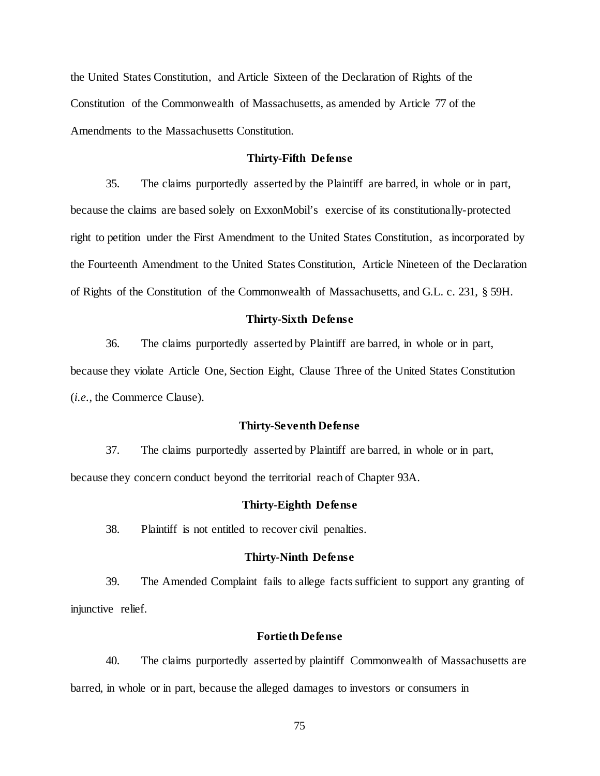the United States Constitution, and Article Sixteen of the Declaration of Rights of the Constitution of the Commonwealth of Massachusetts, as amended by Article 77 of the Amendments to the Massachusetts Constitution.

## **Thirty-Fifth Defense**

35. The claims purportedly asserted by the Plaintiff are barred, in whole or in part, because the claims are based solely on ExxonMobil's exercise of its constitutionally-protected right to petition under the First Amendment to the United States Constitution, as incorporated by the Fourteenth Amendment to the United States Constitution, Article Nineteen of the Declaration of Rights of the Constitution of the Commonwealth of Massachusetts, and G.L. c. 231, § 59H.

#### **Thirty-Sixth Defense**

36. The claims purportedly asserted by Plaintiff are barred, in whole or in part,

because they violate Article One, Section Eight, Clause Three of the United States Constitution (*i.e.*, the Commerce Clause).

#### **Thirty-Seventh Defense**

37. The claims purportedly asserted by Plaintiff are barred, in whole or in part, because they concern conduct beyond the territorial reach of Chapter 93A.

#### **Thirty-Eighth Defense**

38. Plaintiff is not entitled to recover civil penalties.

#### **Thirty-Ninth Defense**

39. The Amended Complaint fails to allege facts sufficient to support any granting of injunctive relief.

## **Fortieth Defense**

40. The claims purportedly asserted by plaintiff Commonwealth of Massachusetts are barred, in whole or in part, because the alleged damages to investors or consumers in

75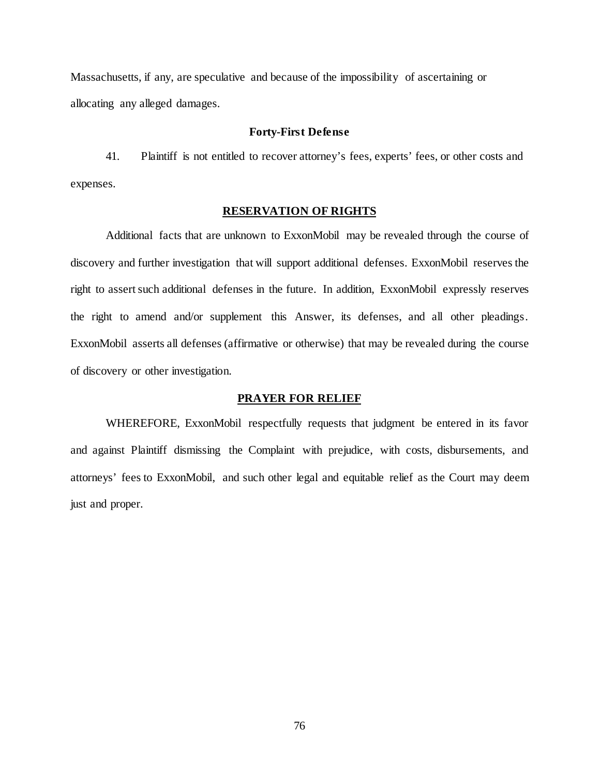Massachusetts, if any, are speculative and because of the impossibility of ascertaining or allocating any alleged damages.

#### **Forty-First Defense**

41. Plaintiff is not entitled to recover attorney's fees, experts' fees, or other costs and expenses.

### **RESERVATION OF RIGHTS**

Additional facts that are unknown to ExxonMobil may be revealed through the course of discovery and further investigation that will support additional defenses. ExxonMobil reserves the right to assert such additional defenses in the future. In addition, ExxonMobil expressly reserves the right to amend and/or supplement this Answer, its defenses, and all other pleadings. ExxonMobil asserts all defenses (affirmative or otherwise) that may be revealed during the course of discovery or other investigation.

### **PRAYER FOR RELIEF**

WHEREFORE, ExxonMobil respectfully requests that judgment be entered in its favor and against Plaintiff dismissing the Complaint with prejudice, with costs, disbursements, and attorneys' fees to ExxonMobil, and such other legal and equitable relief as the Court may deem just and proper.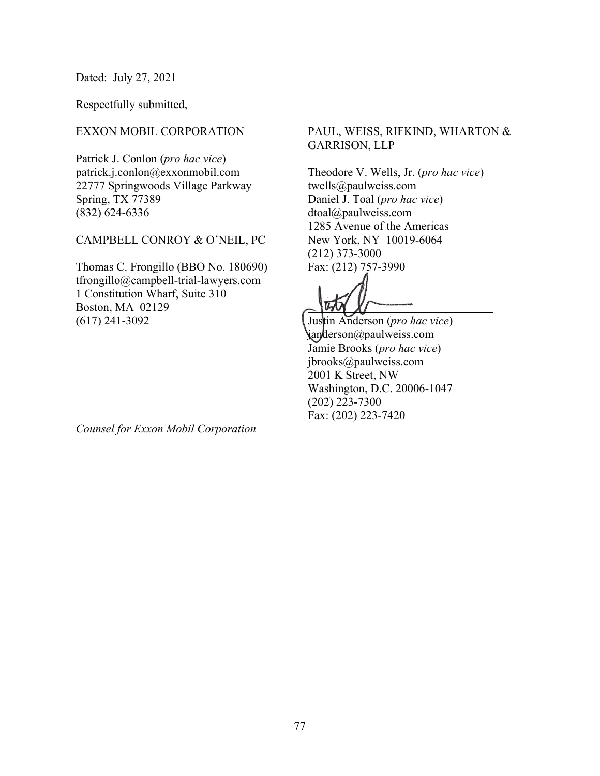Dated: July 27, 2021

Respectfully submitted,

## EXXON MOBIL CORPORATION

Patrick J. Conlon (*pro hac vice*) patrick.j.conlon@exxonmobil.com 22777 Springwoods Village Parkway Spring, TX 77389 (832) 624-6336

## CAMPBELL CONROY & O'NEIL, PC

Thomas C. Frongillo (BBO No. 180690) tfrongillo@campbell-trial-lawyers.com 1 Constitution Wharf, Suite 310 Boston, MA 02129 (617) 241-3092

*Counsel for Exxon Mobil Corporation*

# PAUL, WEISS, RIFKIND, WHARTON & GARRISON, LLP

Theodore V. Wells, Jr. (*pro hac vice*) twells@paulweiss.com Daniel J. Toal (*pro hac vice*) dtoal@paulweiss.com 1285 Avenue of the Americas New York, NY 10019-6064 (212) 373-3000 Fax: (212) 757-3990

 $\overline{a}$ 

Justin Anderson (*pro hac vice*) janderson@paulweiss.com Jamie Brooks (*pro hac vice*) jbrooks@paulweiss.com 2001 K Street, NW Washington, D.C. 20006-1047 (202) 223-7300 Fax: (202) 223-7420